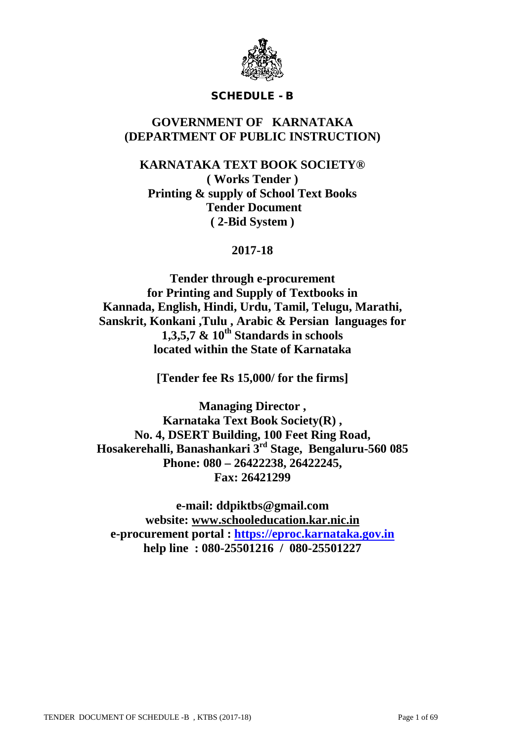

## SCHEDULE - B

## **GOVERNMENT OF KARNATAKA (DEPARTMENT OF PUBLIC INSTRUCTION)**

## **KARNATAKA TEXT BOOK SOCIETY® ( Works Tender ) Printing & supply of School Text Books Tender Document ( 2-Bid System )**

## **2017-18**

**Tender through e-procurement for Printing and Supply of Textbooks in Kannada, English, Hindi, Urdu, Tamil, Telugu, Marathi, Sanskrit, Konkani ,Tulu , Arabic & Persian languages for**  $1.3.5.7 \& 10^{th}$  Standards in schools **located within the State of Karnataka**

**[Tender fee Rs 15,000/ for the firms]**

**Managing Director , Karnataka Text Book Society(R) , No. 4, DSERT Building, 100 Feet Ring Road, Hosakerehalli, Banashankari 3rd Stage, Bengaluru-560 085 Phone: 080 – 26422238, 26422245, Fax: 26421299**

**e-mail: ddpiktbs@gmail.com website: [www.schooleducation.kar.nic.in](http://www.schooleducation.kar.nic.in/) e-procurement portal : [https://eproc.karnataka.gov.in](https://eproc.karnataka.gov.in/) help line : 080-25501216 / 080-25501227**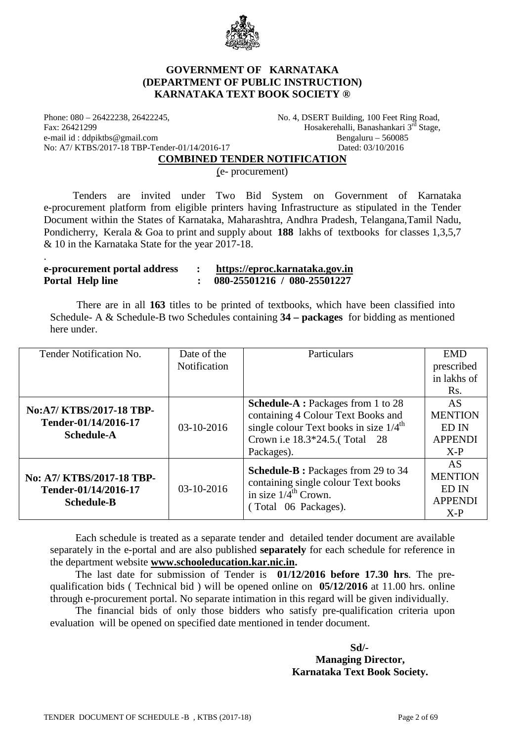

#### **GOVERNMENT OF KARNATAKA (DEPARTMENT OF PUBLIC INSTRUCTION) KARNATAKA TEXT BOOK SOCIETY ®**

Phone: 080 – 26422238, 26422245,<br>
Fax: 26421299<br>
Hosakerehalli, Banashankari 3<sup>rd</sup> Stage.<br>
Hosakerehalli, Banashankari 3<sup>rd</sup> Stage. e-mail id : ddpiktbs@gmail.com Bengaluru – 560085 No: A7/ KTBS/2017-18 TBP-Tender-01/14/2016-17 Dated: 03/10/2016

.

Hosakerehalli, Banashankari  $3^{\overline{rd}}$  Stage,

**COMBINED TENDER NOTIFICATION**

(e- procurement)

 Tenders are invited under Two Bid System on Government of Karnataka e-procurement platform from eligible printers having Infrastructure as stipulated in the Tender Document within the States of Karnataka, Maharashtra, Andhra Pradesh, Telangana,Tamil Nadu, Pondicherry, Kerala & Goa to print and supply about **188** lakhs of textbooks for classes 1,3,5,7 & 10 in the Karnataka State for the year 2017-18.

| e-procurement portal address | https://eproc.karnataka.gov.in |
|------------------------------|--------------------------------|
| <b>Portal Help line</b>      | 080-25501216 / 080-25501227    |

 There are in all **163** titles to be printed of textbooks, which have been classified into Schedule- A & Schedule-B two Schedules containing **34 – packages** for bidding as mentioned here under.

| Tender Notification No.   | Date of the  | Particulars                                                             | <b>EMD</b>     |
|---------------------------|--------------|-------------------------------------------------------------------------|----------------|
|                           | Notification |                                                                         | prescribed     |
|                           |              |                                                                         | in lakhs of    |
|                           |              |                                                                         | Rs.            |
|                           |              | <b>Schedule-A</b> : Packages from 1 to 28                               | <b>AS</b>      |
| No:A7/KTBS/2017-18 TBP-   |              | containing 4 Colour Text Books and                                      | <b>MENTION</b> |
| Tender-01/14/2016-17      | 03-10-2016   | single colour Text books in size $1/4^{\text{th}}$                      | ED IN          |
| <b>Schedule-A</b>         |              | Crown i.e 18.3*24.5.(Total 28                                           | <b>APPENDI</b> |
|                           |              | Packages).                                                              | $X-P$          |
|                           |              |                                                                         | AS             |
| No: A7/ KTBS/2017-18 TBP- | $03-10-2016$ | <b>Schedule-B</b> : Packages from 29 to 34                              | <b>MENTION</b> |
| Tender-01/14/2016-17      |              | containing single colour Text books<br>in size $1/4^{\text{th}}$ Crown. | ED IN          |
| <b>Schedule-B</b>         |              |                                                                         | <b>APPENDI</b> |
|                           |              | (Total 06 Packages).                                                    | $X-P$          |

Each schedule is treated as a separate tender and detailed tender document are available separately in the e-portal and are also published **separately** for each schedule for reference in the department website **[www.schooleducation.kar.nic.in.](http://www.schooleducation.kar.nic.in/)**

The last date for submission of Tender is **01/12/2016 before 17.30 hrs**. The prequalification bids ( Technical bid ) will be opened online on **05/12/2016** at 11.00 hrs. online through e-procurement portal. No separate intimation in this regard will be given individually.

The financial bids of only those bidders who satisfy pre-qualification criteria upon evaluation will be opened on specified date mentioned in tender document.

 **Sd/-**

#### **Managing Director, Karnataka Text Book Society.**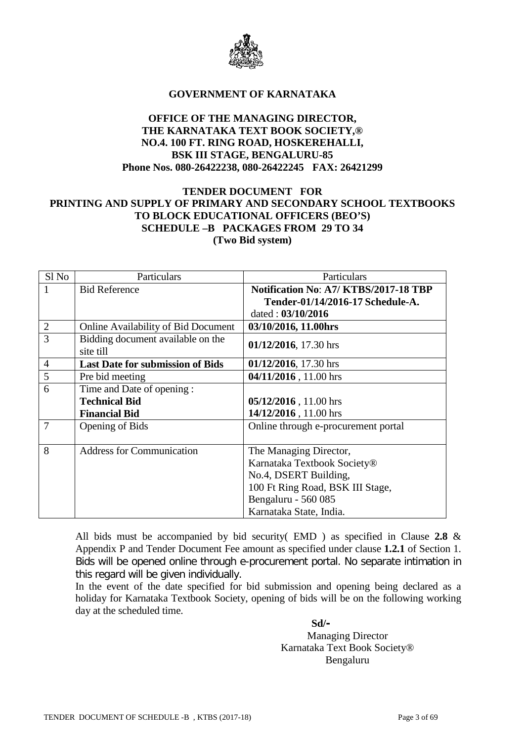

#### **GOVERNMENT OF KARNATAKA**

#### **OFFICE OF THE MANAGING DIRECTOR, THE KARNATAKA TEXT BOOK SOCIETY,® NO.4. 100 FT. RING ROAD, HOSKEREHALLI, BSK III STAGE, BENGALURU-85 Phone Nos. 080-26422238, 080-26422245 FAX: 26421299**

## **TENDER DOCUMENT FOR PRINTING AND SUPPLY OF PRIMARY AND SECONDARY SCHOOL TEXTBOOKS TO BLOCK EDUCATIONAL OFFICERS (BEO'S) SCHEDULE –B PACKAGES FROM 29 TO 34 (Two Bid system)**

| Sl No          | Particulars                                | Particulars                                  |  |
|----------------|--------------------------------------------|----------------------------------------------|--|
|                | <b>Bid Reference</b>                       | <b>Notification No: A7/ KTBS/2017-18 TBP</b> |  |
|                |                                            | Tender-01/14/2016-17 Schedule-A.             |  |
|                |                                            | dated: 03/10/2016                            |  |
| $\overline{2}$ | <b>Online Availability of Bid Document</b> | 03/10/2016, 11.00hrs                         |  |
| 3              | Bidding document available on the          | 01/12/2016, 17.30 hrs                        |  |
|                | site till                                  |                                              |  |
| $\overline{4}$ | <b>Last Date for submission of Bids</b>    | 01/12/2016, 17.30 hrs                        |  |
| 5              | Pre bid meeting                            | 04/11/2016, 11.00 hrs                        |  |
| 6              | Time and Date of opening :                 |                                              |  |
|                | <b>Technical Bid</b>                       | 05/12/2016, 11.00 hrs                        |  |
|                | <b>Financial Bid</b>                       | 14/12/2016, 11.00 hrs                        |  |
| 7              | Opening of Bids                            | Online through e-procurement portal          |  |
|                |                                            |                                              |  |
| 8              | <b>Address for Communication</b>           | The Managing Director,                       |  |
|                |                                            | Karnataka Textbook Society®                  |  |
|                |                                            | No.4, DSERT Building,                        |  |
|                |                                            | 100 Ft Ring Road, BSK III Stage,             |  |
|                |                                            | Bengaluru - 560 085                          |  |
|                |                                            | Karnataka State, India.                      |  |

All bids must be accompanied by bid security( EMD ) as specified in Clause **2.8** & Appendix P and Tender Document Fee amount as specified under clause **1.2.1** of Section 1. Bids will be opened online through e-procurement portal. No separate intimation in this regard will be given individually.

In the event of the date specified for bid submission and opening being declared as a holiday for Karnataka Textbook Society, opening of bids will be on the following working day at the scheduled time.

 **Sd/-**

Managing Director Karnataka Text Book Society® Bengaluru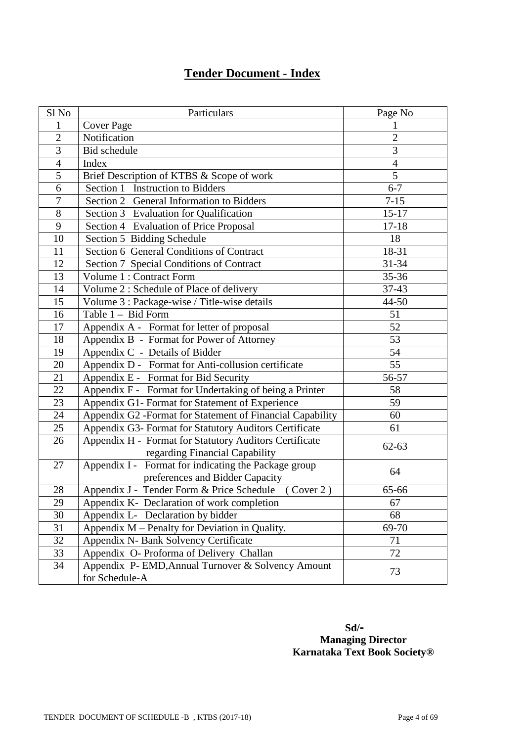# **Tender Document - Index**

| Sl No          | Particulars                                               | Page No        |
|----------------|-----------------------------------------------------------|----------------|
| 1              | <b>Cover Page</b>                                         |                |
| $\overline{2}$ | Notification                                              | $\overline{2}$ |
| 3              | <b>Bid</b> schedule                                       | 3              |
| $\overline{4}$ | Index                                                     | $\overline{4}$ |
| 5              | Brief Description of KTBS & Scope of work                 | 5              |
| 6              | Section 1 Instruction to Bidders                          | $6 - 7$        |
| $\overline{7}$ | Section 2 General Information to Bidders                  | $7 - 15$       |
| $8\,$          | Section 3 Evaluation for Qualification                    | $15 - 17$      |
| 9              | Section 4 Evaluation of Price Proposal                    | $17 - 18$      |
| 10             | Section 5 Bidding Schedule                                | 18             |
| 11             | Section 6 General Conditions of Contract                  | 18-31          |
| 12             | Section 7 Special Conditions of Contract                  | 31-34          |
| 13             | Volume 1 : Contract Form                                  | $35 - 36$      |
| 14             | Volume 2: Schedule of Place of delivery                   | 37-43          |
| 15             | Volume 3 : Package-wise / Title-wise details              | 44-50          |
| 16             | Table 1 - Bid Form                                        | 51             |
| 17             | Appendix A - Format for letter of proposal                | 52             |
| 18             | Appendix B - Format for Power of Attorney                 | 53             |
| 19             | Appendix C - Details of Bidder                            | 54             |
| 20             | Appendix D - Format for Anti-collusion certificate        | 55             |
| 21             | Appendix E - Format for Bid Security                      | 56-57          |
| $22\,$         | Appendix F - Format for Undertaking of being a Printer    | 58             |
| 23             | Appendix G1- Format for Statement of Experience           | 59             |
| 24             | Appendix G2 -Format for Statement of Financial Capability | 60             |
| 25             | Appendix G3- Format for Statutory Auditors Certificate    | 61             |
| 26             | Appendix H - Format for Statutory Auditors Certificate    | $62 - 63$      |
|                | regarding Financial Capability                            |                |
| 27             | Appendix I - Format for indicating the Package group      | 64             |
|                | preferences and Bidder Capacity                           |                |
| 28             | Appendix J - Tender Form & Price Schedule (Cover 2)       | 65-66          |
| 29             | Appendix K- Declaration of work completion                | 67             |
| 30             | Appendix L- Declaration by bidder                         | 68             |
| 31             | Appendix M – Penalty for Deviation in Quality.            | 69-70          |
| 32             | Appendix N- Bank Solvency Certificate                     | 71             |
| 33             | Appendix O- Proforma of Delivery Challan                  | 72             |
| 34             | Appendix P- EMD, Annual Turnover & Solvency Amount        | 73             |
|                | for Schedule-A                                            |                |

 **Sd/- Managing Director Karnataka Text Book Society®**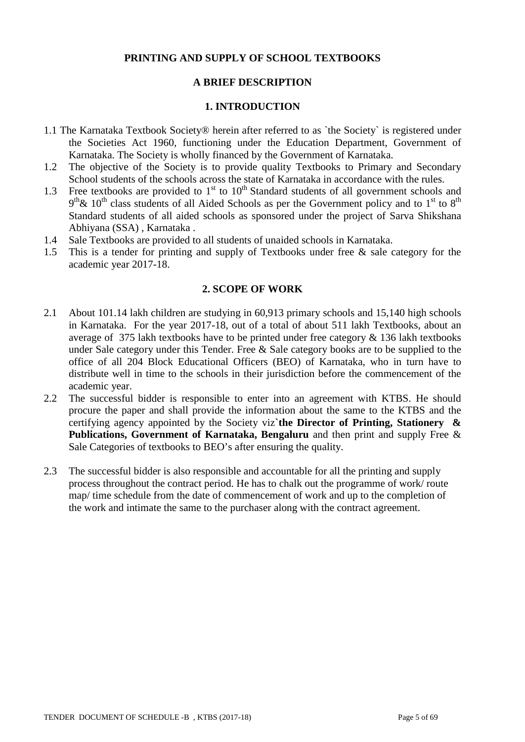## **PRINTING AND SUPPLY OF SCHOOL TEXTBOOKS**

## **A BRIEF DESCRIPTION**

#### **1. INTRODUCTION**

- 1.1 The Karnataka Textbook Society® herein after referred to as `the Society` is registered under the Societies Act 1960, functioning under the Education Department, Government of Karnataka. The Society is wholly financed by the Government of Karnataka.
- 1.2 The objective of the Society is to provide quality Textbooks to Primary and Secondary School students of the schools across the state of Karnataka in accordance with the rules.
- 1.3 Free textbooks are provided to  $1<sup>st</sup>$  to  $10<sup>th</sup>$  Standard students of all government schools and  $9<sup>th</sup>$ &  $10<sup>th</sup>$  class students of all Aided Schools as per the Government policy and to 1<sup>st</sup> to 8<sup>th</sup> Standard students of all aided schools as sponsored under the project of Sarva Shikshana Abhiyana (SSA) , Karnataka .
- 1.4 Sale Textbooks are provided to all students of unaided schools in Karnataka.
- 1.5 This is a tender for printing and supply of Textbooks under free & sale category for the academic year 2017-18.

#### **2. SCOPE OF WORK**

- 2.1 About 101.14 lakh children are studying in 60,913 primary schools and 15,140 high schools in Karnataka. For the year 2017-18, out of a total of about 511 lakh Textbooks, about an average of 375 lakh textbooks have to be printed under free category & 136 lakh textbooks under Sale category under this Tender. Free & Sale category books are to be supplied to the office of all 204 Block Educational Officers (BEO) of Karnataka, who in turn have to distribute well in time to the schools in their jurisdiction before the commencement of the academic year.
- 2.2 The successful bidder is responsible to enter into an agreement with KTBS. He should procure the paper and shall provide the information about the same to the KTBS and the certifying agency appointed by the Society viz**`the Director of Printing, Stationery & Publications, Government of Karnataka, Bengaluru** and then print and supply Free & Sale Categories of textbooks to BEO's after ensuring the quality.
- 2.3 The successful bidder is also responsible and accountable for all the printing and supply process throughout the contract period. He has to chalk out the programme of work/ route map/ time schedule from the date of commencement of work and up to the completion of the work and intimate the same to the purchaser along with the contract agreement.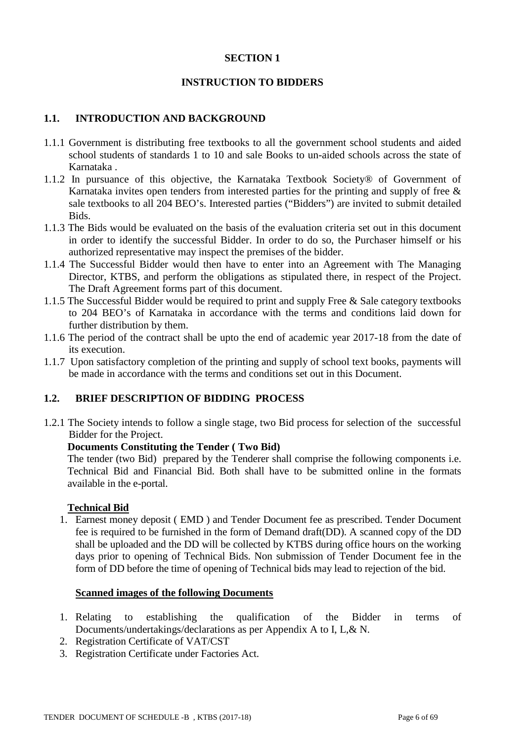#### **SECTION 1**

## **INSTRUCTION TO BIDDERS**

#### **1.1. INTRODUCTION AND BACKGROUND**

- 1.1.1 Government is distributing free textbooks to all the government school students and aided school students of standards 1 to 10 and sale Books to un-aided schools across the state of Karnataka .
- 1.1.2 In pursuance of this objective, the Karnataka Textbook Society® of Government of Karnataka invites open tenders from interested parties for the printing and supply of free  $\&$ sale textbooks to all 204 BEO's. Interested parties ("Bidders") are invited to submit detailed Bids.
- 1.1.3 The Bids would be evaluated on the basis of the evaluation criteria set out in this document in order to identify the successful Bidder. In order to do so, the Purchaser himself or his authorized representative may inspect the premises of the bidder.
- 1.1.4 The Successful Bidder would then have to enter into an Agreement with The Managing Director, KTBS, and perform the obligations as stipulated there, in respect of the Project. The Draft Agreement forms part of this document.
- 1.1.5 The Successful Bidder would be required to print and supply Free & Sale category textbooks to 204 BEO's of Karnataka in accordance with the terms and conditions laid down for further distribution by them.
- 1.1.6 The period of the contract shall be upto the end of academic year 2017-18 from the date of its execution.
- 1.1.7 Upon satisfactory completion of the printing and supply of school text books, payments will be made in accordance with the terms and conditions set out in this Document.

#### **1.2. BRIEF DESCRIPTION OF BIDDING PROCESS**

1.2.1 The Society intends to follow a single stage, two Bid process for selection of the successful Bidder for the Project.

#### **Documents Constituting the Tender ( Two Bid)**

The tender (two Bid) prepared by the Tenderer shall comprise the following components i.e. Technical Bid and Financial Bid. Both shall have to be submitted online in the formats available in the e-portal.

#### **Technical Bid**

1. Earnest money deposit ( EMD ) and Tender Document fee as prescribed. Tender Document fee is required to be furnished in the form of Demand draft(DD). A scanned copy of the DD shall be uploaded and the DD will be collected by KTBS during office hours on the working days prior to opening of Technical Bids. Non submission of Tender Document fee in the form of DD before the time of opening of Technical bids may lead to rejection of the bid.

#### **Scanned images of the following Documents**

- 1. Relating to establishing the qualification of the Bidder in terms of Documents/undertakings/declarations as per Appendix A to I, L,& N.
- 2. Registration Certificate of VAT/CST
- 3. Registration Certificate under Factories Act.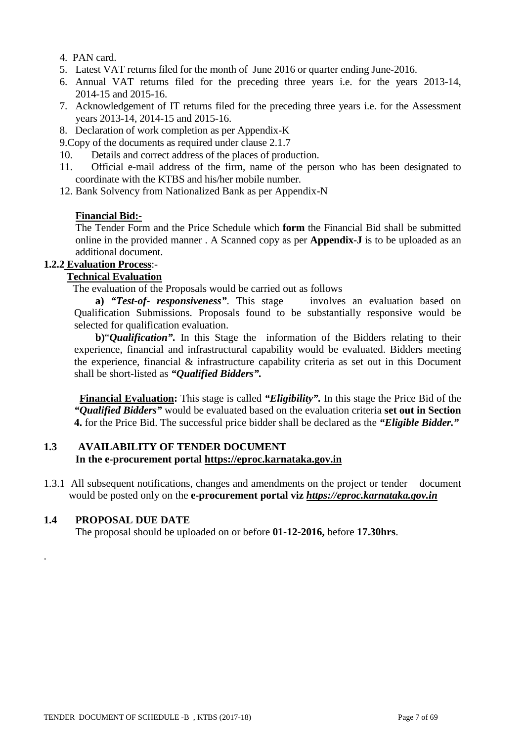- 4. PAN card.
- 5. Latest VAT returns filed for the month of June 2016 or quarter ending June-2016.
- 6. Annual VAT returns filed for the preceding three years i.e. for the years 2013-14, 2014-15 and 2015-16.
- 7. Acknowledgement of IT returns filed for the preceding three years i.e. for the Assessment years 2013-14, 2014-15 and 2015-16.
- 8. Declaration of work completion as per Appendix-K
- 9.Copy of the documents as required under clause 2.1.7
- 10. Details and correct address of the places of production.
- 11. Official e-mail address of the firm, name of the person who has been designated to coordinate with the KTBS and his/her mobile number.
- 12. Bank Solvency from Nationalized Bank as per Appendix-N

#### **Financial Bid:-**

The Tender Form and the Price Schedule which **form** the Financial Bid shall be submitted online in the provided manner . A Scanned copy as per **Appendix-J** is to be uploaded as an additional document.

## **1.2.2 Evaluation Process**:-

## **Technical Evaluation**

The evaluation of the Proposals would be carried out as follows

 **a)** *"Test-of- responsiveness"*. This stage involves an evaluation based on Qualification Submissions. Proposals found to be substantially responsive would be selected for qualification evaluation.

 **b)**"*Qualification".* In this Stage the information of the Bidders relating to their experience, financial and infrastructural capability would be evaluated. Bidders meeting the experience, financial & infrastructure capability criteria as set out in this Document shall be short-listed as *"Qualified Bidders".*

 **Financial Evaluation:** This stage is called *"Eligibility".* In this stage the Price Bid of the *"Qualified Bidders"* would be evaluated based on the evaluation criteria **set out in Section 4.** for the Price Bid. The successful price bidder shall be declared as the *"Eligible Bidder."*

### **1.3 AVAILABILITY OF TENDER DOCUMENT In the e-procurement portal [https://eproc.karnataka.gov.in](https://eproc.karnataka.gov.in/)**

1.3.1 All subsequent notifications, changes and amendments on the project or tender document would be posted only on the **e-procurement portal viz** *[https://eproc.karnataka.gov.in](https://eproc.karnataka.gov.in/)*

## **1.4 PROPOSAL DUE DATE**

.

The proposal should be uploaded on or before **01-12-2016,** before **17.30hrs**.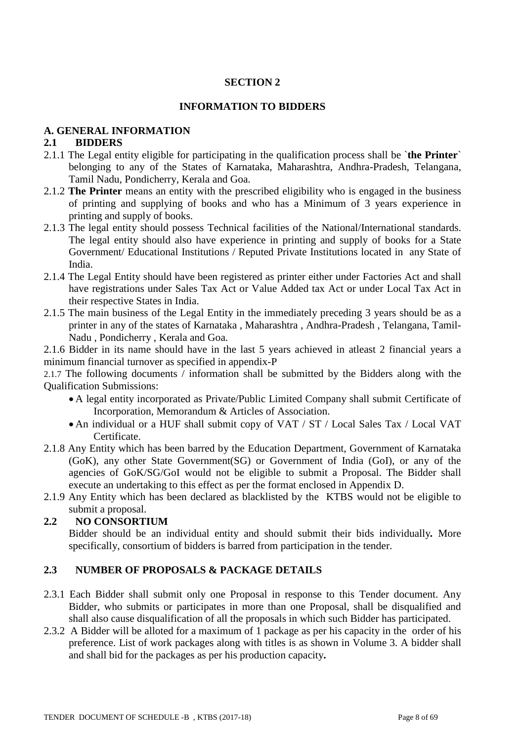## **SECTION 2**

## **INFORMATION TO BIDDERS**

#### **A. GENERAL INFORMATION**

#### **2.1 BIDDERS**

- 2.1.1 The Legal entity eligible for participating in the qualification process shall be `**the Printer**` belonging to any of the States of Karnataka, Maharashtra, Andhra-Pradesh, Telangana, Tamil Nadu, Pondicherry, Kerala and Goa.
- 2.1.2 **The Printer** means an entity with the prescribed eligibility who is engaged in the business of printing and supplying of books and who has a Minimum of 3 years experience in printing and supply of books.
- 2.1.3 The legal entity should possess Technical facilities of the National/International standards. The legal entity should also have experience in printing and supply of books for a State Government/ Educational Institutions / Reputed Private Institutions located in any State of India.
- 2.1.4 The Legal Entity should have been registered as printer either under Factories Act and shall have registrations under Sales Tax Act or Value Added tax Act or under Local Tax Act in their respective States in India.
- 2.1.5 The main business of the Legal Entity in the immediately preceding 3 years should be as a printer in any of the states of Karnataka , Maharashtra , Andhra-Pradesh , Telangana, Tamil-Nadu , Pondicherry , Kerala and Goa.

2.1.6 Bidder in its name should have in the last 5 years achieved in atleast 2 financial years a minimum financial turnover as specified in appendix-P

2.1.7 The following documents / information shall be submitted by the Bidders along with the Qualification Submissions:

- A legal entity incorporated as Private/Public Limited Company shall submit Certificate of Incorporation, Memorandum & Articles of Association.
- An individual or a HUF shall submit copy of VAT / ST / Local Sales Tax / Local VAT Certificate.
- 2.1.8 Any Entity which has been barred by the Education Department, Government of Karnataka (GoK), any other State Government(SG) or Government of India (GoI), or any of the agencies of GoK/SG/GoI would not be eligible to submit a Proposal. The Bidder shall execute an undertaking to this effect as per the format enclosed in Appendix D.
- 2.1.9 Any Entity which has been declared as blacklisted by the KTBS would not be eligible to submit a proposal.

## **2.2 NO CONSORTIUM**

Bidder should be an individual entity and should submit their bids individually*.* More specifically, consortium of bidders is barred from participation in the tender.

## **2.3 NUMBER OF PROPOSALS & PACKAGE DETAILS**

- 2.3.1 Each Bidder shall submit only one Proposal in response to this Tender document. Any Bidder, who submits or participates in more than one Proposal, shall be disqualified and shall also cause disqualification of all the proposals in which such Bidder has participated.
- 2.3.2 A Bidder will be alloted for a maximum of 1 package as per his capacity in the order of his preference. List of work packages along with titles is as shown in Volume 3. A bidder shall and shall bid for the packages as per his production capacity**.**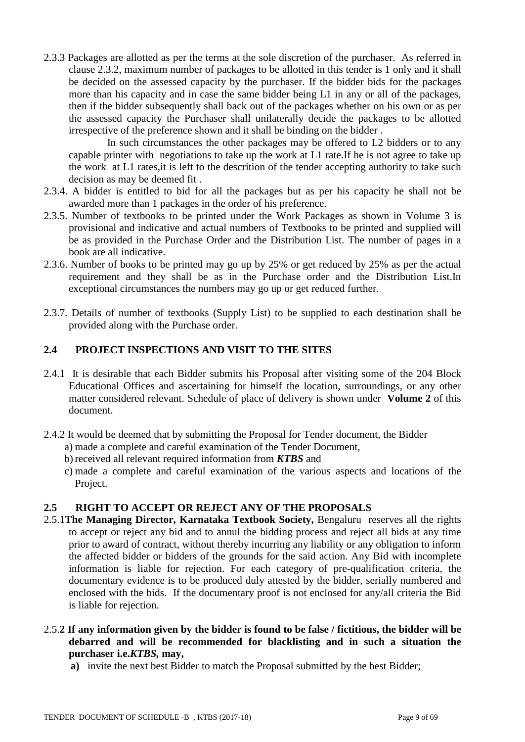2.3.3 Packages are allotted as per the terms at the sole discretion of the purchaser. As referred in clause 2.3.2, maximum number of packages to be allotted in this tender is 1 only and it shall be decided on the assessed capacity by the purchaser. If the bidder bids for the packages more than his capacity and in case the same bidder being L1 in any or all of the packages, then if the bidder subsequently shall back out of the packages whether on his own or as per the assessed capacity the Purchaser shall unilaterally decide the packages to be allotted irrespective of the preference shown and it shall be binding on the bidder .

In such circumstances the other packages may be offered to L2 bidders or to any capable printer with negotiations to take up the work at L1 rate.If he is not agree to take up the work at L1 rates,it is left to the descrition of the tender accepting authority to take such decision as may be deemed fit .

- 2.3.4. A bidder is entitled to bid for all the packages but as per his capacity he shall not be awarded more than 1 packages in the order of his preference.
- 2.3.5. Number of textbooks to be printed under the Work Packages as shown in Volume 3 is provisional and indicative and actual numbers of Textbooks to be printed and supplied will be as provided in the Purchase Order and the Distribution List. The number of pages in a book are all indicative.
- 2.3.6. Number of books to be printed may go up by 25% or get reduced by 25% as per the actual requirement and they shall be as in the Purchase order and the Distribution List.In exceptional circumstances the numbers may go up or get reduced further.
- 2.3.7. Details of number of textbooks (Supply List) to be supplied to each destination shall be provided along with the Purchase order.

## **2.4 PROJECT INSPECTIONS AND VISIT TO THE SITES**

- 2.4.1 It is desirable that each Bidder submits his Proposal after visiting some of the 204 Block Educational Offices and ascertaining for himself the location, surroundings, or any other matter considered relevant. Schedule of place of delivery is shown under **Volume 2** of this document.
- 2.4.2 It would be deemed that by submitting the Proposal for Tender document, the Bidder
	- a) made a complete and careful examination of the Tender Document,
	- b) received all relevant required information from *KTBS* and
	- c) made a complete and careful examination of the various aspects and locations of the Project.

#### **2.5 RIGHT TO ACCEPT OR REJECT ANY OF THE PROPOSALS**

- 2.5.1**The Managing Director, Karnataka Textbook Society,** Bengaluru reserves all the rights to accept or reject any bid and to annul the bidding process and reject all bids at any time prior to award of contract, without thereby incurring any liability or any obligation to inform the affected bidder or bidders of the grounds for the said action. Any Bid with incomplete information is liable for rejection. For each category of pre-qualification criteria, the documentary evidence is to be produced duly attested by the bidder, serially numbered and enclosed with the bids. If the documentary proof is not enclosed for any/all criteria the Bid is liable for rejection.
- 2.5.**2 If any information given by the bidder is found to be false / fictitious, the bidder will be debarred and will be recommended for blacklisting and in such a situation the purchaser i.e.***KTBS,* **may,**
	- **a)** invite the next best Bidder to match the Proposal submitted by the best Bidder;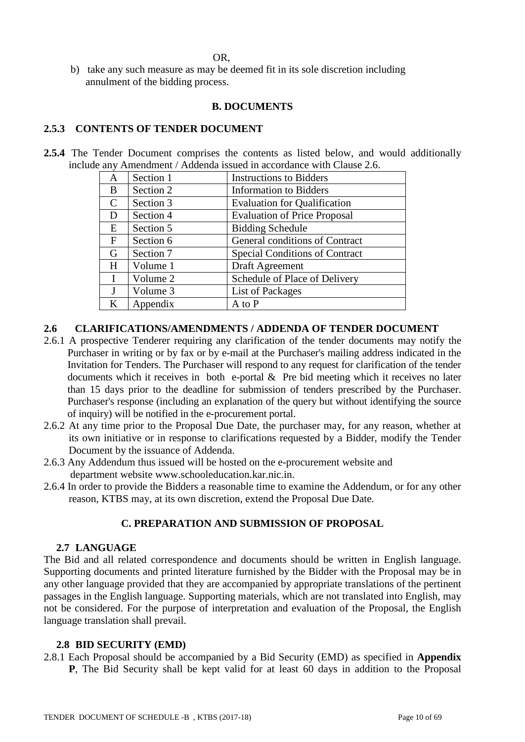OR,

b) take any such measure as may be deemed fit in its sole discretion including annulment of the bidding process.

## **B. DOCUMENTS**

## **2.5.3 CONTENTS OF TENDER DOCUMENT**

**2.5.4** The Tender Document comprises the contents as listed below, and would additionally include any Amendment / Addenda issued in accordance with Clause 2.6.

| A            | Section 1 | <b>Instructions to Bidders</b>        |
|--------------|-----------|---------------------------------------|
| B            | Section 2 | <b>Information</b> to Bidders         |
| $\mathbf C$  | Section 3 | <b>Evaluation for Qualification</b>   |
| D            | Section 4 | <b>Evaluation of Price Proposal</b>   |
| E            | Section 5 | <b>Bidding Schedule</b>               |
| F            | Section 6 | General conditions of Contract        |
| G            | Section 7 | <b>Special Conditions of Contract</b> |
| H            | Volume 1  | Draft Agreement                       |
| $\mathbf{I}$ | Volume 2  | Schedule of Place of Delivery         |
| $\mathbf{J}$ | Volume 3  | List of Packages                      |
| $\bf K$      | Appendix  | A to P                                |

#### **2.6 CLARIFICATIONS/AMENDMENTS / ADDENDA OF TENDER DOCUMENT**

- 2.6.1 A prospective Tenderer requiring any clarification of the tender documents may notify the Purchaser in writing or by fax or by e-mail at the Purchaser's mailing address indicated in the Invitation for Tenders. The Purchaser will respond to any request for clarification of the tender documents which it receives in both e-portal & Pre bid meeting which it receives no later than 15 days prior to the deadline for submission of tenders prescribed by the Purchaser. Purchaser's response (including an explanation of the query but without identifying the source of inquiry) will be notified in the e-procurement portal.
- 2.6.2 At any time prior to the Proposal Due Date, the purchaser may, for any reason, whether at its own initiative or in response to clarifications requested by a Bidder, modify the Tender Document by the issuance of Addenda.
- 2.6.3 Any Addendum thus issued will be hosted on the e-procurement website and department website www.schooleducation.kar.nic.in.
- 2.6.4 In order to provide the Bidders a reasonable time to examine the Addendum, or for any other reason, KTBS may, at its own discretion, extend the Proposal Due Date.

## **C. PREPARATION AND SUBMISSION OF PROPOSAL**

#### **2.7 LANGUAGE**

The Bid and all related correspondence and documents should be written in English language. Supporting documents and printed literature furnished by the Bidder with the Proposal may be in any other language provided that they are accompanied by appropriate translations of the pertinent passages in the English language. Supporting materials, which are not translated into English, may not be considered. For the purpose of interpretation and evaluation of the Proposal, the English language translation shall prevail.

#### **2.8 BID SECURITY (EMD)**

2.8.1 Each Proposal should be accompanied by a Bid Security (EMD) as specified in **Appendix P**, The Bid Security shall be kept valid for at least 60 days in addition to the Proposal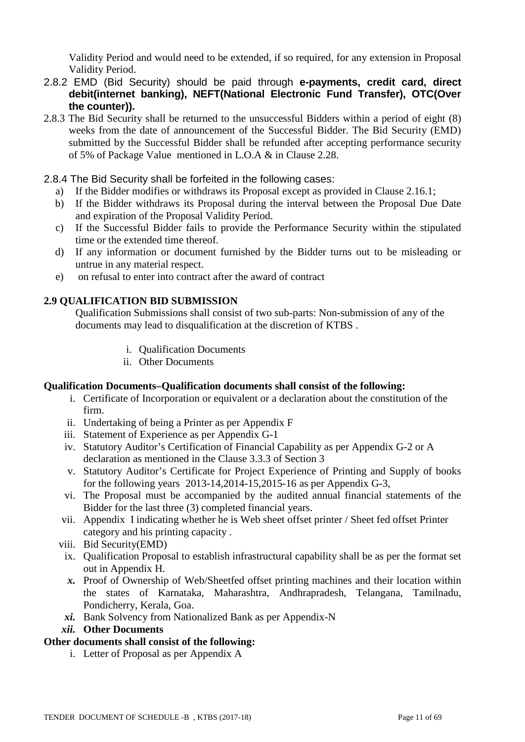Validity Period and would need to be extended, if so required, for any extension in Proposal Validity Period.

- 2.8.2 EMD (Bid Security) should be paid through **e-payments, credit card, direct debit(internet banking), NEFT(National Electronic Fund Transfer), OTC(Over the counter)).**
- 2.8.3 The Bid Security shall be returned to the unsuccessful Bidders within a period of eight (8) weeks from the date of announcement of the Successful Bidder. The Bid Security (EMD) submitted by the Successful Bidder shall be refunded after accepting performance security of 5% of Package Value mentioned in L.O.A & in Clause 2.28.
- 2.8.4 The Bid Security shall be forfeited in the following cases:
	- a) If the Bidder modifies or withdraws its Proposal except as provided in Clause 2.16.1;
	- b) If the Bidder withdraws its Proposal during the interval between the Proposal Due Date and expiration of the Proposal Validity Period.
	- c) If the Successful Bidder fails to provide the Performance Security within the stipulated time or the extended time thereof.
	- d) If any information or document furnished by the Bidder turns out to be misleading or untrue in any material respect.
	- e) on refusal to enter into contract after the award of contract

#### **2.9 QUALIFICATION BID SUBMISSION**

Qualification Submissions shall consist of two sub-parts: Non-submission of any of the documents may lead to disqualification at the discretion of KTBS .

- i. Qualification Documents
- ii. Other Documents

#### **Qualification Documents***–***Qualification documents shall consist of the following:**

- i. Certificate of Incorporation or equivalent or a declaration about the constitution of the firm.
- ii. Undertaking of being a Printer as per Appendix F
- iii. Statement of Experience as per Appendix G-1
- iv. Statutory Auditor's Certification of Financial Capability as per Appendix G-2 or A declaration as mentioned in the Clause 3.3.3 of Section 3
- v. Statutory Auditor's Certificate for Project Experience of Printing and Supply of books for the following years 2013-14,2014-15,2015-16 as per Appendix G-3,
- vi. The Proposal must be accompanied by the audited annual financial statements of the Bidder for the last three (3) completed financial years.
- vii. Appendix I indicating whether he is Web sheet offset printer / Sheet fed offset Printer category and his printing capacity .
- viii. Bid Security(EMD)
- ix. Qualification Proposal to establish infrastructural capability shall be as per the format set out in Appendix H.
- *x.* Proof of Ownership of Web/Sheetfed offset printing machines and their location within the states of Karnataka, Maharashtra, Andhrapradesh, Telangana, Tamilnadu, Pondicherry, Kerala, Goa.
- *xi.* Bank Solvency from Nationalized Bank as per Appendix-N
- *xii.* **Other Documents**

#### **Other documents shall consist of the following:**

i. Letter of Proposal as per Appendix A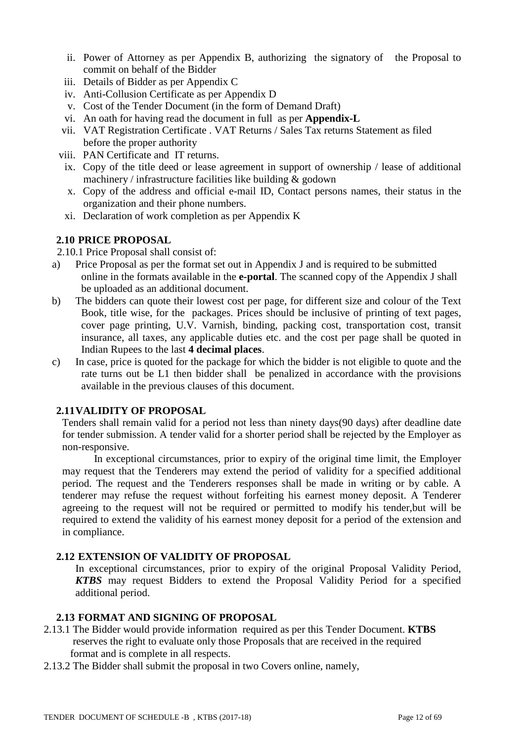- ii. Power of Attorney as per Appendix B, authorizing the signatory of the Proposal to commit on behalf of the Bidder
- iii. Details of Bidder as per Appendix C
- iv. Anti-Collusion Certificate as per Appendix D
- v. Cost of the Tender Document (in the form of Demand Draft)
- vi. An oath for having read the document in full as per **Appendix-L**
- vii. VAT Registration Certificate . VAT Returns / Sales Tax returns Statement as filed before the proper authority
- viii. PAN Certificate and IT returns.
- ix. Copy of the title deed or lease agreement in support of ownership / lease of additional machinery / infrastructure facilities like building & godown
- x. Copy of the address and official e-mail ID, Contact persons names, their status in the organization and their phone numbers.
- xi. Declaration of work completion as per Appendix K

## **2.10 PRICE PROPOSAL**

2.10.1 Price Proposal shall consist of:

- a) Price Proposal as per the format set out in Appendix J and is required to be submitted online in the formats available in the **e-portal**. The scanned copy of the Appendix J shall be uploaded as an additional document.
- b) The bidders can quote their lowest cost per page, for different size and colour of the Text Book, title wise, for the packages. Prices should be inclusive of printing of text pages, cover page printing, U.V. Varnish, binding, packing cost, transportation cost, transit insurance, all taxes, any applicable duties etc. and the cost per page shall be quoted in Indian Rupees to the last **4 decimal places**.
- c) In case, price is quoted for the package for which the bidder is not eligible to quote and the rate turns out be L1 then bidder shall be penalized in accordance with the provisions available in the previous clauses of this document.

## **2.11VALIDITY OF PROPOSAL**

Tenders shall remain valid for a period not less than ninety days(90 days) after deadline date for tender submission. A tender valid for a shorter period shall be rejected by the Employer as non-responsive.

 In exceptional circumstances, prior to expiry of the original time limit, the Employer may request that the Tenderers may extend the period of validity for a specified additional period. The request and the Tenderers responses shall be made in writing or by cable. A tenderer may refuse the request without forfeiting his earnest money deposit. A Tenderer agreeing to the request will not be required or permitted to modify his tender,but will be required to extend the validity of his earnest money deposit for a period of the extension and in compliance.

#### **2.12 EXTENSION OF VALIDITY OF PROPOSAL**

In exceptional circumstances, prior to expiry of the original Proposal Validity Period, *KTBS* may request Bidders to extend the Proposal Validity Period for a specified additional period.

#### **2.13 FORMAT AND SIGNING OF PROPOSAL**

- 2.13.1 The Bidder would provide information required as per this Tender Document. **KTBS**  reserves the right to evaluate only those Proposals that are received in the required format and is complete in all respects.
- 2.13.2 The Bidder shall submit the proposal in two Covers online, namely,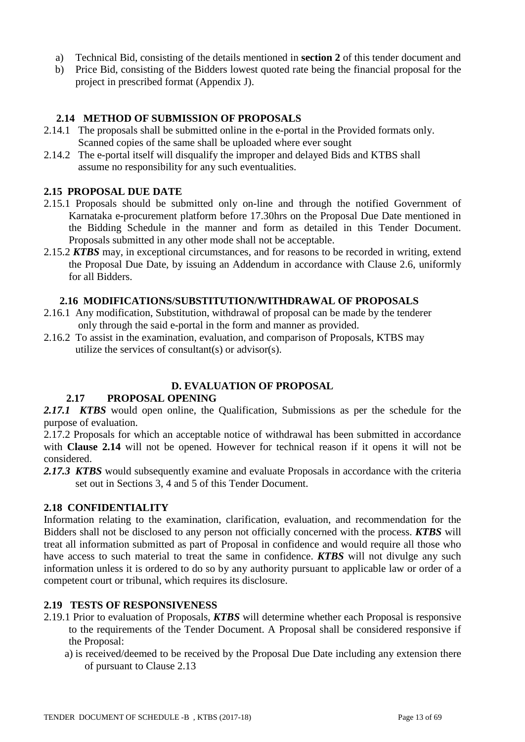- a) Technical Bid, consisting of the details mentioned in **section 2** of this tender document and
- b) Price Bid, consisting of the Bidders lowest quoted rate being the financial proposal for the project in prescribed format (Appendix J).

## **2.14 METHOD OF SUBMISSION OF PROPOSALS**

- 2.14.1 The proposals shall be submitted online in the e-portal in the Provided formats only. Scanned copies of the same shall be uploaded where ever sought
- 2.14.2 The e-portal itself will disqualify the improper and delayed Bids and KTBS shall assume no responsibility for any such eventualities.

#### **2.15 PROPOSAL DUE DATE**

- 2.15.1 Proposals should be submitted only on-line and through the notified Government of Karnataka e-procurement platform before 17.30hrs on the Proposal Due Date mentioned in the Bidding Schedule in the manner and form as detailed in this Tender Document. Proposals submitted in any other mode shall not be acceptable.
- 2.15.2 *KTBS* may, in exceptional circumstances, and for reasons to be recorded in writing, extend the Proposal Due Date, by issuing an Addendum in accordance with Clause 2.6, uniformly for all Bidders.

#### **2.16 MODIFICATIONS/SUBSTITUTION/WITHDRAWAL OF PROPOSALS**

- 2.16.1 Any modification, Substitution, withdrawal of proposal can be made by the tenderer only through the said e-portal in the form and manner as provided.
- 2.16.2 To assist in the examination, evaluation, and comparison of Proposals, KTBS may utilize the services of consultant(s) or advisor(s).

#### **D. EVALUATION OF PROPOSAL**

#### **2.17 PROPOSAL OPENING**

*2.17.1 KTBS* would open online, the Qualification, Submissions as per the schedule for the purpose of evaluation.

2.17.2 Proposals for which an acceptable notice of withdrawal has been submitted in accordance with **Clause 2.14** will not be opened. However for technical reason if it opens it will not be considered.

*2.17.3 KTBS* would subsequently examine and evaluate Proposals in accordance with the criteria set out in Sections 3, 4 and 5 of this Tender Document.

#### **2.18 CONFIDENTIALITY**

Information relating to the examination, clarification, evaluation, and recommendation for the Bidders shall not be disclosed to any person not officially concerned with the process. *KTBS* will treat all information submitted as part of Proposal in confidence and would require all those who have access to such material to treat the same in confidence. *KTBS* will not divulge any such information unless it is ordered to do so by any authority pursuant to applicable law or order of a competent court or tribunal, which requires its disclosure.

#### **2.19 TESTS OF RESPONSIVENESS**

- 2.19.1 Prior to evaluation of Proposals, *KTBS* will determine whether each Proposal is responsive to the requirements of the Tender Document. A Proposal shall be considered responsive if the Proposal:
	- a) is received/deemed to be received by the Proposal Due Date including any extension there of pursuant to Clause 2.13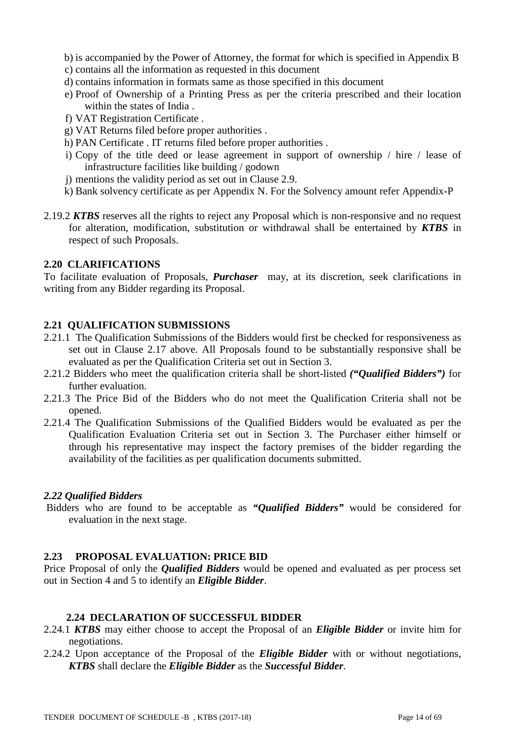- b) is accompanied by the Power of Attorney, the format for which is specified in Appendix B
- c) contains all the information as requested in this document
- d) contains information in formats same as those specified in this document
- e) Proof of Ownership of a Printing Press as per the criteria prescribed and their location within the states of India .
- f) VAT Registration Certificate .
- g) VAT Returns filed before proper authorities .
- h) PAN Certificate . IT returns filed before proper authorities .
- i) Copy of the title deed or lease agreement in support of ownership / hire / lease of infrastructure facilities like building / godown
- j) mentions the validity period as set out in Clause 2.9.
- k) Bank solvency certificate as per Appendix N. For the Solvency amount refer Appendix-P
- 2.19.2 *KTBS* reserves all the rights to reject any Proposal which is non-responsive and no request for alteration, modification, substitution or withdrawal shall be entertained by *KTBS* in respect of such Proposals.

#### **2.20 CLARIFICATIONS**

To facilitate evaluation of Proposals, *Purchaser* may, at its discretion, seek clarifications in writing from any Bidder regarding its Proposal.

## **2.21 QUALIFICATION SUBMISSIONS**

- 2.21.1 The Qualification Submissions of the Bidders would first be checked for responsiveness as set out in Clause 2.17 above. All Proposals found to be substantially responsive shall be evaluated as per the Qualification Criteria set out in Section 3.
- 2.21.2 Bidders who meet the qualification criteria shall be short-listed *("Qualified Bidders")* for further evaluation.
- 2.21.3 The Price Bid of the Bidders who do not meet the Qualification Criteria shall not be opened.
- 2.21.4 The Qualification Submissions of the Qualified Bidders would be evaluated as per the Qualification Evaluation Criteria set out in Section 3. The Purchaser either himself or through his representative may inspect the factory premises of the bidder regarding the availability of the facilities as per qualification documents submitted.

#### *2.22 Qualified Bidders*

Bidders who are found to be acceptable as *"Qualified Bidders"* would be considered for evaluation in the next stage.

#### **2.23 PROPOSAL EVALUATION: PRICE BID**

Price Proposal of only the *Qualified Bidders* would be opened and evaluated as per process set out in Section 4 and 5 to identify an *Eligible Bidder*.

#### **2.24 DECLARATION OF SUCCESSFUL BIDDER**

- 2.24.1 *KTBS* may either choose to accept the Proposal of an *Eligible Bidder* or invite him for negotiations.
- 2.24.2 Upon acceptance of the Proposal of the *Eligible Bidder* with or without negotiations, *KTBS* shall declare the *Eligible Bidder* as the *Successful Bidder*.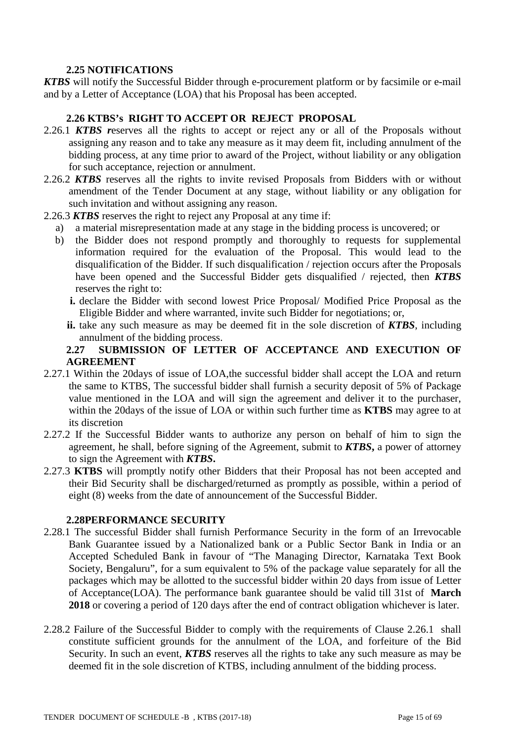## **2.25 NOTIFICATIONS**

*KTBS* will notify the Successful Bidder through e-procurement platform or by facsimile or e-mail and by a Letter of Acceptance (LOA) that his Proposal has been accepted.

## **2.26 KTBS's RIGHT TO ACCEPT OR REJECT PROPOSAL**

- 2.26.1 *KTBS r*eserves all the rights to accept or reject any or all of the Proposals without assigning any reason and to take any measure as it may deem fit, including annulment of the bidding process, at any time prior to award of the Project, without liability or any obligation for such acceptance, rejection or annulment.
- 2.26.2 *KTBS* reserves all the rights to invite revised Proposals from Bidders with or without amendment of the Tender Document at any stage, without liability or any obligation for such invitation and without assigning any reason.
- 2.26.3 *KTBS* reserves the right to reject any Proposal at any time if:
	- a) a material misrepresentation made at any stage in the bidding process is uncovered; or
	- b) the Bidder does not respond promptly and thoroughly to requests for supplemental information required for the evaluation of the Proposal. This would lead to the disqualification of the Bidder. If such disqualification / rejection occurs after the Proposals have been opened and the Successful Bidder gets disqualified / rejected, then *KTBS* reserves the right to:
		- **i.** declare the Bidder with second lowest Price Proposal/ Modified Price Proposal as the Eligible Bidder and where warranted, invite such Bidder for negotiations; or,
		- **ii.** take any such measure as may be deemed fit in the sole discretion of *KTBS*, including annulment of the bidding process.

#### **2.27 SUBMISSION OF LETTER OF ACCEPTANCE AND EXECUTION OF AGREEMENT**

- 2.27.1 Within the 20days of issue of LOA,the successful bidder shall accept the LOA and return the same to KTBS, The successful bidder shall furnish a security deposit of 5% of Package value mentioned in the LOA and will sign the agreement and deliver it to the purchaser, within the 20days of the issue of LOA or within such further time as **KTBS** may agree to at its discretion
- 2.27.2 If the Successful Bidder wants to authorize any person on behalf of him to sign the agreement, he shall, before signing of the Agreement, submit to *KTBS***,** a power of attorney to sign the Agreement with *KTBS***.**
- 2.27.3 **KTBS** will promptly notify other Bidders that their Proposal has not been accepted and their Bid Security shall be discharged/returned as promptly as possible, within a period of eight (8) weeks from the date of announcement of the Successful Bidder.

## **2.28PERFORMANCE SECURITY**

- 2.28.1 The successful Bidder shall furnish Performance Security in the form of an Irrevocable Bank Guarantee issued by a Nationalized bank or a Public Sector Bank in India or an Accepted Scheduled Bank in favour of "The Managing Director, Karnataka Text Book Society, Bengaluru", for a sum equivalent to 5% of the package value separately for all the packages which may be allotted to the successful bidder within 20 days from issue of Letter of Acceptance(LOA). The performance bank guarantee should be valid till 31st of **March 2018** or covering a period of 120 days after the end of contract obligation whichever is later.
- 2.28.2 Failure of the Successful Bidder to comply with the requirements of Clause 2.26.1 shall constitute sufficient grounds for the annulment of the LOA, and forfeiture of the Bid Security. In such an event, *KTBS* reserves all the rights to take any such measure as may be deemed fit in the sole discretion of KTBS, including annulment of the bidding process.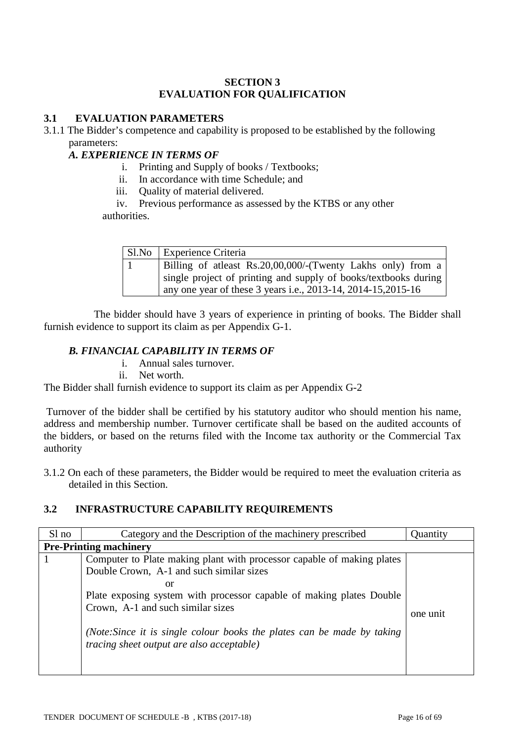## **SECTION 3 EVALUATION FOR QUALIFICATION**

## **3.1 EVALUATION PARAMETERS**

3.1.1 The Bidder's competence and capability is proposed to be established by the following parameters:

## *A. EXPERIENCE IN TERMS OF*

- i. Printing and Supply of books / Textbooks;
- ii. In accordance with time Schedule; and
- iii. Quality of material delivered.

iv. Previous performance as assessed by the KTBS or any other authorities.

| Sl.No Experience Criteria                                       |
|-----------------------------------------------------------------|
| Billing of atleast Rs.20,00,000/-(Twenty Lakhs only) from a     |
| single project of printing and supply of books/textbooks during |
| any one year of these 3 years i.e., 2013-14, 2014-15, 2015-16   |

 The bidder should have 3 years of experience in printing of books. The Bidder shall furnish evidence to support its claim as per Appendix G-1.

## *B. FINANCIAL CAPABILITY IN TERMS OF*

- i. Annual sales turnover.
- ii. Net worth.

The Bidder shall furnish evidence to support its claim as per Appendix G-2

Turnover of the bidder shall be certified by his statutory auditor who should mention his name, address and membership number. Turnover certificate shall be based on the audited accounts of the bidders, or based on the returns filed with the Income tax authority or the Commercial Tax authority

3.1.2 On each of these parameters, the Bidder would be required to meet the evaluation criteria as detailed in this Section.

## **3.2 INFRASTRUCTURE CAPABILITY REQUIREMENTS**

| Sl no | Category and the Description of the machinery prescribed                                                                                                                                                                                                                                                                                                              | Quantity |
|-------|-----------------------------------------------------------------------------------------------------------------------------------------------------------------------------------------------------------------------------------------------------------------------------------------------------------------------------------------------------------------------|----------|
|       | <b>Pre-Printing machinery</b>                                                                                                                                                                                                                                                                                                                                         |          |
|       | Computer to Plate making plant with processor capable of making plates<br>Double Crown, A-1 and such similar sizes<br>or<br>Plate exposing system with processor capable of making plates Double<br>Crown, A-1 and such similar sizes<br>(Note: Since it is single colour books the plates can be made by taking)<br><i>tracing sheet output are also acceptable)</i> | one unit |
|       |                                                                                                                                                                                                                                                                                                                                                                       |          |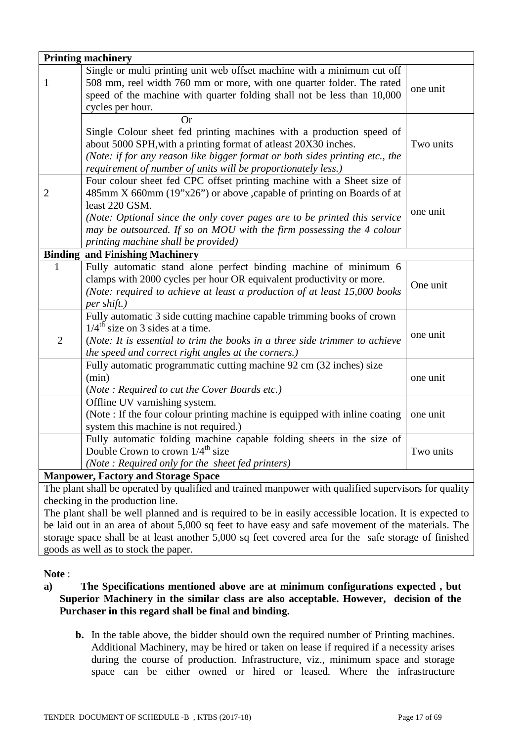|                | <b>Printing machinery</b>                                                                                   |           |
|----------------|-------------------------------------------------------------------------------------------------------------|-----------|
|                | Single or multi printing unit web offset machine with a minimum cut off                                     |           |
| 1              | 508 mm, reel width 760 mm or more, with one quarter folder. The rated                                       | one unit  |
|                | speed of the machine with quarter folding shall not be less than 10,000                                     |           |
|                | cycles per hour.                                                                                            |           |
|                | <b>Or</b>                                                                                                   |           |
|                | Single Colour sheet fed printing machines with a production speed of                                        |           |
|                | about 5000 SPH, with a printing format of atleast 20X30 inches.                                             | Two units |
|                | (Note: if for any reason like bigger format or both sides printing etc., the                                |           |
|                | requirement of number of units will be proportionately less.)                                               |           |
|                | Four colour sheet fed CPC offset printing machine with a Sheet size of                                      |           |
| $\overline{2}$ | 485mm X 660mm (19"x26") or above , capable of printing on Boards of at                                      |           |
|                | least 220 GSM.                                                                                              | one unit  |
|                | (Note: Optional since the only cover pages are to be printed this service                                   |           |
|                | may be outsourced. If so on MOU with the firm possessing the 4 colour                                       |           |
|                | printing machine shall be provided)                                                                         |           |
| <b>Binding</b> | and Finishing Machinery                                                                                     |           |
| $\mathbf{1}$   | Fully automatic stand alone perfect binding machine of minimum 6                                            |           |
|                | clamps with 2000 cycles per hour OR equivalent productivity or more.                                        | One unit  |
|                | (Note: required to achieve at least a production of at least 15,000 books                                   |           |
|                | per shift.)                                                                                                 |           |
|                | Fully automatic 3 side cutting machine capable trimming books of crown                                      |           |
|                | $1/4^{\text{th}}$ size on 3 sides at a time.                                                                | one unit  |
| $\overline{2}$ | (Note: It is essential to trim the books in a three side trimmer to achieve                                 |           |
|                | the speed and correct right angles at the corners.)                                                         |           |
|                | Fully automatic programmatic cutting machine 92 cm (32 inches) size                                         |           |
|                | (min)                                                                                                       | one unit  |
|                | (Note: Required to cut the Cover Boards etc.)                                                               |           |
|                | Offline UV varnishing system.<br>(Note: If the four colour printing machine is equipped with inline coating |           |
|                | system this machine is not required.)                                                                       | one unit  |
|                | Fully automatic folding machine capable folding sheets in the size of                                       |           |
|                | Double Crown to crown $1/4^{\text{th}}$ size                                                                | Two units |
|                | (Note: Required only for the sheet fed printers)                                                            |           |
|                | <b>Manpower, Factory and Storage Space</b>                                                                  |           |
|                |                                                                                                             |           |

The plant shall be operated by qualified and trained manpower with qualified supervisors for quality checking in the production line.

The plant shall be well planned and is required to be in easily accessible location. It is expected to be laid out in an area of about 5,000 sq feet to have easy and safe movement of the materials. The storage space shall be at least another 5,000 sq feet covered area for the safe storage of finished goods as well as to stock the paper.

## **Note** :

### **a) The Specifications mentioned above are at minimum configurations expected , but Superior Machinery in the similar class are also acceptable. However, decision of the Purchaser in this regard shall be final and binding.**

**b.** In the table above, the bidder should own the required number of Printing machines. Additional Machinery, may be hired or taken on lease if required if a necessity arises during the course of production. Infrastructure, viz., minimum space and storage space can be either owned or hired or leased. Where the infrastructure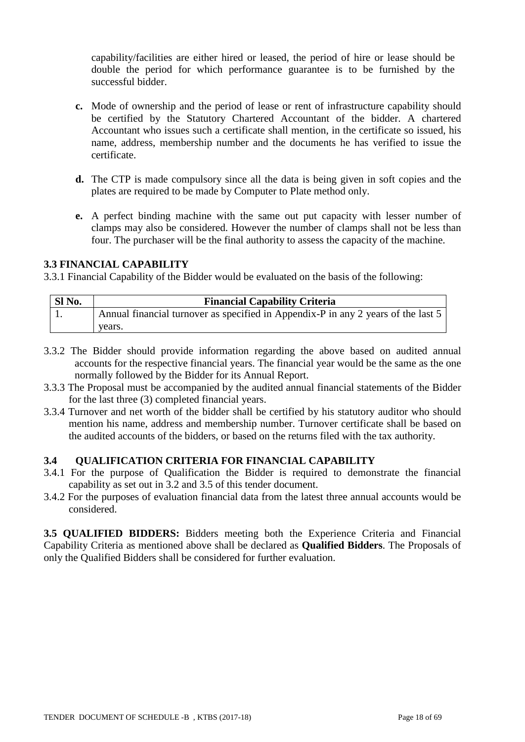capability/facilities are either hired or leased, the period of hire or lease should be double the period for which performance guarantee is to be furnished by the successful bidder.

- **c.** Mode of ownership and the period of lease or rent of infrastructure capability should be certified by the Statutory Chartered Accountant of the bidder. A chartered Accountant who issues such a certificate shall mention, in the certificate so issued, his name, address, membership number and the documents he has verified to issue the certificate.
- **d.** The CTP is made compulsory since all the data is being given in soft copies and the plates are required to be made by Computer to Plate method only.
- **e.** A perfect binding machine with the same out put capacity with lesser number of clamps may also be considered. However the number of clamps shall not be less than four. The purchaser will be the final authority to assess the capacity of the machine.

#### **3.3 FINANCIAL CAPABILITY**

3.3.1 Financial Capability of the Bidder would be evaluated on the basis of the following:

| Sl No. | <b>Financial Capability Criteria</b>                                              |
|--------|-----------------------------------------------------------------------------------|
|        | Annual financial turnover as specified in Appendix-P in any 2 years of the last 5 |
|        | vears.                                                                            |

- 3.3.2 The Bidder should provide information regarding the above based on audited annual accounts for the respective financial years. The financial year would be the same as the one normally followed by the Bidder for its Annual Report.
- 3.3.3 The Proposal must be accompanied by the audited annual financial statements of the Bidder for the last three (3) completed financial years.
- 3.3.4 Turnover and net worth of the bidder shall be certified by his statutory auditor who should mention his name, address and membership number. Turnover certificate shall be based on the audited accounts of the bidders, or based on the returns filed with the tax authority.

#### **3.4 QUALIFICATION CRITERIA FOR FINANCIAL CAPABILITY**

- 3.4.1 For the purpose of Qualification the Bidder is required to demonstrate the financial capability as set out in 3.2 and 3.5 of this tender document.
- 3.4.2 For the purposes of evaluation financial data from the latest three annual accounts would be considered.

**3.5 QUALIFIED BIDDERS:** Bidders meeting both the Experience Criteria and Financial Capability Criteria as mentioned above shall be declared as **Qualified Bidders**. The Proposals of only the Qualified Bidders shall be considered for further evaluation.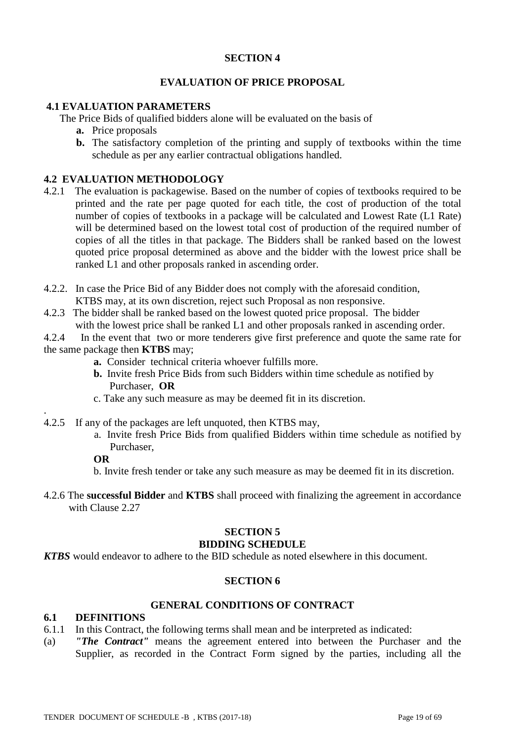#### **SECTION 4**

### **EVALUATION OF PRICE PROPOSAL**

#### **4.1 EVALUATION PARAMETERS**

The Price Bids of qualified bidders alone will be evaluated on the basis of

- **a.** Price proposals
- **b.** The satisfactory completion of the printing and supply of textbooks within the time schedule as per any earlier contractual obligations handled.

## **4.2 EVALUATION METHODOLOGY**

- 4.2.1 The evaluation is packagewise. Based on the number of copies of textbooks required to be printed and the rate per page quoted for each title, the cost of production of the total number of copies of textbooks in a package will be calculated and Lowest Rate (L1 Rate) will be determined based on the lowest total cost of production of the required number of copies of all the titles in that package. The Bidders shall be ranked based on the lowest quoted price proposal determined as above and the bidder with the lowest price shall be ranked L1 and other proposals ranked in ascending order.
- 4.2.2. In case the Price Bid of any Bidder does not comply with the aforesaid condition, KTBS may, at its own discretion, reject such Proposal as non responsive.
- 4.2.3 The bidder shall be ranked based on the lowest quoted price proposal. The bidder with the lowest price shall be ranked L1 and other proposals ranked in ascending order.

4.2.4 In the event that two or more tenderers give first preference and quote the same rate for the same package then **KTBS** may;

- **a.** Consider technical criteria whoever fulfills more.
- **b.** Invite fresh Price Bids from such Bidders within time schedule as notified by Purchaser, **OR**
- c. Take any such measure as may be deemed fit in its discretion.
- 4.2.5 If any of the packages are left unquoted, then KTBS may,
	- a. Invite fresh Price Bids from qualified Bidders within time schedule as notified by Purchaser,

#### **OR**

.

b. Invite fresh tender or take any such measure as may be deemed fit in its discretion.

4.2.6 The **successful Bidder** and **KTBS** shall proceed with finalizing the agreement in accordance with Clause 2.27

#### **SECTION 5 BIDDING SCHEDULE**

*KTBS* would endeavor to adhere to the BID schedule as noted elsewhere in this document.

#### **SECTION 6**

#### **GENERAL CONDITIONS OF CONTRACT**

### **6.1 DEFINITIONS**

- 6.1.1 In this Contract, the following terms shall mean and be interpreted as indicated:
- (a) *"The Contract"* means the agreement entered into between the Purchaser and the Supplier, as recorded in the Contract Form signed by the parties, including all the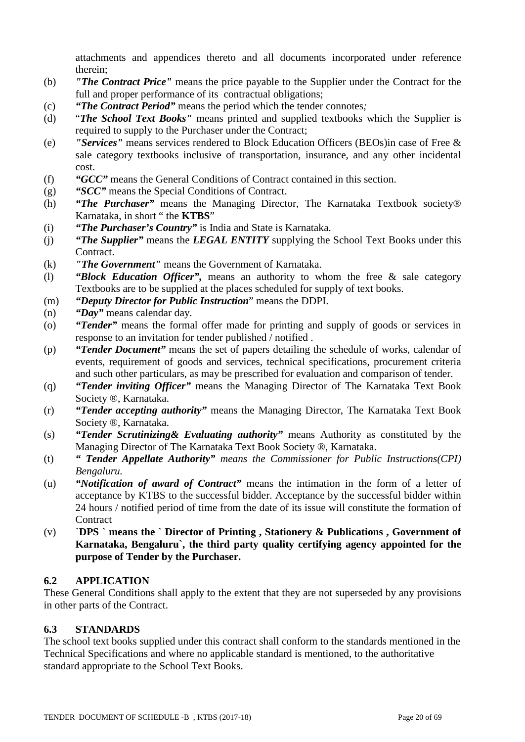attachments and appendices thereto and all documents incorporated under reference therein;

- (b) *"The Contract Price"* means the price payable to the Supplier under the Contract for the full and proper performance of its contractual obligations;
- (c) *"The Contract Period"* means the period which the tender connotes*;*
- (d) "*The School Text Books"* means printed and supplied textbooks which the Supplier is required to supply to the Purchaser under the Contract;
- (e) *"Services"* means services rendered to Block Education Officers (BEOs)in case of Free & sale category textbooks inclusive of transportation, insurance, and any other incidental cost.
- (f) *"GCC"* means the General Conditions of Contract contained in this section.
- (g) *"SCC"* means the Special Conditions of Contract.
- (h) *"The Purchaser"* means the Managing Director, The Karnataka Textbook society® Karnataka, in short " the **KTBS**"
- (i) *"The Purchaser's Country"* is India and State is Karnataka.
- (j) *"The Supplier"* means the *LEGAL ENTITY* supplying the School Text Books under this Contract.
- (k) *"The Government"* means the Government of Karnataka.
- (l) *"Block Education Officer",* means an authority to whom the free & sale category Textbooks are to be supplied at the places scheduled for supply of text books.
- (m) *"Deputy Director for Public Instruction*" means the DDPI.
- (n) *"Day"* means calendar day.
- (o) *"Tender"* means the formal offer made for printing and supply of goods or services in response to an invitation for tender published / notified .
- (p) *"Tender Document"* means the set of papers detailing the schedule of works, calendar of events, requirement of goods and services, technical specifications, procurement criteria and such other particulars, as may be prescribed for evaluation and comparison of tender.
- (q) *"Tender inviting Officer"* means the Managing Director of The Karnataka Text Book Society ®, Karnataka.
- (r) *"Tender accepting authority"* means the Managing Director, The Karnataka Text Book Society ®, Karnataka.
- (s) *"Tender Scrutinizing& Evaluating authority"* means Authority as constituted by the Managing Director of The Karnataka Text Book Society ®, Karnataka.
- (t) *" Tender Appellate Authority" means the Commissioner for Public Instructions(CPI) Bengaluru.*
- (u) *"Notification of award of Contract"* means the intimation in the form of a letter of acceptance by KTBS to the successful bidder. Acceptance by the successful bidder within 24 hours / notified period of time from the date of its issue will constitute the formation of **Contract**
- (v) **`DPS ` means the ` Director of Printing , Stationery & Publications , Government of Karnataka, Bengaluru`, the third party quality certifying agency appointed for the purpose of Tender by the Purchaser.**

#### **6.2 APPLICATION**

These General Conditions shall apply to the extent that they are not superseded by any provisions in other parts of the Contract.

## **6.3 STANDARDS**

The school text books supplied under this contract shall conform to the standards mentioned in the Technical Specifications and where no applicable standard is mentioned, to the authoritative standard appropriate to the School Text Books.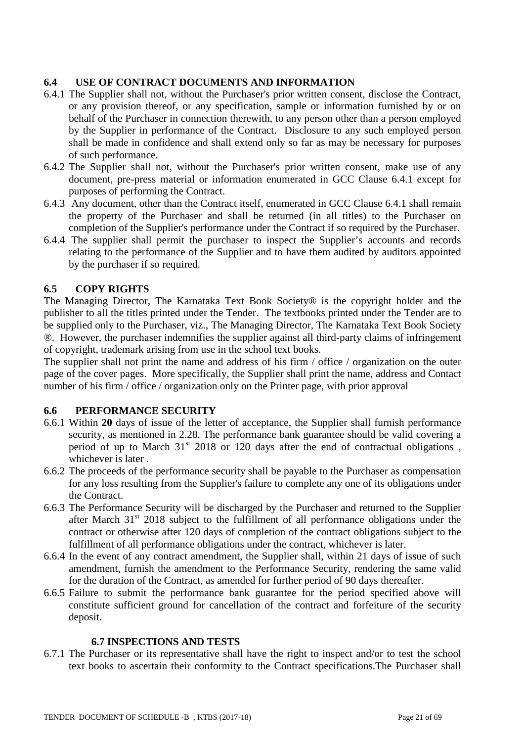## **6.4 USE OF CONTRACT DOCUMENTS AND INFORMATION**

- 6.4.1 The Supplier shall not, without the Purchaser's prior written consent, disclose the Contract, or any provision thereof, or any specification, sample or information furnished by or on behalf of the Purchaser in connection therewith, to any person other than a person employed by the Supplier in performance of the Contract. Disclosure to any such employed person shall be made in confidence and shall extend only so far as may be necessary for purposes of such performance.
- 6.4.2 The Supplier shall not, without the Purchaser's prior written consent, make use of any document, pre-press material or information enumerated in GCC Clause 6.4.1 except for purposes of performing the Contract.
- 6.4.3 Any document, other than the Contract itself, enumerated in GCC Clause 6.4.1 shall remain the property of the Purchaser and shall be returned (in all titles) to the Purchaser on completion of the Supplier's performance under the Contract if so required by the Purchaser.
- 6.4.4 The supplier shall permit the purchaser to inspect the Supplier's accounts and records relating to the performance of the Supplier and to have them audited by auditors appointed by the purchaser if so required.

## **6.5 COPY RIGHTS**

The Managing Director, The Karnataka Text Book Society® is the copyright holder and the publisher to all the titles printed under the Tender. The textbooks printed under the Tender are to be supplied only to the Purchaser, viz., The Managing Director, The Karnataka Text Book Society ®. However, the purchaser indemnifies the supplier against all third-party claims of infringement of copyright, trademark arising from use in the school text books.

The supplier shall not print the name and address of his firm / office / organization on the outer page of the cover pages. More specifically, the Supplier shall print the name, address and Contact number of his firm / office / organization only on the Printer page, with prior approval

## **6.6 PERFORMANCE SECURITY**

- 6.6.1 Within **20** days of issue of the letter of acceptance, the Supplier shall furnish performance security, as mentioned in 2.28. The performance bank guarantee should be valid covering a period of up to March  $31<sup>st</sup>$  2018 or 120 days after the end of contractual obligations, whichever is later .
- 6.6.2 The proceeds of the performance security shall be payable to the Purchaser as compensation for any loss resulting from the Supplier's failure to complete any one of its obligations under the Contract.
- 6.6.3 The Performance Security will be discharged by the Purchaser and returned to the Supplier after March  $31<sup>st</sup>$  2018 subject to the fulfillment of all performance obligations under the contract or otherwise after 120 days of completion of the contract obligations subject to the fulfillment of all performance obligations under the contract, whichever is later.
- 6.6.4 In the event of any contract amendment, the Supplier shall, within 21 days of issue of such amendment, furnish the amendment to the Performance Security, rendering the same valid for the duration of the Contract, as amended for further period of 90 days thereafter.
- 6.6.5 Failure to submit the performance bank guarantee for the period specified above will constitute sufficient ground for cancellation of the contract and forfeiture of the security deposit.

#### **6.7 INSPECTIONS AND TESTS**

6.7.1 The Purchaser or its representative shall have the right to inspect and/or to test the school text books to ascertain their conformity to the Contract specifications.The Purchaser shall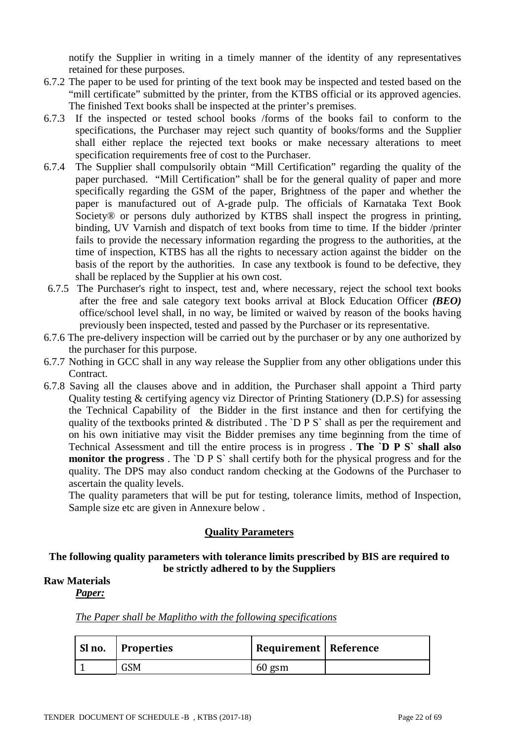notify the Supplier in writing in a timely manner of the identity of any representatives retained for these purposes.

- 6.7.2 The paper to be used for printing of the text book may be inspected and tested based on the "mill certificate" submitted by the printer, from the KTBS official or its approved agencies. The finished Text books shall be inspected at the printer's premises.
- 6.7.3 If the inspected or tested school books /forms of the books fail to conform to the specifications, the Purchaser may reject such quantity of books/forms and the Supplier shall either replace the rejected text books or make necessary alterations to meet specification requirements free of cost to the Purchaser.
- 6.7.4 The Supplier shall compulsorily obtain "Mill Certification" regarding the quality of the paper purchased. "Mill Certification" shall be for the general quality of paper and more specifically regarding the GSM of the paper, Brightness of the paper and whether the paper is manufactured out of A-grade pulp. The officials of Karnataka Text Book Society® or persons duly authorized by KTBS shall inspect the progress in printing, binding, UV Varnish and dispatch of text books from time to time. If the bidder /printer fails to provide the necessary information regarding the progress to the authorities, at the time of inspection, KTBS has all the rights to necessary action against the bidder on the basis of the report by the authorities. In case any textbook is found to be defective, they shall be replaced by the Supplier at his own cost.
- 6.7.5 The Purchaser's right to inspect, test and, where necessary, reject the school text books after the free and sale category text books arrival at Block Education Officer *(BEO)* office/school level shall, in no way, be limited or waived by reason of the books having previously been inspected, tested and passed by the Purchaser or its representative.
- 6.7.6 The pre-delivery inspection will be carried out by the purchaser or by any one authorized by the purchaser for this purpose.
- 6.7.7 Nothing in GCC shall in any way release the Supplier from any other obligations under this Contract.
- 6.7.8 Saving all the clauses above and in addition, the Purchaser shall appoint a Third party Quality testing & certifying agency viz Director of Printing Stationery (D.P.S) for assessing the Technical Capability of the Bidder in the first instance and then for certifying the quality of the textbooks printed  $&$  distributed. The `D P S` shall as per the requirement and on his own initiative may visit the Bidder premises any time beginning from the time of Technical Assessment and till the entire process is in progress . **The `D P S` shall also monitor the progress**. The `D P S` shall certify both for the physical progress and for the quality. The DPS may also conduct random checking at the Godowns of the Purchaser to ascertain the quality levels.

The quality parameters that will be put for testing, tolerance limits, method of Inspection, Sample size etc are given in Annexure below .

#### **Quality Parameters**

#### **The following quality parameters with tolerance limits prescribed by BIS are required to be strictly adhered to by the Suppliers**

## **Raw Materials**

*Paper:*

|  |  | The Paper shall be Maplitho with the following specifications |
|--|--|---------------------------------------------------------------|
|  |  |                                                               |

| $\vert$ Sl no. $\vert$ Properties | <b>Requirement   Reference</b> |  |
|-----------------------------------|--------------------------------|--|
| GSM                               | 60 gsm                         |  |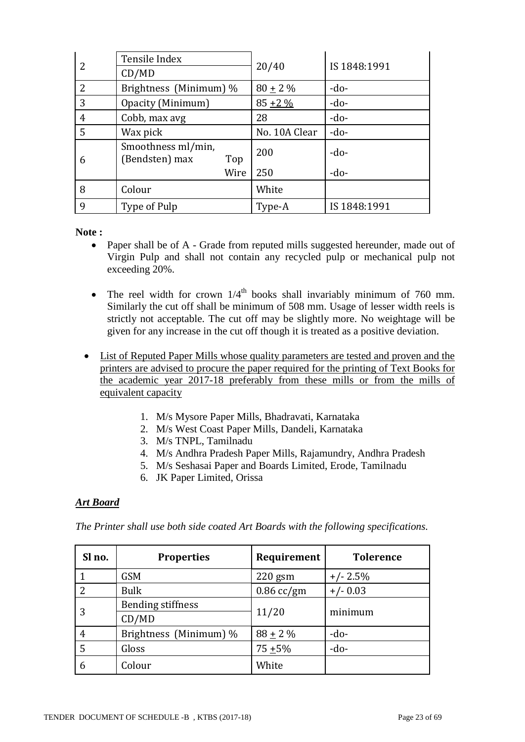| 2 | Tensile Index                        |      |               |              |
|---|--------------------------------------|------|---------------|--------------|
|   | CD/MD                                |      | 20/40         | IS 1848:1991 |
| 2 | Brightness (Minimum) %               |      | $80 \pm 2 \%$ | $-do-$       |
| 3 | Opacity (Minimum)                    |      | $85 + 2\%$    | $-do-$       |
| 4 | Cobb, max avg                        |      | 28            | $-do-$       |
| 5 | Wax pick                             |      | No. 10A Clear | $-do-$       |
| 6 | Smoothness ml/min,<br>(Bendsten) max | Top  | 200           | $-do-$       |
|   |                                      | Wire | 250           | $-do-$       |
| 8 | Colour                               |      | White         |              |
| 9 | Type of Pulp                         |      | Type-A        | IS 1848:1991 |

**Note :**

- Paper shall be of A Grade from reputed mills suggested hereunder, made out of Virgin Pulp and shall not contain any recycled pulp or mechanical pulp not exceeding 20%.
- The reel width for crown  $1/4^{\text{th}}$  books shall invariably minimum of 760 mm. Similarly the cut off shall be minimum of 508 mm. Usage of lesser width reels is strictly not acceptable. The cut off may be slightly more. No weightage will be given for any increase in the cut off though it is treated as a positive deviation.
- List of Reputed Paper Mills whose quality parameters are tested and proven and the printers are advised to procure the paper required for the printing of Text Books for the academic year 2017-18 preferably from these mills or from the mills of equivalent capacity
	- 1. M/s Mysore Paper Mills, Bhadravati, Karnataka
	- 2. M/s West Coast Paper Mills, Dandeli, Karnataka
	- 3. M/s TNPL, Tamilnadu
	- 4. M/s Andhra Pradesh Paper Mills, Rajamundry, Andhra Pradesh
	- 5. M/s Seshasai Paper and Boards Limited, Erode, Tamilnadu
	- 6. JK Paper Limited, Orissa

## *Art Board*

*The Printer shall use both side coated Art Boards with the following specifications.* 

| Sl no. | <b>Properties</b>      | Requirement  | <b>Tolerence</b> |
|--------|------------------------|--------------|------------------|
|        | <b>GSM</b>             | $220$ gsm    | $+/- 2.5%$       |
|        | <b>Bulk</b>            | $0.86$ cc/gm | $+/- 0.03$       |
| 3      | Bending stiffness      |              |                  |
|        | CD/MD                  | 11/20        | minimum          |
| 4      | Brightness (Minimum) % | $88 + 2\%$   | $-do-$           |
| 5      | Gloss                  | $75 + 5%$    | $-do-$           |
| 6      | Colour                 | White        |                  |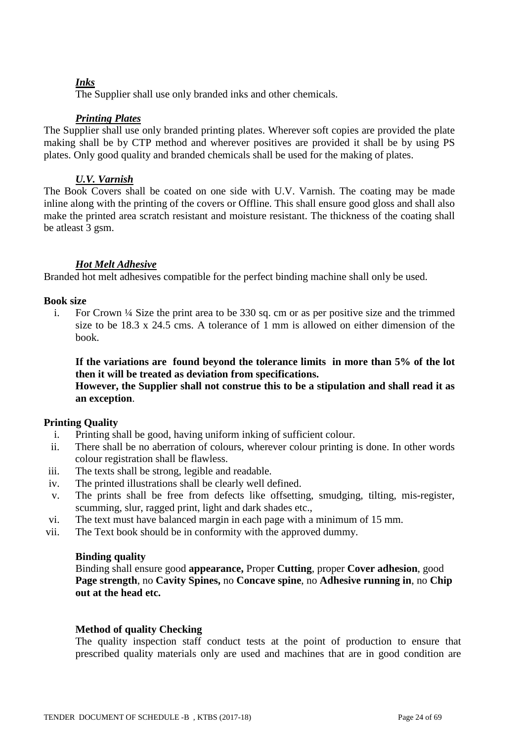## *Inks*

The Supplier shall use only branded inks and other chemicals.

## *Printing Plates*

The Supplier shall use only branded printing plates. Wherever soft copies are provided the plate making shall be by CTP method and wherever positives are provided it shall be by using PS plates. Only good quality and branded chemicals shall be used for the making of plates.

## *U.V. Varnish*

The Book Covers shall be coated on one side with U.V. Varnish. The coating may be made inline along with the printing of the covers or Offline. This shall ensure good gloss and shall also make the printed area scratch resistant and moisture resistant. The thickness of the coating shall be atleast 3 gsm.

#### *Hot Melt Adhesive*

Branded hot melt adhesives compatible for the perfect binding machine shall only be used.

#### **Book size**

i. For Crown ¼ Size the print area to be 330 sq. cm or as per positive size and the trimmed size to be 18.3 x 24.5 cms. A tolerance of 1 mm is allowed on either dimension of the book.

**If the variations are found beyond the tolerance limits in more than 5% of the lot then it will be treated as deviation from specifications.** 

#### **However, the Supplier shall not construe this to be a stipulation and shall read it as an exception**.

#### **Printing Quality**

- i. Printing shall be good, having uniform inking of sufficient colour.
- ii. There shall be no aberration of colours, wherever colour printing is done. In other words colour registration shall be flawless.
- iii. The texts shall be strong, legible and readable.
- iv. The printed illustrations shall be clearly well defined.
- v. The prints shall be free from defects like offsetting, smudging, tilting, mis-register, scumming, slur, ragged print, light and dark shades etc.,
- vi. The text must have balanced margin in each page with a minimum of 15 mm.
- vii. The Text book should be in conformity with the approved dummy.

#### **Binding quality**

Binding shall ensure good **appearance,** Proper **Cutting**, proper **Cover adhesion**, good **Page strength**, no **Cavity Spines,** no **Concave spine**, no **Adhesive running in**, no **Chip out at the head etc.**

#### **Method of quality Checking**

The quality inspection staff conduct tests at the point of production to ensure that prescribed quality materials only are used and machines that are in good condition are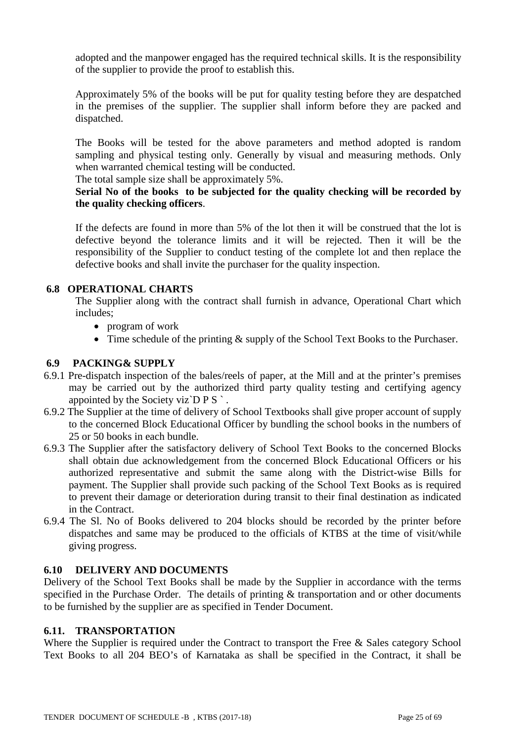adopted and the manpower engaged has the required technical skills. It is the responsibility of the supplier to provide the proof to establish this.

Approximately 5% of the books will be put for quality testing before they are despatched in the premises of the supplier. The supplier shall inform before they are packed and dispatched.

The Books will be tested for the above parameters and method adopted is random sampling and physical testing only. Generally by visual and measuring methods. Only when warranted chemical testing will be conducted.

The total sample size shall be approximately 5%.

## **Serial No of the books to be subjected for the quality checking will be recorded by the quality checking officers**.

If the defects are found in more than 5% of the lot then it will be construed that the lot is defective beyond the tolerance limits and it will be rejected. Then it will be the responsibility of the Supplier to conduct testing of the complete lot and then replace the defective books and shall invite the purchaser for the quality inspection.

## **6.8 OPERATIONAL CHARTS**

The Supplier along with the contract shall furnish in advance, Operational Chart which includes;

- program of work
- Time schedule of the printing  $&$  supply of the School Text Books to the Purchaser.

## **6.9 PACKING& SUPPLY**

- 6.9.1 Pre-dispatch inspection of the bales/reels of paper, at the Mill and at the printer's premises may be carried out by the authorized third party quality testing and certifying agency appointed by the Society viz $\overline{D} P S$ .
- 6.9.2 The Supplier at the time of delivery of School Textbooks shall give proper account of supply to the concerned Block Educational Officer by bundling the school books in the numbers of 25 or 50 books in each bundle.
- 6.9.3 The Supplier after the satisfactory delivery of School Text Books to the concerned Blocks shall obtain due acknowledgement from the concerned Block Educational Officers or his authorized representative and submit the same along with the District-wise Bills for payment. The Supplier shall provide such packing of the School Text Books as is required to prevent their damage or deterioration during transit to their final destination as indicated in the Contract.
- 6.9.4 The Sl. No of Books delivered to 204 blocks should be recorded by the printer before dispatches and same may be produced to the officials of KTBS at the time of visit/while giving progress.

## **6.10 DELIVERY AND DOCUMENTS**

Delivery of the School Text Books shall be made by the Supplier in accordance with the terms specified in the Purchase Order. The details of printing & transportation and or other documents to be furnished by the supplier are as specified in Tender Document.

## **6.11. TRANSPORTATION**

Where the Supplier is required under the Contract to transport the Free & Sales category School Text Books to all 204 BEO's of Karnataka as shall be specified in the Contract, it shall be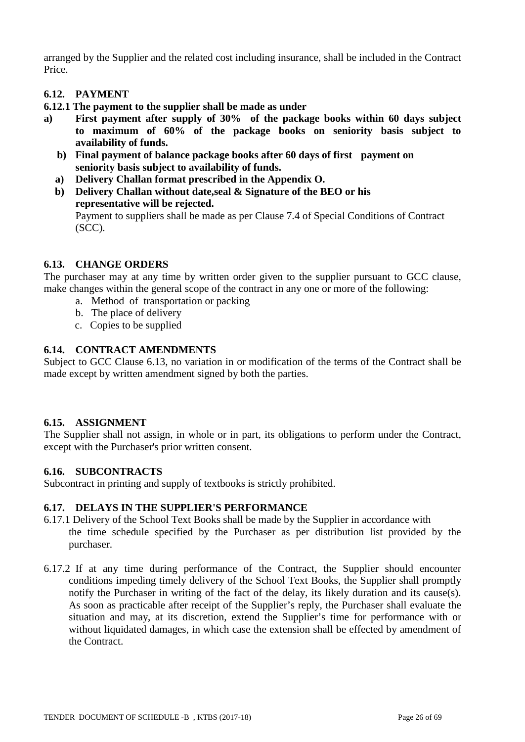arranged by the Supplier and the related cost including insurance, shall be included in the Contract Price.

## **6.12. PAYMENT**

**6.12.1 The payment to the supplier shall be made as under** 

- **a) First payment after supply of 30% of the package books within 60 days subject to maximum of 60% of the package books on seniority basis subject to availability of funds.**
	- **b) Final payment of balance package books after 60 days of first payment on seniority basis subject to availability of funds.**
	- **a) Delivery Challan format prescribed in the Appendix O.**
	- **b) Delivery Challan without date,seal & Signature of the BEO or his representative will be rejected.** Payment to suppliers shall be made as per Clause 7.4 of Special Conditions of Contract (SCC).

#### **6.13. CHANGE ORDERS**

The purchaser may at any time by written order given to the supplier pursuant to GCC clause, make changes within the general scope of the contract in any one or more of the following:

- a. Method of transportation or packing
- b. The place of delivery
- c. Copies to be supplied

#### **6.14. CONTRACT AMENDMENTS**

Subject to GCC Clause 6.13, no variation in or modification of the terms of the Contract shall be made except by written amendment signed by both the parties.

#### **6.15. ASSIGNMENT**

The Supplier shall not assign, in whole or in part, its obligations to perform under the Contract, except with the Purchaser's prior written consent.

#### **6.16. SUBCONTRACTS**

Subcontract in printing and supply of textbooks is strictly prohibited.

#### **6.17. DELAYS IN THE SUPPLIER'S PERFORMANCE**

- 6.17.1 Delivery of the School Text Books shall be made by the Supplier in accordance with the time schedule specified by the Purchaser as per distribution list provided by the purchaser.
- 6.17.2 If at any time during performance of the Contract, the Supplier should encounter conditions impeding timely delivery of the School Text Books, the Supplier shall promptly notify the Purchaser in writing of the fact of the delay, its likely duration and its cause(s). As soon as practicable after receipt of the Supplier's reply, the Purchaser shall evaluate the situation and may, at its discretion, extend the Supplier's time for performance with or without liquidated damages, in which case the extension shall be effected by amendment of the Contract.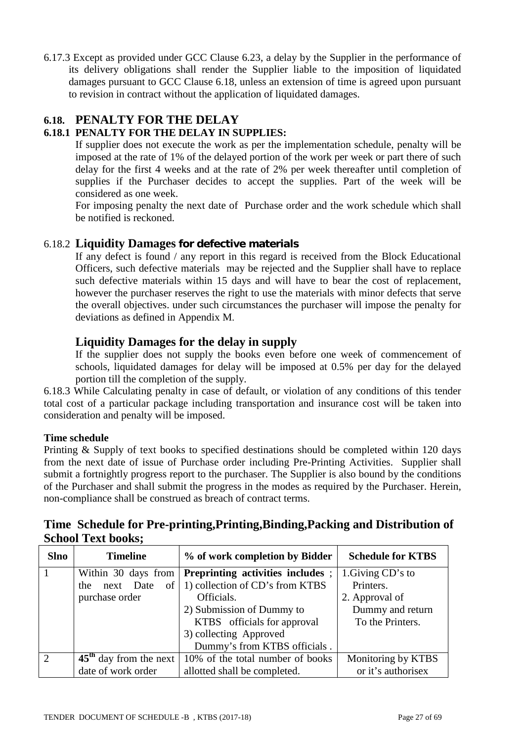6.17.3 Except as provided under GCC Clause 6.23, a delay by the Supplier in the performance of its delivery obligations shall render the Supplier liable to the imposition of liquidated damages pursuant to GCC Clause 6.18, unless an extension of time is agreed upon pursuant to revision in contract without the application of liquidated damages.

## **6.18. PENALTY FOR THE DELAY**

## **6.18.1 PENALTY FOR THE DELAY IN SUPPLIES:**

If supplier does not execute the work as per the implementation schedule, penalty will be imposed at the rate of 1% of the delayed portion of the work per week or part there of such delay for the first 4 weeks and at the rate of 2% per week thereafter until completion of supplies if the Purchaser decides to accept the supplies. Part of the week will be considered as one week.

For imposing penalty the next date of Purchase order and the work schedule which shall be notified is reckoned.

## 6.18.2 **Liquidity Damages for defective materials**

If any defect is found / any report in this regard is received from the Block Educational Officers, such defective materials may be rejected and the Supplier shall have to replace such defective materials within 15 days and will have to bear the cost of replacement, however the purchaser reserves the right to use the materials with minor defects that serve the overall objectives. under such circumstances the purchaser will impose the penalty for deviations as defined in Appendix M.

## **Liquidity Damages for the delay in supply**

If the supplier does not supply the books even before one week of commencement of schools, liquidated damages for delay will be imposed at 0.5% per day for the delayed portion till the completion of the supply.

6.18.3 While Calculating penalty in case of default, or violation of any conditions of this tender total cost of a particular package including transportation and insurance cost will be taken into consideration and penalty will be imposed.

## **Time schedule**

Printing & Supply of text books to specified destinations should be completed within 120 days from the next date of issue of Purchase order including Pre-Printing Activities. Supplier shall submit a fortnightly progress report to the purchaser. The Supplier is also bound by the conditions of the Purchaser and shall submit the progress in the modes as required by the Purchaser. Herein, non-compliance shall be construed as breach of contract terms.

|                           | Time Schedule for Pre-printing, Printing, Binding, Packing and Distribution of |  |
|---------------------------|--------------------------------------------------------------------------------|--|
| <b>School Text books;</b> |                                                                                |  |

| <b>Slno</b> | <b>Timeline</b>          | % of work completion by Bidder   | <b>Schedule for KTBS</b> |
|-------------|--------------------------|----------------------------------|--------------------------|
|             | Within 30 days from      | Preprinting activities includes; | 1. Giving CD's to        |
|             | of  <br>next Date<br>the | 1) collection of CD's from KTBS  | Printers.                |
|             | purchase order           | Officials.                       | 2. Approval of           |
|             |                          | 2) Submission of Dummy to        | Dummy and return         |
|             |                          | KTBS officials for approval      | To the Printers.         |
|             |                          | 3) collecting Approved           |                          |
|             |                          | Dummy's from KTBS officials.     |                          |
| 2           | $45th$ day from the next | 10% of the total number of books | Monitoring by KTBS       |
|             | date of work order       | allotted shall be completed.     | or it's authorisex       |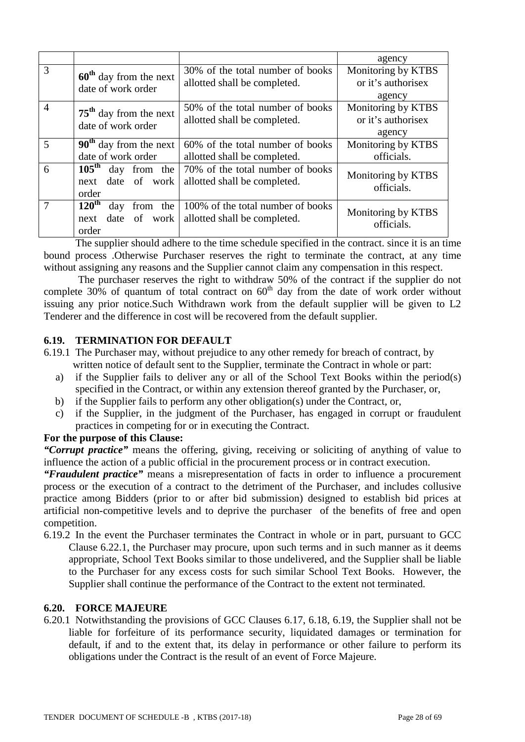|                |                                                                            |                                                                   | agency                                             |
|----------------|----------------------------------------------------------------------------|-------------------------------------------------------------------|----------------------------------------------------|
| 3              | $60th$ day from the next<br>date of work order                             | 30% of the total number of books<br>allotted shall be completed.  | Monitoring by KTBS<br>or it's authorisex<br>agency |
| $\overline{4}$ | $75th$ day from the next<br>date of work order                             | 50% of the total number of books<br>allotted shall be completed.  | Monitoring by KTBS<br>or it's authorisex<br>agency |
| 5              | $90th$ day from the next<br>date of work order                             | 60% of the total number of books<br>allotted shall be completed.  | Monitoring by KTBS<br>officials.                   |
| 6              | 105 <sup>th</sup> day from the<br>date of work<br>next<br>order            | 70% of the total number of books<br>allotted shall be completed.  | Monitoring by KTBS<br>officials.                   |
| $\tau$         | $120^{\text{th}}$<br>day<br>from the<br>date of<br>work  <br>next<br>order | 100% of the total number of books<br>allotted shall be completed. | Monitoring by KTBS<br>officials.                   |

The supplier should adhere to the time schedule specified in the contract. since it is an time bound process .Otherwise Purchaser reserves the right to terminate the contract, at any time without assigning any reasons and the Supplier cannot claim any compensation in this respect.

 The purchaser reserves the right to withdraw 50% of the contract if the supplier do not complete  $30\%$  of quantum of total contract on  $60<sup>th</sup>$  day from the date of work order without issuing any prior notice.Such Withdrawn work from the default supplier will be given to L2 Tenderer and the difference in cost will be recovered from the default supplier.

#### **6.19. TERMINATION FOR DEFAULT**

- 6.19.1 The Purchaser may, without prejudice to any other remedy for breach of contract, by written notice of default sent to the Supplier, terminate the Contract in whole or part:
	- a) if the Supplier fails to deliver any or all of the School Text Books within the period(s) specified in the Contract, or within any extension thereof granted by the Purchaser, or,
	- b) if the Supplier fails to perform any other obligation(s) under the Contract, or,
	- c) if the Supplier, in the judgment of the Purchaser, has engaged in corrupt or fraudulent practices in competing for or in executing the Contract.

#### **For the purpose of this Clause:**

*"Corrupt practice"* means the offering, giving, receiving or soliciting of anything of value to influence the action of a public official in the procurement process or in contract execution.

*"Fraudulent practice"* means a misrepresentation of facts in order to influence a procurement process or the execution of a contract to the detriment of the Purchaser, and includes collusive practice among Bidders (prior to or after bid submission) designed to establish bid prices at artificial non-competitive levels and to deprive the purchaser of the benefits of free and open competition.

6.19.2 In the event the Purchaser terminates the Contract in whole or in part, pursuant to GCC Clause 6.22.1, the Purchaser may procure, upon such terms and in such manner as it deems appropriate, School Text Books similar to those undelivered, and the Supplier shall be liable to the Purchaser for any excess costs for such similar School Text Books. However, the Supplier shall continue the performance of the Contract to the extent not terminated.

#### **6.20. FORCE MAJEURE**

6.20.1 Notwithstanding the provisions of GCC Clauses 6.17, 6.18, 6.19, the Supplier shall not be liable for forfeiture of its performance security, liquidated damages or termination for default, if and to the extent that, its delay in performance or other failure to perform its obligations under the Contract is the result of an event of Force Majeure.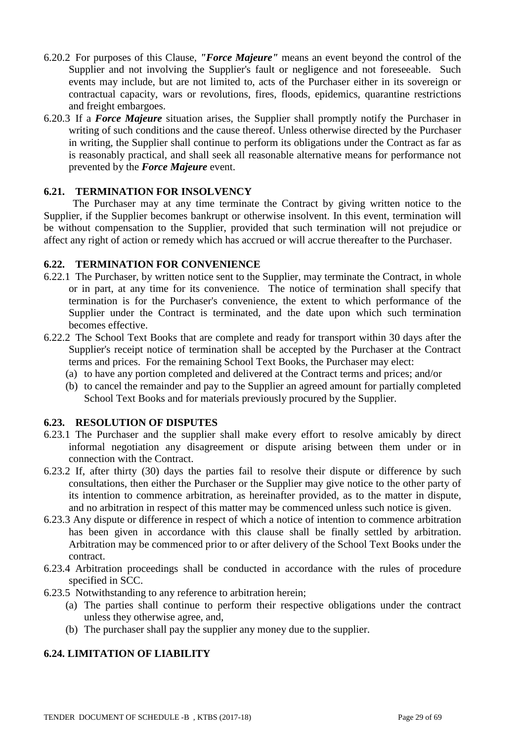- 6.20.2 For purposes of this Clause, *"Force Majeure"* means an event beyond the control of the Supplier and not involving the Supplier's fault or negligence and not foreseeable. Such events may include, but are not limited to, acts of the Purchaser either in its sovereign or contractual capacity, wars or revolutions, fires, floods, epidemics, quarantine restrictions and freight embargoes.
- 6.20.3 If a *Force Majeure* situation arises, the Supplier shall promptly notify the Purchaser in writing of such conditions and the cause thereof. Unless otherwise directed by the Purchaser in writing, the Supplier shall continue to perform its obligations under the Contract as far as is reasonably practical, and shall seek all reasonable alternative means for performance not prevented by the *Force Majeure* event.

#### **6.21. TERMINATION FOR INSOLVENCY**

 The Purchaser may at any time terminate the Contract by giving written notice to the Supplier, if the Supplier becomes bankrupt or otherwise insolvent. In this event, termination will be without compensation to the Supplier, provided that such termination will not prejudice or affect any right of action or remedy which has accrued or will accrue thereafter to the Purchaser.

#### **6.22. TERMINATION FOR CONVENIENCE**

- 6.22.1 The Purchaser, by written notice sent to the Supplier, may terminate the Contract, in whole or in part, at any time for its convenience. The notice of termination shall specify that termination is for the Purchaser's convenience, the extent to which performance of the Supplier under the Contract is terminated, and the date upon which such termination becomes effective.
- 6.22.2 The School Text Books that are complete and ready for transport within 30 days after the Supplier's receipt notice of termination shall be accepted by the Purchaser at the Contract terms and prices. For the remaining School Text Books, the Purchaser may elect:
	- (a) to have any portion completed and delivered at the Contract terms and prices; and/or
	- (b) to cancel the remainder and pay to the Supplier an agreed amount for partially completed School Text Books and for materials previously procured by the Supplier.

#### **6.23. RESOLUTION OF DISPUTES**

- 6.23.1 The Purchaser and the supplier shall make every effort to resolve amicably by direct informal negotiation any disagreement or dispute arising between them under or in connection with the Contract.
- 6.23.2 If, after thirty (30) days the parties fail to resolve their dispute or difference by such consultations, then either the Purchaser or the Supplier may give notice to the other party of its intention to commence arbitration, as hereinafter provided, as to the matter in dispute, and no arbitration in respect of this matter may be commenced unless such notice is given.
- 6.23.3 Any dispute or difference in respect of which a notice of intention to commence arbitration has been given in accordance with this clause shall be finally settled by arbitration. Arbitration may be commenced prior to or after delivery of the School Text Books under the contract.
- 6.23.4 Arbitration proceedings shall be conducted in accordance with the rules of procedure specified in SCC.
- 6.23.5 Notwithstanding to any reference to arbitration herein;
	- (a) The parties shall continue to perform their respective obligations under the contract unless they otherwise agree, and,
	- (b) The purchaser shall pay the supplier any money due to the supplier.

## **6.24. LIMITATION OF LIABILITY**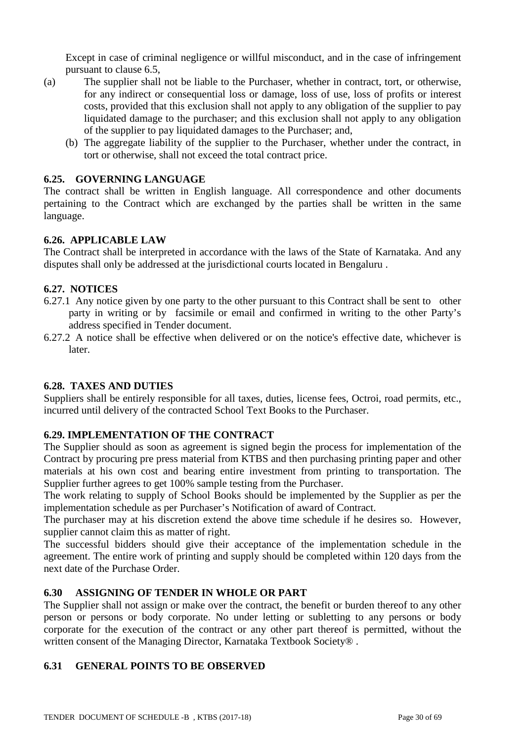Except in case of criminal negligence or willful misconduct, and in the case of infringement pursuant to clause 6.5,

- (a) The supplier shall not be liable to the Purchaser, whether in contract, tort, or otherwise, for any indirect or consequential loss or damage, loss of use, loss of profits or interest costs, provided that this exclusion shall not apply to any obligation of the supplier to pay liquidated damage to the purchaser; and this exclusion shall not apply to any obligation of the supplier to pay liquidated damages to the Purchaser; and,
	- (b) The aggregate liability of the supplier to the Purchaser, whether under the contract, in tort or otherwise, shall not exceed the total contract price.

#### **6.25. GOVERNING LANGUAGE**

The contract shall be written in English language. All correspondence and other documents pertaining to the Contract which are exchanged by the parties shall be written in the same language.

#### **6.26. APPLICABLE LAW**

The Contract shall be interpreted in accordance with the laws of the State of Karnataka. And any disputes shall only be addressed at the jurisdictional courts located in Bengaluru .

#### **6.27. NOTICES**

- 6.27.1 Any notice given by one party to the other pursuant to this Contract shall be sent to other party in writing or by facsimile or email and confirmed in writing to the other Party's address specified in Tender document.
- 6.27.2 A notice shall be effective when delivered or on the notice's effective date, whichever is later.

#### **6.28. TAXES AND DUTIES**

Suppliers shall be entirely responsible for all taxes, duties, license fees, Octroi, road permits, etc., incurred until delivery of the contracted School Text Books to the Purchaser.

## **6.29. IMPLEMENTATION OF THE CONTRACT**

The Supplier should as soon as agreement is signed begin the process for implementation of the Contract by procuring pre press material from KTBS and then purchasing printing paper and other materials at his own cost and bearing entire investment from printing to transportation. The Supplier further agrees to get 100% sample testing from the Purchaser.

The work relating to supply of School Books should be implemented by the Supplier as per the implementation schedule as per Purchaser's Notification of award of Contract.

The purchaser may at his discretion extend the above time schedule if he desires so. However, supplier cannot claim this as matter of right.

The successful bidders should give their acceptance of the implementation schedule in the agreement. The entire work of printing and supply should be completed within 120 days from the next date of the Purchase Order.

## **6.30 ASSIGNING OF TENDER IN WHOLE OR PART**

The Supplier shall not assign or make over the contract, the benefit or burden thereof to any other person or persons or body corporate. No under letting or subletting to any persons or body corporate for the execution of the contract or any other part thereof is permitted, without the written consent of the Managing Director, Karnataka Textbook Society®.

#### **6.31 GENERAL POINTS TO BE OBSERVED**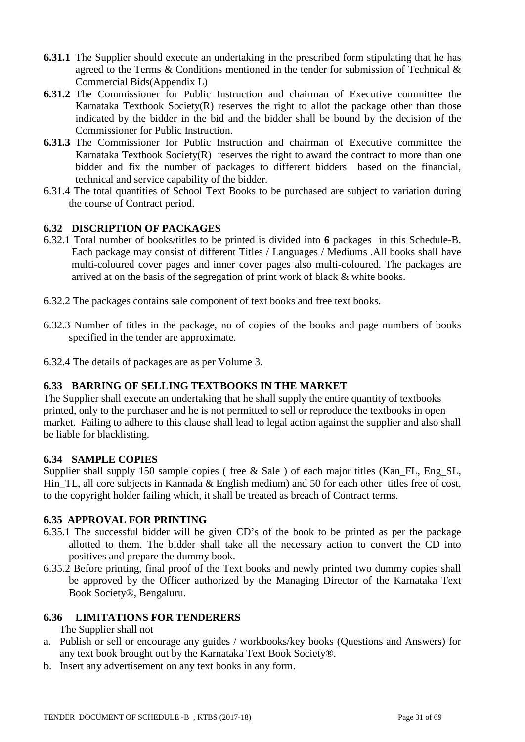- **6.31.1** The Supplier should execute an undertaking in the prescribed form stipulating that he has agreed to the Terms & Conditions mentioned in the tender for submission of Technical & Commercial Bids(Appendix L)
- **6.31.2** The Commissioner for Public Instruction and chairman of Executive committee the Karnataka Textbook Society(R) reserves the right to allot the package other than those indicated by the bidder in the bid and the bidder shall be bound by the decision of the Commissioner for Public Instruction.
- **6.31.3** The Commissioner for Public Instruction and chairman of Executive committee the Karnataka Textbook Society $(R)$  reserves the right to award the contract to more than one bidder and fix the number of packages to different bidders based on the financial, technical and service capability of the bidder.
- 6.31.4 The total quantities of School Text Books to be purchased are subject to variation during the course of Contract period.

## **6.32 DISCRIPTION OF PACKAGES**

- 6.32.1 Total number of books/titles to be printed is divided into **6** packages in this Schedule-B. Each package may consist of different Titles / Languages / Mediums .All books shall have multi-coloured cover pages and inner cover pages also multi-coloured. The packages are arrived at on the basis of the segregation of print work of black & white books.
- 6.32.2 The packages contains sale component of text books and free text books.
- 6.32.3 Number of titles in the package, no of copies of the books and page numbers of books specified in the tender are approximate.
- 6.32.4 The details of packages are as per Volume 3.

#### **6.33 BARRING OF SELLING TEXTBOOKS IN THE MARKET**

The Supplier shall execute an undertaking that he shall supply the entire quantity of textbooks printed, only to the purchaser and he is not permitted to sell or reproduce the textbooks in open market. Failing to adhere to this clause shall lead to legal action against the supplier and also shall be liable for blacklisting.

#### **6.34 SAMPLE COPIES**

Supplier shall supply 150 sample copies (free & Sale) of each major titles (Kan\_FL, Eng\_SL, Hin\_TL, all core subjects in Kannada & English medium) and 50 for each other titles free of cost, to the copyright holder failing which, it shall be treated as breach of Contract terms.

### **6.35 APPROVAL FOR PRINTING**

- 6.35.1 The successful bidder will be given CD's of the book to be printed as per the package allotted to them. The bidder shall take all the necessary action to convert the CD into positives and prepare the dummy book.
- 6.35.2 Before printing, final proof of the Text books and newly printed two dummy copies shall be approved by the Officer authorized by the Managing Director of the Karnataka Text Book Society®, Bengaluru.

### **6.36 LIMITATIONS FOR TENDERERS**

#### The Supplier shall not

- a. Publish or sell or encourage any guides / workbooks/key books (Questions and Answers) for any text book brought out by the Karnataka Text Book Society®.
- b. Insert any advertisement on any text books in any form.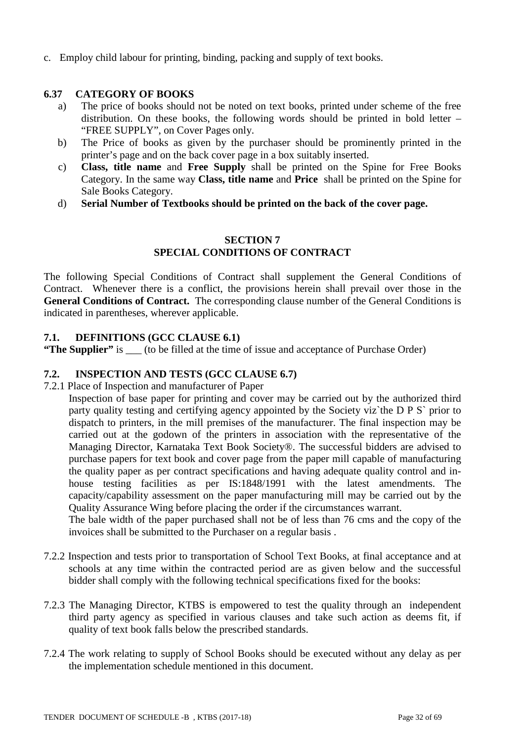c. Employ child labour for printing, binding, packing and supply of text books.

## **6.37 CATEGORY OF BOOKS**

- a) The price of books should not be noted on text books, printed under scheme of the free distribution. On these books, the following words should be printed in bold letter – "FREE SUPPLY", on Cover Pages only.
- b) The Price of books as given by the purchaser should be prominently printed in the printer's page and on the back cover page in a box suitably inserted.
- c) **Class, title name** and **Free Supply** shall be printed on the Spine for Free Books Category. In the same way **Class, title name** and **Price** shall be printed on the Spine for Sale Books Category.
- d) **Serial Number of Textbooks should be printed on the back of the cover page.**

#### **SECTION 7 SPECIAL CONDITIONS OF CONTRACT**

The following Special Conditions of Contract shall supplement the General Conditions of Contract. Whenever there is a conflict, the provisions herein shall prevail over those in the **General Conditions of Contract.** The corresponding clause number of the General Conditions is indicated in parentheses, wherever applicable.

#### **7.1. DEFINITIONS (GCC CLAUSE 6.1)**

**"The Supplier"** is \_\_\_ (to be filled at the time of issue and acceptance of Purchase Order)

#### **7.2. INSPECTION AND TESTS (GCC CLAUSE 6.7)**

7.2.1 Place of Inspection and manufacturer of Paper

Inspection of base paper for printing and cover may be carried out by the authorized third party quality testing and certifying agency appointed by the Society viz`the D P S` prior to dispatch to printers, in the mill premises of the manufacturer. The final inspection may be carried out at the godown of the printers in association with the representative of the Managing Director, Karnataka Text Book Society®. The successful bidders are advised to purchase papers for text book and cover page from the paper mill capable of manufacturing the quality paper as per contract specifications and having adequate quality control and inhouse testing facilities as per IS:1848/1991 with the latest amendments. The capacity/capability assessment on the paper manufacturing mill may be carried out by the Quality Assurance Wing before placing the order if the circumstances warrant.

The bale width of the paper purchased shall not be of less than 76 cms and the copy of the invoices shall be submitted to the Purchaser on a regular basis .

- 7.2.2 Inspection and tests prior to transportation of School Text Books, at final acceptance and at schools at any time within the contracted period are as given below and the successful bidder shall comply with the following technical specifications fixed for the books:
- 7.2.3 The Managing Director, KTBS is empowered to test the quality through an independent third party agency as specified in various clauses and take such action as deems fit, if quality of text book falls below the prescribed standards.
- 7.2.4 The work relating to supply of School Books should be executed without any delay as per the implementation schedule mentioned in this document.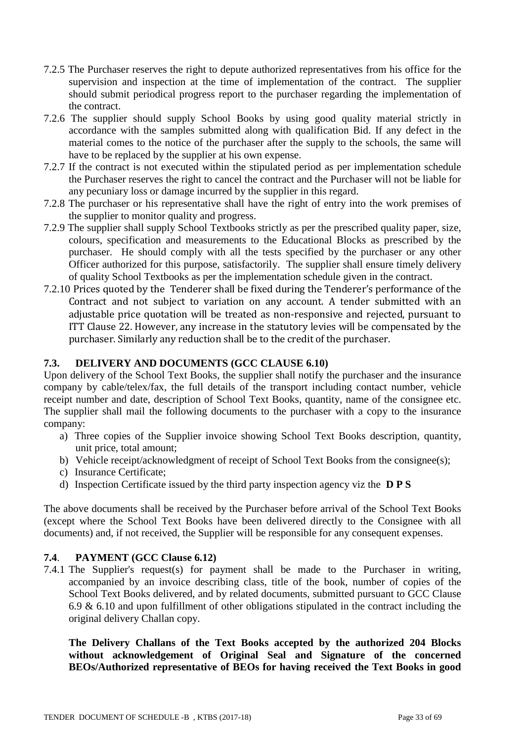- 7.2.5 The Purchaser reserves the right to depute authorized representatives from his office for the supervision and inspection at the time of implementation of the contract. The supplier should submit periodical progress report to the purchaser regarding the implementation of the contract.
- 7.2.6 The supplier should supply School Books by using good quality material strictly in accordance with the samples submitted along with qualification Bid. If any defect in the material comes to the notice of the purchaser after the supply to the schools, the same will have to be replaced by the supplier at his own expense.
- 7.2.7 If the contract is not executed within the stipulated period as per implementation schedule the Purchaser reserves the right to cancel the contract and the Purchaser will not be liable for any pecuniary loss or damage incurred by the supplier in this regard.
- 7.2.8 The purchaser or his representative shall have the right of entry into the work premises of the supplier to monitor quality and progress.
- 7.2.9 The supplier shall supply School Textbooks strictly as per the prescribed quality paper, size, colours, specification and measurements to the Educational Blocks as prescribed by the purchaser. He should comply with all the tests specified by the purchaser or any other Officer authorized for this purpose, satisfactorily. The supplier shall ensure timely delivery of quality School Textbooks as per the implementation schedule given in the contract.
- 7.2.10 Prices quoted by the Tenderer shall be fixed during the Tenderer's performance of the Contract and not subject to variation on any account. A tender submitted with an adjustable price quotation will be treated as non-responsive and rejected, pursuant to ITT Clause 22. However, any increase in the statutory levies will be compensated by the purchaser. Similarly any reduction shall be to the credit of the purchaser.

## **7.3. DELIVERY AND DOCUMENTS (GCC CLAUSE 6.10)**

Upon delivery of the School Text Books, the supplier shall notify the purchaser and the insurance company by cable/telex/fax, the full details of the transport including contact number, vehicle receipt number and date, description of School Text Books, quantity, name of the consignee etc. The supplier shall mail the following documents to the purchaser with a copy to the insurance company:

- a) Three copies of the Supplier invoice showing School Text Books description, quantity, unit price, total amount;
- b) Vehicle receipt/acknowledgment of receipt of School Text Books from the consignee(s);
- c) Insurance Certificate;
- d) Inspection Certificate issued by the third party inspection agency viz the **D P S**

The above documents shall be received by the Purchaser before arrival of the School Text Books (except where the School Text Books have been delivered directly to the Consignee with all documents) and, if not received, the Supplier will be responsible for any consequent expenses.

## **7.4**. **PAYMENT (GCC Clause 6.12)**

7.4.1 The Supplier's request(s) for payment shall be made to the Purchaser in writing, accompanied by an invoice describing class, title of the book, number of copies of the School Text Books delivered, and by related documents, submitted pursuant to GCC Clause 6.9  $\&$  6.10 and upon fulfillment of other obligations stipulated in the contract including the original delivery Challan copy.

**The Delivery Challans of the Text Books accepted by the authorized 204 Blocks without acknowledgement of Original Seal and Signature of the concerned BEOs/Authorized representative of BEOs for having received the Text Books in good**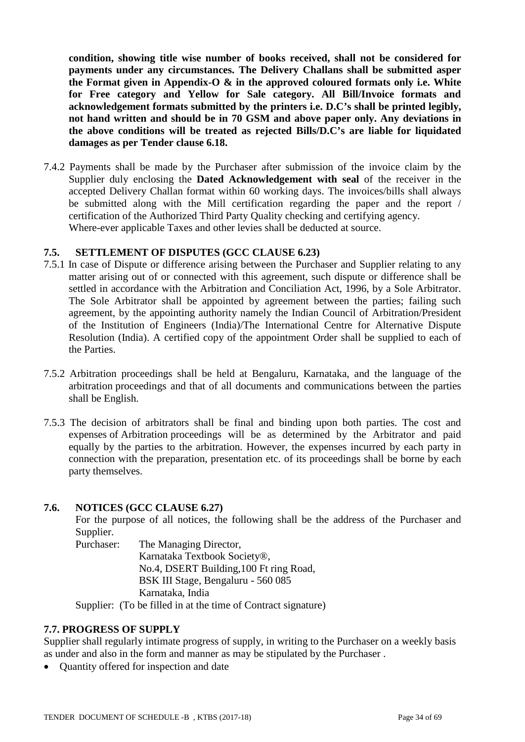**condition, showing title wise number of books received, shall not be considered for payments under any circumstances. The Delivery Challans shall be submitted asper the Format given in Appendix-O & in the approved coloured formats only i.e. White for Free category and Yellow for Sale category. All Bill/Invoice formats and acknowledgement formats submitted by the printers i.e. D.C's shall be printed legibly, not hand written and should be in 70 GSM and above paper only. Any deviations in the above conditions will be treated as rejected Bills/D.C's are liable for liquidated damages as per Tender clause 6.18.** 

7.4.2 Payments shall be made by the Purchaser after submission of the invoice claim by the Supplier duly enclosing the **Dated Acknowledgement with seal** of the receiver in the accepted Delivery Challan format within 60 working days. The invoices/bills shall always be submitted along with the Mill certification regarding the paper and the report / certification of the Authorized Third Party Quality checking and certifying agency. Where-ever applicable Taxes and other levies shall be deducted at source.

#### **7.5. SETTLEMENT OF DISPUTES (GCC CLAUSE 6.23)**

- 7.5.1 In case of Dispute or difference arising between the Purchaser and Supplier relating to any matter arising out of or connected with this agreement, such dispute or difference shall be settled in accordance with the Arbitration and Conciliation Act, 1996, by a Sole Arbitrator. The Sole Arbitrator shall be appointed by agreement between the parties; failing such agreement, by the appointing authority namely the Indian Council of Arbitration/President of the Institution of Engineers (India)/The International Centre for Alternative Dispute Resolution (India). A certified copy of the appointment Order shall be supplied to each of the Parties.
- 7.5.2 Arbitration proceedings shall be held at Bengaluru, Karnataka, and the language of the arbitration proceedings and that of all documents and communications between the parties shall be English.
- 7.5.3 The decision of arbitrators shall be final and binding upon both parties. The cost and expenses of Arbitration proceedings will be as determined by the Arbitrator and paid equally by the parties to the arbitration. However, the expenses incurred by each party in connection with the preparation, presentation etc. of its proceedings shall be borne by each party themselves.

#### **7.6. NOTICES (GCC CLAUSE 6.27)**

For the purpose of all notices, the following shall be the address of the Purchaser and Supplier.

Purchaser: The Managing Director, Karnataka Textbook Society®, No.4, DSERT Building,100 Ft ring Road, BSK III Stage, Bengaluru - 560 085 Karnataka, India

Supplier: (To be filled in at the time of Contract signature)

#### **7.7. PROGRESS OF SUPPLY**

Supplier shall regularly intimate progress of supply, in writing to the Purchaser on a weekly basis as under and also in the form and manner as may be stipulated by the Purchaser .

• Ouantity offered for inspection and date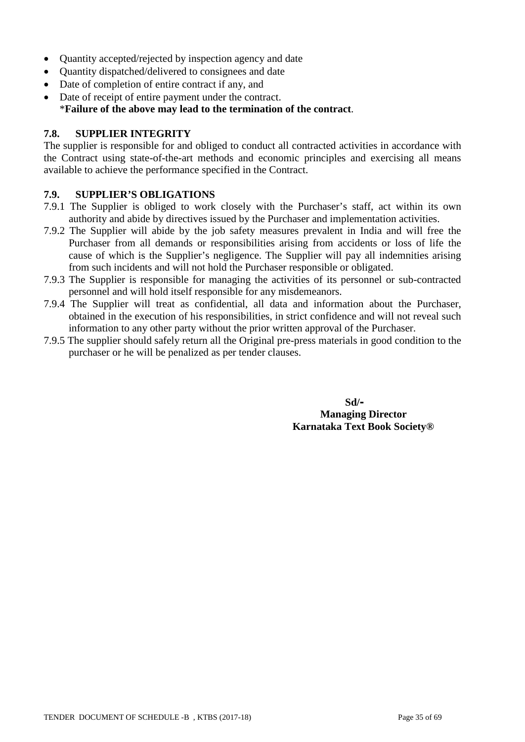- Ouantity accepted/rejected by inspection agency and date
- Quantity dispatched/delivered to consignees and date
- Date of completion of entire contract if any, and
- Date of receipt of entire payment under the contract. \***Failure of the above may lead to the termination of the contract**.

#### **7.8. SUPPLIER INTEGRITY**

The supplier is responsible for and obliged to conduct all contracted activities in accordance with the Contract using state-of-the-art methods and economic principles and exercising all means available to achieve the performance specified in the Contract.

#### **7.9. SUPPLIER'S OBLIGATIONS**

- 7.9.1 The Supplier is obliged to work closely with the Purchaser's staff, act within its own authority and abide by directives issued by the Purchaser and implementation activities.
- 7.9.2 The Supplier will abide by the job safety measures prevalent in India and will free the Purchaser from all demands or responsibilities arising from accidents or loss of life the cause of which is the Supplier's negligence. The Supplier will pay all indemnities arising from such incidents and will not hold the Purchaser responsible or obligated.
- 7.9.3 The Supplier is responsible for managing the activities of its personnel or sub-contracted personnel and will hold itself responsible for any misdemeanors.
- 7.9.4 The Supplier will treat as confidential, all data and information about the Purchaser, obtained in the execution of his responsibilities, in strict confidence and will not reveal such information to any other party without the prior written approval of the Purchaser.
- 7.9.5 The supplier should safely return all the Original pre-press materials in good condition to the purchaser or he will be penalized as per tender clauses.

 **Sd/- Managing Director Karnataka Text Book Society®**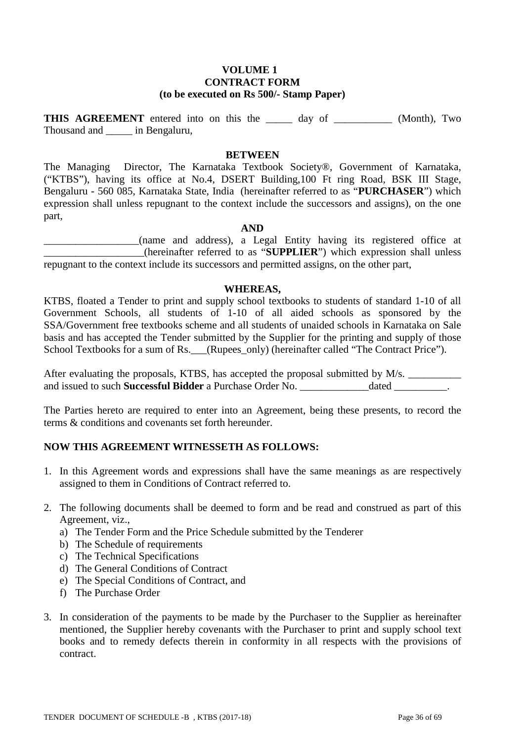#### **VOLUME 1 CONTRACT FORM (to be executed on Rs 500/- Stamp Paper)**

**THIS AGREEMENT** entered into on this the \_\_\_\_\_\_\_ day of (Month), Two Thousand and \_\_\_\_\_ in Bengaluru,

#### **BETWEEN**

The Managing Director, The Karnataka Textbook Society®, Government of Karnataka, ("KTBS"), having its office at No.4, DSERT Building,100 Ft ring Road, BSK III Stage, Bengaluru - 560 085, Karnataka State, India (hereinafter referred to as "**PURCHASER**") which expression shall unless repugnant to the context include the successors and assigns), on the one part,

#### **AND**

\_\_\_\_\_\_\_\_\_\_\_\_\_\_\_\_\_\_(name and address), a Legal Entity having its registered office at \_\_\_\_\_\_\_\_\_\_\_\_\_\_\_\_\_\_\_(hereinafter referred to as "**SUPPLIER**") which expression shall unless repugnant to the context include its successors and permitted assigns, on the other part,

#### **WHEREAS,**

KTBS, floated a Tender to print and supply school textbooks to students of standard 1-10 of all Government Schools, all students of 1-10 of all aided schools as sponsored by the SSA/Government free textbooks scheme and all students of unaided schools in Karnataka on Sale basis and has accepted the Tender submitted by the Supplier for the printing and supply of those School Textbooks for a sum of Rs. (Rupees\_only) (hereinafter called "The Contract Price").

After evaluating the proposals, KTBS, has accepted the proposal submitted by M/s. and issued to such **Successful Bidder** a Purchase Order No. \_\_\_\_\_\_\_\_\_\_\_\_\_\_dated \_\_\_\_\_\_\_\_\_\_\_\_\_\_\_\_\_\_\_\_\_\_\_\_\_\_\_\_\_\_\_\_\_

The Parties hereto are required to enter into an Agreement, being these presents, to record the terms & conditions and covenants set forth hereunder.

#### **NOW THIS AGREEMENT WITNESSETH AS FOLLOWS:**

- 1. In this Agreement words and expressions shall have the same meanings as are respectively assigned to them in Conditions of Contract referred to.
- 2. The following documents shall be deemed to form and be read and construed as part of this Agreement, viz.,
	- a) The Tender Form and the Price Schedule submitted by the Tenderer
	- b) The Schedule of requirements
	- c) The Technical Specifications
	- d) The General Conditions of Contract
	- e) The Special Conditions of Contract, and
	- f) The Purchase Order
- 3. In consideration of the payments to be made by the Purchaser to the Supplier as hereinafter mentioned, the Supplier hereby covenants with the Purchaser to print and supply school text books and to remedy defects therein in conformity in all respects with the provisions of contract.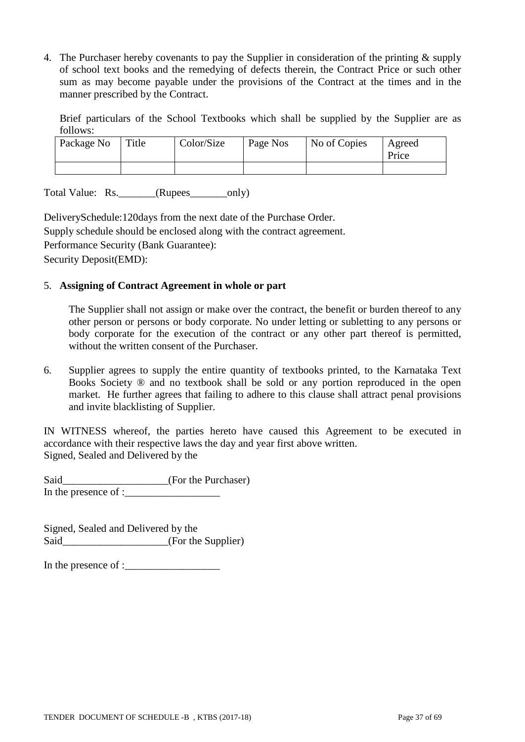4. The Purchaser hereby covenants to pay the Supplier in consideration of the printing & supply of school text books and the remedying of defects therein, the Contract Price or such other sum as may become payable under the provisions of the Contract at the times and in the manner prescribed by the Contract.

Brief particulars of the School Textbooks which shall be supplied by the Supplier are as follows:

| Package No | Title | Color/Size | Page Nos | No of Copies | Agreed<br>Price |
|------------|-------|------------|----------|--------------|-----------------|
|            |       |            |          |              |                 |

Total Value: Rs.\_\_\_\_\_\_\_(Rupees\_\_\_\_\_\_\_only)

DeliverySchedule:120days from the next date of the Purchase Order. Supply schedule should be enclosed along with the contract agreement. Performance Security (Bank Guarantee): Security Deposit(EMD):

#### 5. **Assigning of Contract Agreement in whole or part**

The Supplier shall not assign or make over the contract, the benefit or burden thereof to any other person or persons or body corporate. No under letting or subletting to any persons or body corporate for the execution of the contract or any other part thereof is permitted, without the written consent of the Purchaser.

6. Supplier agrees to supply the entire quantity of textbooks printed, to the Karnataka Text Books Society ® and no textbook shall be sold or any portion reproduced in the open market. He further agrees that failing to adhere to this clause shall attract penal provisions and invite blacklisting of Supplier.

IN WITNESS whereof, the parties hereto have caused this Agreement to be executed in accordance with their respective laws the day and year first above written. Signed, Sealed and Delivered by the

Said\_\_\_\_\_\_\_\_\_\_\_\_\_\_\_\_\_\_\_(For the Purchaser) In the presence of : $\frac{1}{\sqrt{1-\frac{1}{2}}}\left| \frac{1}{\sqrt{1-\frac{1}{2}}}\right|$ 

Signed, Sealed and Delivered by the Said\_\_\_\_\_\_\_\_\_\_\_\_\_\_\_\_\_\_\_\_\_(For the Supplier)

In the presence of :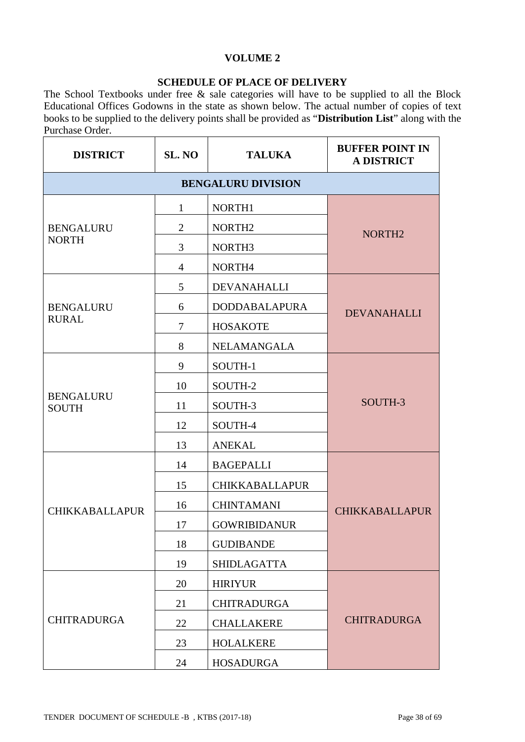## **VOLUME 2**

### **SCHEDULE OF PLACE OF DELIVERY**

The School Textbooks under free & sale categories will have to be supplied to all the Block Educational Offices Godowns in the state as shown below. The actual number of copies of text books to be supplied to the delivery points shall be provided as "**Distribution List**" along with the Purchase Order.

| <b>DISTRICT</b>                  | SL. NO         | <b>TALUKA</b>             | <b>BUFFER POINT IN</b><br><b>A DISTRICT</b> |
|----------------------------------|----------------|---------------------------|---------------------------------------------|
|                                  |                | <b>BENGALURU DIVISION</b> |                                             |
|                                  | 1              | NORTH1                    |                                             |
| <b>BENGALURU</b>                 | $\overline{2}$ | NORTH <sub>2</sub>        | NORTH <sub>2</sub>                          |
| <b>NORTH</b>                     | 3              | NORTH <sub>3</sub>        |                                             |
|                                  | $\overline{4}$ | NORTH4                    |                                             |
|                                  | 5              | <b>DEVANAHALLI</b>        |                                             |
| <b>BENGALURU</b>                 | 6              | <b>DODDABALAPURA</b>      | <b>DEVANAHALLI</b>                          |
| <b>RURAL</b>                     | 7              | <b>HOSAKOTE</b>           |                                             |
|                                  | 8              | NELAMANGALA               |                                             |
|                                  | 9              | SOUTH-1                   |                                             |
|                                  | 10             | SOUTH-2                   |                                             |
| <b>BENGALURU</b><br><b>SOUTH</b> | 11             | SOUTH-3                   | SOUTH-3                                     |
|                                  | 12             | SOUTH-4                   |                                             |
|                                  | 13             | <b>ANEKAL</b>             |                                             |
|                                  | 14             | <b>BAGEPALLI</b>          |                                             |
|                                  | 15             | <b>CHIKKABALLAPUR</b>     |                                             |
| <b>CHIKKABALLAPUR</b>            | 16             | <b>CHINTAMANI</b>         | <b>CHIKKABALLAPUR</b>                       |
|                                  | 17             | <b>GOWRIBIDANUR</b>       |                                             |
|                                  | 18             | <b>GUDIBANDE</b>          |                                             |
|                                  | 19             | <b>SHIDLAGATTA</b>        |                                             |
|                                  | 20             | <b>HIRIYUR</b>            |                                             |
|                                  | 21             | <b>CHITRADURGA</b>        |                                             |
| <b>CHITRADURGA</b>               | 22             | <b>CHALLAKERE</b>         | <b>CHITRADURGA</b>                          |
|                                  | 23             | <b>HOLALKERE</b>          |                                             |
|                                  | 24             | <b>HOSADURGA</b>          |                                             |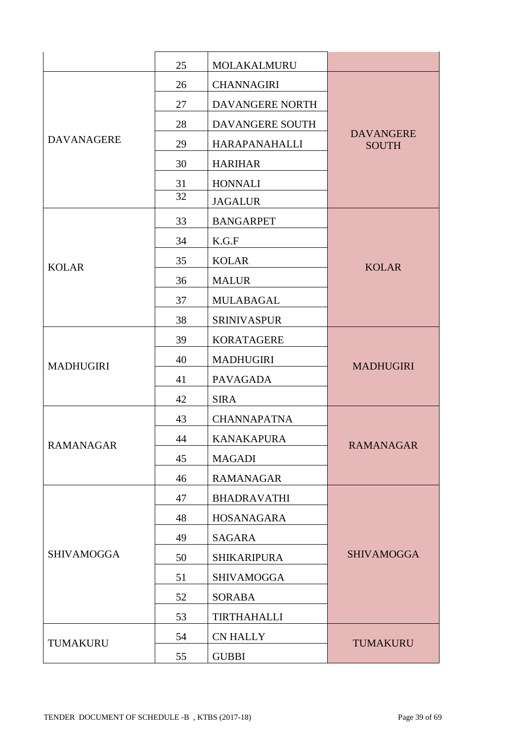|                   | 25 | MOLAKALMURU        |                                  |
|-------------------|----|--------------------|----------------------------------|
|                   | 26 | <b>CHANNAGIRI</b>  |                                  |
|                   | 27 | DAVANGERE NORTH    |                                  |
|                   | 28 | DAVANGERE SOUTH    |                                  |
| <b>DAVANAGERE</b> | 29 | HARAPANAHALLI      | <b>DAVANGERE</b><br><b>SOUTH</b> |
|                   | 30 | <b>HARIHAR</b>     |                                  |
|                   | 31 | <b>HONNALI</b>     |                                  |
|                   | 32 | <b>JAGALUR</b>     |                                  |
|                   | 33 | <b>BANGARPET</b>   |                                  |
|                   | 34 | K.G.F              |                                  |
| <b>KOLAR</b>      | 35 | <b>KOLAR</b>       | <b>KOLAR</b>                     |
|                   | 36 | <b>MALUR</b>       |                                  |
|                   | 37 | MULABAGAL          |                                  |
|                   | 38 | <b>SRINIVASPUR</b> |                                  |
|                   | 39 | <b>KORATAGERE</b>  |                                  |
| <b>MADHUGIRI</b>  | 40 | <b>MADHUGIRI</b>   | <b>MADHUGIRI</b>                 |
|                   | 41 | <b>PAVAGADA</b>    |                                  |
|                   | 42 | <b>SIRA</b>        |                                  |
|                   | 43 | <b>CHANNAPATNA</b> |                                  |
| <b>RAMANAGAR</b>  | 44 | <b>KANAKAPURA</b>  | <b>RAMANAGAR</b>                 |
|                   | 45 | <b>MAGADI</b>      |                                  |
|                   | 46 | <b>RAMANAGAR</b>   |                                  |
|                   | 47 | <b>BHADRAVATHI</b> |                                  |
|                   | 48 | HOSANAGARA         |                                  |
|                   | 49 | <b>SAGARA</b>      |                                  |
| <b>SHIVAMOGGA</b> | 50 | <b>SHIKARIPURA</b> | <b>SHIVAMOGGA</b>                |
|                   | 51 | <b>SHIVAMOGGA</b>  |                                  |
|                   | 52 | <b>SORABA</b>      |                                  |
|                   | 53 | <b>TIRTHAHALLI</b> |                                  |
|                   | 54 | <b>CN HALLY</b>    |                                  |
| TUMAKURU          | 55 | <b>GUBBI</b>       | TUMAKURU                         |
|                   |    |                    |                                  |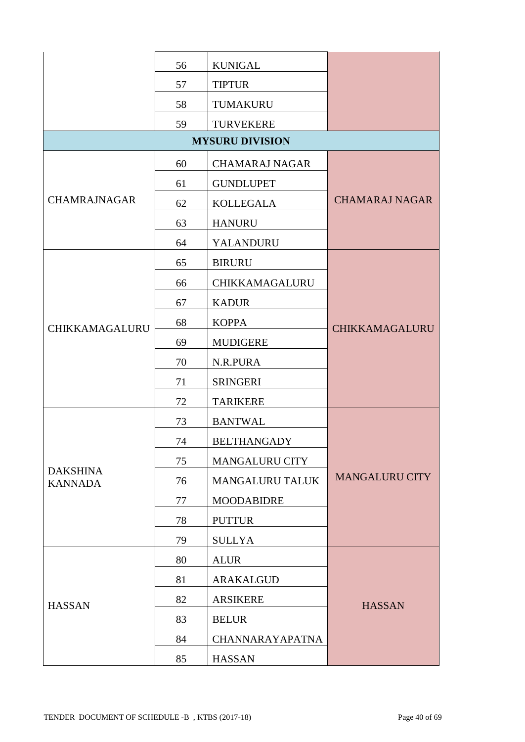|                                   | 56 | <b>KUNIGAL</b>         |                       |
|-----------------------------------|----|------------------------|-----------------------|
|                                   | 57 | <b>TIPTUR</b>          |                       |
|                                   | 58 | TUMAKURU               |                       |
|                                   | 59 | <b>TURVEKERE</b>       |                       |
|                                   |    | <b>MYSURU DIVISION</b> |                       |
|                                   | 60 | <b>CHAMARAJ NAGAR</b>  |                       |
|                                   | 61 | <b>GUNDLUPET</b>       |                       |
| <b>CHAMRAJNAGAR</b>               | 62 | <b>KOLLEGALA</b>       | <b>CHAMARAJ NAGAR</b> |
|                                   | 63 | <b>HANURU</b>          |                       |
|                                   | 64 | YALANDURU              |                       |
|                                   | 65 | <b>BIRURU</b>          |                       |
|                                   | 66 | CHIKKAMAGALURU         |                       |
|                                   | 67 | <b>KADUR</b>           |                       |
| CHIKKAMAGALURU                    | 68 | <b>KOPPA</b>           | CHIKKAMAGALURU        |
|                                   | 69 | <b>MUDIGERE</b>        |                       |
|                                   | 70 | N.R.PURA               |                       |
|                                   | 71 | <b>SRINGERI</b>        |                       |
|                                   | 72 | <b>TARIKERE</b>        |                       |
|                                   | 73 | <b>BANTWAL</b>         |                       |
|                                   | 74 | <b>BELTHANGADY</b>     |                       |
|                                   | 75 | <b>MANGALURU CITY</b>  |                       |
| <b>DAKSHINA</b><br><b>KANNADA</b> | 76 | <b>MANGALURU TALUK</b> | <b>MANGALURU CITY</b> |
|                                   | 77 | <b>MOODABIDRE</b>      |                       |
|                                   | 78 | <b>PUTTUR</b>          |                       |
|                                   | 79 | <b>SULLYA</b>          |                       |
|                                   | 80 | <b>ALUR</b>            |                       |
|                                   | 81 | <b>ARAKALGUD</b>       |                       |
| <b>HASSAN</b>                     | 82 | <b>ARSIKERE</b>        | <b>HASSAN</b>         |
|                                   | 83 | <b>BELUR</b>           |                       |
|                                   | 84 | <b>CHANNARAYAPATNA</b> |                       |
|                                   | 85 | <b>HASSAN</b>          |                       |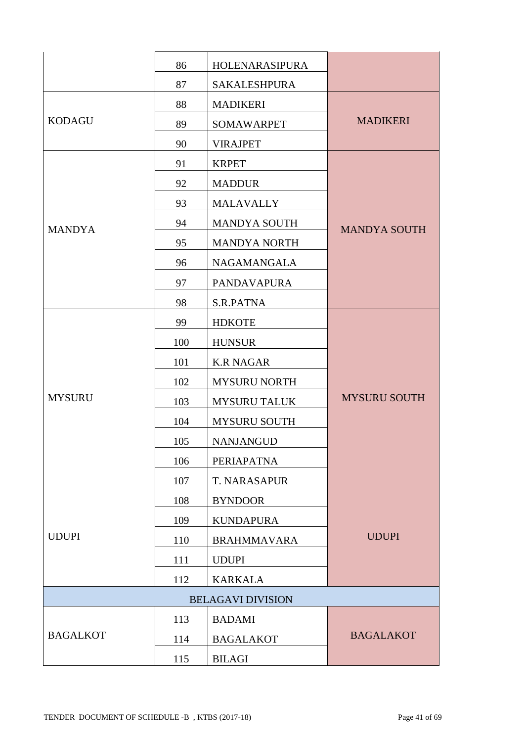|                 | 86  | HOLENARASIPURA           |                     |
|-----------------|-----|--------------------------|---------------------|
|                 | 87  | <b>SAKALESHPURA</b>      |                     |
|                 | 88  | <b>MADIKERI</b>          |                     |
| <b>KODAGU</b>   | 89  | <b>SOMAWARPET</b>        | <b>MADIKERI</b>     |
|                 | 90  | <b>VIRAJPET</b>          |                     |
|                 | 91  | <b>KRPET</b>             |                     |
|                 | 92  | <b>MADDUR</b>            |                     |
|                 | 93  | <b>MALAVALLY</b>         |                     |
| <b>MANDYA</b>   | 94  | <b>MANDYA SOUTH</b>      | <b>MANDYA SOUTH</b> |
|                 | 95  | <b>MANDYA NORTH</b>      |                     |
|                 | 96  | <b>NAGAMANGALA</b>       |                     |
|                 | 97  | <b>PANDAVAPURA</b>       |                     |
|                 | 98  | S.R.PATNA                |                     |
|                 | 99  | <b>HDKOTE</b>            |                     |
|                 | 100 | <b>HUNSUR</b>            |                     |
|                 | 101 | <b>K.R NAGAR</b>         |                     |
|                 | 102 | <b>MYSURU NORTH</b>      |                     |
| <b>MYSURU</b>   | 103 | <b>MYSURU TALUK</b>      | <b>MYSURU SOUTH</b> |
|                 | 104 | <b>MYSURU SOUTH</b>      |                     |
|                 | 105 | <b>NANJANGUD</b>         |                     |
|                 | 106 | PERIAPATNA               |                     |
|                 | 107 | T. NARASAPUR             |                     |
|                 | 108 | <b>BYNDOOR</b>           |                     |
|                 | 109 | <b>KUNDAPURA</b>         |                     |
| <b>UDUPI</b>    | 110 | <b>BRAHMMAVARA</b>       | <b>UDUPI</b>        |
|                 | 111 | <b>UDUPI</b>             |                     |
|                 | 112 | <b>KARKALA</b>           |                     |
|                 |     | <b>BELAGAVI DIVISION</b> |                     |
|                 | 113 | <b>BADAMI</b>            |                     |
| <b>BAGALKOT</b> | 114 | <b>BAGALAKOT</b>         | <b>BAGALAKOT</b>    |
|                 | 115 | <b>BILAGI</b>            |                     |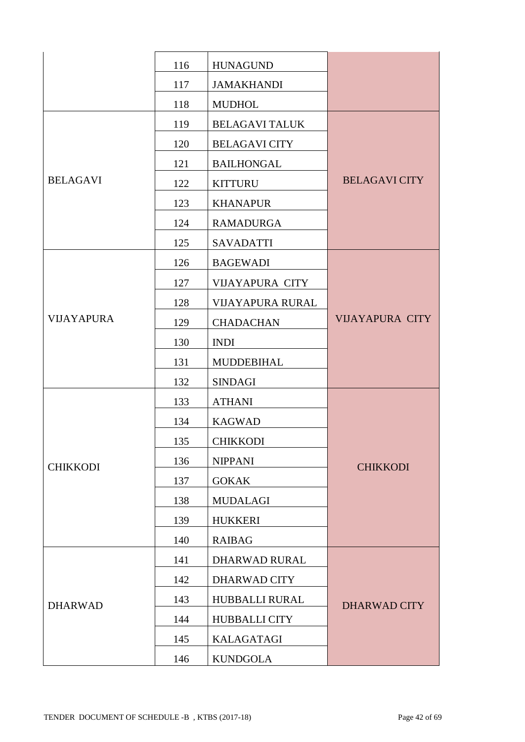|                   | 116 | <b>HUNAGUND</b>         |                        |
|-------------------|-----|-------------------------|------------------------|
|                   | 117 | <b>JAMAKHANDI</b>       |                        |
|                   | 118 | <b>MUDHOL</b>           |                        |
|                   | 119 | <b>BELAGAVI TALUK</b>   |                        |
|                   | 120 | <b>BELAGAVI CITY</b>    |                        |
|                   | 121 | <b>BAILHONGAL</b>       |                        |
| <b>BELAGAVI</b>   | 122 | <b>KITTURU</b>          | <b>BELAGAVI CITY</b>   |
|                   | 123 | <b>KHANAPUR</b>         |                        |
|                   | 124 | <b>RAMADURGA</b>        |                        |
|                   | 125 | <b>SAVADATTI</b>        |                        |
|                   | 126 | <b>BAGEWADI</b>         |                        |
|                   | 127 | <b>VIJAYAPURA CITY</b>  |                        |
|                   | 128 | <b>VIJAYAPURA RURAL</b> |                        |
| <b>VIJAYAPURA</b> | 129 | <b>CHADACHAN</b>        | <b>VIJAYAPURA CITY</b> |
|                   | 130 | <b>INDI</b>             |                        |
|                   | 131 | <b>MUDDEBIHAL</b>       |                        |
|                   | 132 | <b>SINDAGI</b>          |                        |
|                   | 133 | <b>ATHANI</b>           |                        |
|                   | 134 | <b>KAGWAD</b>           |                        |
|                   | 135 | <b>CHIKKODI</b>         |                        |
| <b>CHIKKODI</b>   | 136 | <b>NIPPANI</b>          | <b>CHIKKODI</b>        |
|                   | 137 | <b>GOKAK</b>            |                        |
|                   | 138 | <b>MUDALAGI</b>         |                        |
|                   | 139 | <b>HUKKERI</b>          |                        |
|                   | 140 | <b>RAIBAG</b>           |                        |
|                   | 141 | DHARWAD RURAL           |                        |
|                   | 142 | <b>DHARWAD CITY</b>     |                        |
| <b>DHARWAD</b>    | 143 | HUBBALLI RURAL          | <b>DHARWAD CITY</b>    |
|                   | 144 | <b>HUBBALLI CITY</b>    |                        |
|                   | 145 | <b>KALAGATAGI</b>       |                        |
|                   | 146 | <b>KUNDGOLA</b>         |                        |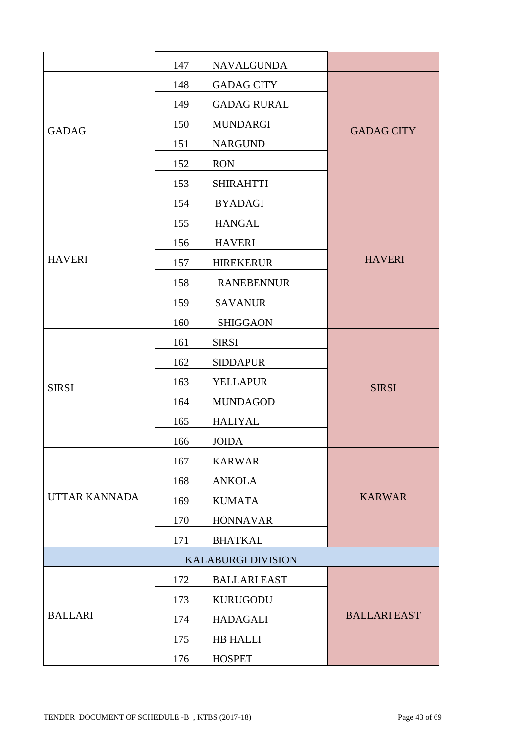|                      | 147 | <b>NAVALGUNDA</b>   |                     |
|----------------------|-----|---------------------|---------------------|
|                      | 148 | <b>GADAG CITY</b>   |                     |
|                      | 149 | <b>GADAG RURAL</b>  |                     |
| <b>GADAG</b>         | 150 | <b>MUNDARGI</b>     | <b>GADAG CITY</b>   |
|                      | 151 | <b>NARGUND</b>      |                     |
|                      | 152 | <b>RON</b>          |                     |
|                      | 153 | <b>SHIRAHTTI</b>    |                     |
|                      | 154 | <b>BYADAGI</b>      |                     |
|                      | 155 | <b>HANGAL</b>       |                     |
|                      | 156 | <b>HAVERI</b>       |                     |
| <b>HAVERI</b>        | 157 | <b>HIREKERUR</b>    | <b>HAVERI</b>       |
|                      | 158 | <b>RANEBENNUR</b>   |                     |
|                      | 159 | <b>SAVANUR</b>      |                     |
|                      | 160 | <b>SHIGGAON</b>     |                     |
|                      | 161 | <b>SIRSI</b>        |                     |
|                      | 162 | <b>SIDDAPUR</b>     |                     |
| <b>SIRSI</b>         | 163 | <b>YELLAPUR</b>     | <b>SIRSI</b>        |
|                      | 164 | <b>MUNDAGOD</b>     |                     |
|                      | 165 | <b>HALIYAL</b>      |                     |
|                      | 166 | <b>JOIDA</b>        |                     |
|                      | 167 | <b>KARWAR</b>       |                     |
|                      | 168 | <b>ANKOLA</b>       |                     |
| <b>UTTAR KANNADA</b> | 169 | <b>KUMATA</b>       | <b>KARWAR</b>       |
|                      | 170 | <b>HONNAVAR</b>     |                     |
|                      | 171 | <b>BHATKAL</b>      |                     |
|                      |     |                     |                     |
|                      | 172 | <b>BALLARI EAST</b> |                     |
|                      | 173 | <b>KURUGODU</b>     |                     |
| <b>BALLARI</b>       | 174 | <b>HADAGALI</b>     | <b>BALLARI EAST</b> |
|                      | 175 | HB HALLI            |                     |
|                      | 176 | <b>HOSPET</b>       |                     |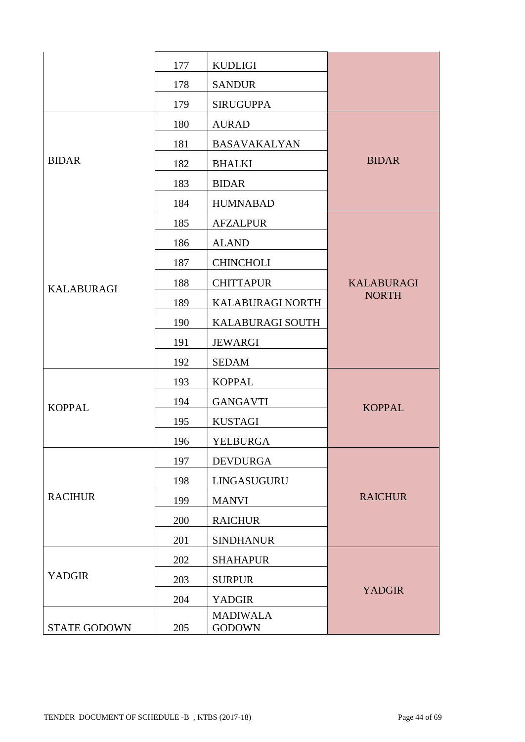|                     | 177 | <b>KUDLIGI</b>                   |                   |
|---------------------|-----|----------------------------------|-------------------|
|                     | 178 | <b>SANDUR</b>                    |                   |
|                     | 179 | <b>SIRUGUPPA</b>                 |                   |
|                     | 180 | <b>AURAD</b>                     |                   |
|                     | 181 | <b>BASAVAKALYAN</b>              |                   |
| <b>BIDAR</b>        | 182 | <b>BHALKI</b>                    | <b>BIDAR</b>      |
|                     | 183 | <b>BIDAR</b>                     |                   |
|                     | 184 | <b>HUMNABAD</b>                  |                   |
|                     | 185 | <b>AFZALPUR</b>                  |                   |
|                     | 186 | <b>ALAND</b>                     |                   |
|                     | 187 | <b>CHINCHOLI</b>                 |                   |
| <b>KALABURAGI</b>   | 188 | <b>CHITTAPUR</b>                 | <b>KALABURAGI</b> |
|                     | 189 | KALABURAGI NORTH                 | <b>NORTH</b>      |
|                     | 190 | <b>KALABURAGI SOUTH</b>          |                   |
|                     | 191 | <b>JEWARGI</b>                   |                   |
|                     | 192 | <b>SEDAM</b>                     |                   |
|                     | 193 | <b>KOPPAL</b>                    |                   |
| <b>KOPPAL</b>       | 194 | <b>GANGAVTI</b>                  | <b>KOPPAL</b>     |
|                     | 195 | <b>KUSTAGI</b>                   |                   |
|                     | 196 | <b>YELBURGA</b>                  |                   |
|                     | 197 | <b>DEVDURGA</b>                  |                   |
|                     | 198 | LINGASUGURU                      |                   |
| <b>RACIHUR</b>      | 199 | <b>MANVI</b>                     | <b>RAICHUR</b>    |
|                     | 200 | <b>RAICHUR</b>                   |                   |
|                     | 201 | <b>SINDHANUR</b>                 |                   |
|                     | 202 | <b>SHAHAPUR</b>                  |                   |
| <b>YADGIR</b>       | 203 | <b>SURPUR</b>                    |                   |
|                     | 204 | <b>YADGIR</b>                    | <b>YADGIR</b>     |
| <b>STATE GODOWN</b> | 205 | <b>MADIWALA</b><br><b>GODOWN</b> |                   |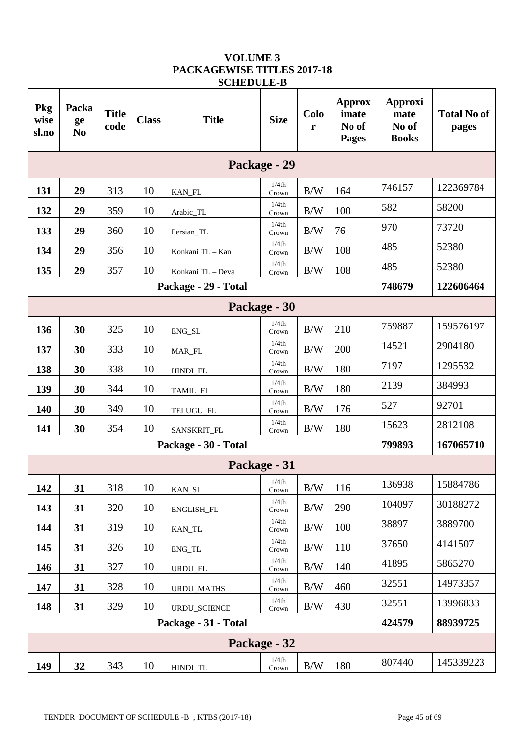| Pkg<br>wise<br>sl.no | Packa<br>ge<br>N <sub>0</sub> | <b>Title</b><br>code | <b>Class</b> | <b>Title</b>         | <b>Size</b>    | Colo<br>r | <b>Approx</b><br>imate<br>No of<br><b>Pages</b> | Approxi<br>mate<br>No of<br><b>Books</b> | <b>Total No of</b><br>pages |
|----------------------|-------------------------------|----------------------|--------------|----------------------|----------------|-----------|-------------------------------------------------|------------------------------------------|-----------------------------|
|                      |                               |                      |              |                      | Package - 29   |           |                                                 |                                          |                             |
| 131                  | 29                            | 313                  | 10           | KAN_FL               | 1/4th<br>Crown | B/W       | 164                                             | 746157                                   | 122369784                   |
| 132                  | 29                            | 359                  | 10           | Arabic_TL            | 1/4th<br>Crown | B/W       | 100                                             | 582                                      | 58200                       |
| 133                  | 29                            | 360                  | 10           | Persian_TL           | 1/4th<br>Crown | B/W       | 76                                              | 970                                      | 73720                       |
| 134                  | 29                            | 356                  | 10           | Konkani TL - Kan     | 1/4th<br>Crown | B/W       | 108                                             | 485                                      | 52380                       |
| 135                  | 29                            | 357                  | 10           | Konkani TL - Deva    | 1/4th<br>Crown | B/W       | 108                                             | 485                                      | 52380                       |
|                      |                               |                      |              | Package - 29 - Total |                |           |                                                 | 748679                                   | 122606464                   |
|                      |                               |                      |              |                      | Package - 30   |           |                                                 |                                          |                             |
| 136                  | 30                            | 325                  | 10           | ENG_SL               | 1/4th<br>Crown | B/W       | 210                                             | 759887                                   | 159576197                   |
| 137                  | 30                            | 333                  | 10           | MAR_FL               | 1/4th<br>Crown | B/W       | 200                                             | 14521                                    | 2904180                     |
| 138                  | 30                            | 338                  | 10           | HINDI_FL             | 1/4th<br>Crown | B/W       | 180                                             | 7197                                     | 1295532                     |
| 139                  | 30                            | 344                  | 10           | TAMIL_FL             | 1/4th<br>Crown | B/W       | 180                                             | 2139                                     | 384993                      |
| 140                  | 30                            | 349                  | 10           | TELUGU_FL            | 1/4th<br>Crown | B/W       | 176                                             | 527                                      | 92701                       |
| 141                  | 30                            | 354                  | 10           | SANSKRIT_FL          | 1/4th<br>Crown | B/W       | 180                                             | 15623                                    | 2812108                     |
|                      |                               |                      |              | Package - 30 - Total |                |           |                                                 | 799893                                   | 167065710                   |
|                      |                               |                      |              |                      | Package - 31   |           |                                                 |                                          |                             |
| 142                  | 31                            | 318                  | 10           | KAN_SL               | 1/4th<br>Crown | B/W       | 116                                             | 136938                                   | 15884786                    |
| 143                  | 31                            | 320                  | 10           | ENGLISH_FL           | 1/4th<br>Crown | B/W       | 290                                             | 104097                                   | 30188272                    |
| 144                  | 31                            | 319                  | 10           | KAN_TL               | 1/4th<br>Crown | B/W       | 100                                             | 38897                                    | 3889700                     |
| 145                  | 31                            | 326                  | 10           | ENG_TL               | 1/4th<br>Crown | B/W       | 110                                             | 37650                                    | 4141507                     |
| 146                  | 31                            | 327                  | 10           | URDU_FL              | 1/4th<br>Crown | B/W       | 140                                             | 41895                                    | 5865270                     |
| 147                  | 31                            | 328                  | 10           | URDU_MATHS           | 1/4th<br>Crown | B/W       | 460                                             | 32551                                    | 14973357                    |
| 148                  | 31                            | 329                  | 10           | URDU_SCIENCE         | 1/4th<br>Crown | B/W       | 430                                             | 32551                                    | 13996833                    |
|                      |                               |                      |              | Package - 31 - Total |                |           |                                                 | 424579                                   | 88939725                    |
|                      |                               |                      |              |                      | Package - 32   |           |                                                 |                                          |                             |
| 149                  | 32                            | 343                  | 10           | HINDI_TL             | 1/4th<br>Crown | B/W       | 180                                             | 807440                                   | 145339223                   |

#### **VOLUME 3 PACKAGEWISE TITLES 2017-18 SCHEDULE-B**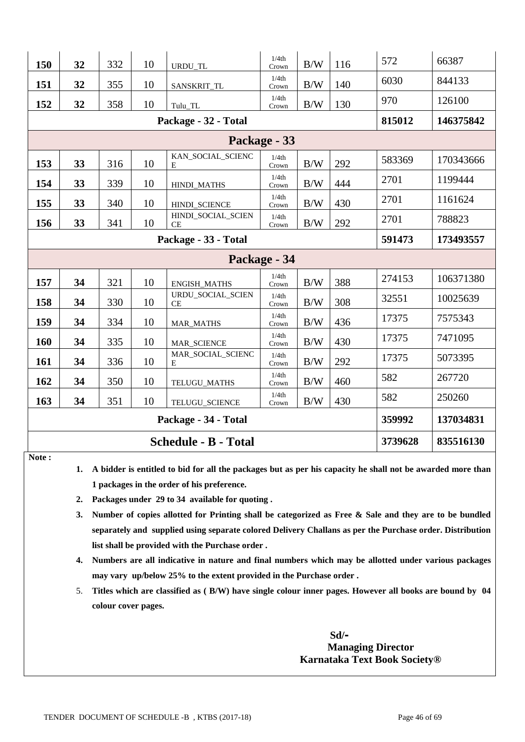| 150 | 32                          | 332 | 10 | URDU_TL                         | 1/4th<br>Crown | B/W | 116 | 572    | 66387     |
|-----|-----------------------------|-----|----|---------------------------------|----------------|-----|-----|--------|-----------|
| 151 | 32                          | 355 | 10 | SANSKRIT_TL                     | 1/4th<br>Crown | B/W | 140 | 6030   | 844133    |
| 152 | 32                          | 358 | 10 | Tulu_TL                         | 1/4th<br>Crown | B/W | 130 | 970    | 126100    |
|     |                             |     |    | Package - 32 - Total            |                |     |     | 815012 | 146375842 |
|     | Package - 33                |     |    |                                 |                |     |     |        |           |
| 153 | 33                          | 316 | 10 | KAN_SOCIAL_SCIENC<br>E          | 1/4th<br>Crown | B/W | 292 | 583369 | 170343666 |
| 154 | 33                          | 339 | 10 | HINDI_MATHS                     | 1/4th<br>Crown | B/W | 444 | 2701   | 1199444   |
| 155 | 33                          | 340 | 10 | HINDI_SCIENCE                   | 1/4th<br>Crown | B/W | 430 | 2701   | 1161624   |
| 156 | 33                          | 341 | 10 | HINDI_SOCIAL_SCIEN<br><b>CE</b> | 1/4th<br>Crown | B/W | 292 | 2701   | 788823    |
|     | Package - 33 - Total        |     |    |                                 |                |     |     |        | 173493557 |
|     |                             |     |    |                                 | Package - 34   |     |     |        |           |
| 157 | 34                          | 321 | 10 | <b>ENGISH_MATHS</b>             | 1/4th<br>Crown | B/W | 388 | 274153 | 106371380 |
| 158 | 34                          | 330 | 10 | URDU_SOCIAL_SCIEN<br>СE         | 1/4th<br>Crown | B/W | 308 | 32551  | 10025639  |
| 159 | 34                          | 334 | 10 | MAR_MATHS                       | 1/4th<br>Crown | B/W | 436 | 17375  | 7575343   |
| 160 | 34                          | 335 | 10 | MAR_SCIENCE                     | 1/4th<br>Crown | B/W | 430 | 17375  | 7471095   |
| 161 | 34                          | 336 | 10 | MAR_SOCIAL_SCIENC<br>E          | 1/4th<br>Crown | B/W | 292 | 17375  | 5073395   |
| 162 | 34                          | 350 | 10 | TELUGU_MATHS                    | 1/4th<br>Crown | B/W | 460 | 582    | 267720    |
| 163 | 34                          | 351 | 10 | TELUGU_SCIENCE                  | 1/4th<br>Crown | B/W | 430 | 582    | 250260    |
|     | Package - 34 - Total        |     |    |                                 |                |     |     | 359992 | 137034831 |
|     | <b>Schedule - B - Total</b> |     |    |                                 |                |     |     |        | 835516130 |

**Note :** 

**1. A bidder is entitled to bid for all the packages but as per his capacity he shall not be awarded more than 1 packages in the order of his preference.**

- **2. Packages under 29 to 34 available for quoting .**
- **3. Number of copies allotted for Printing shall be categorized as Free & Sale and they are to be bundled separately and supplied using separate colored Delivery Challans as per the Purchase order. Distribution list shall be provided with the Purchase order .**
- **4. Numbers are all indicative in nature and final numbers which may be allotted under various packages may vary up/below 25% to the extent provided in the Purchase order .**
- 5. **Titles which are classified as ( B/W) have single colour inner pages. However all books are bound by 04 colour cover pages.**

 **Sd/- Managing Director Karnataka Text Book Society®**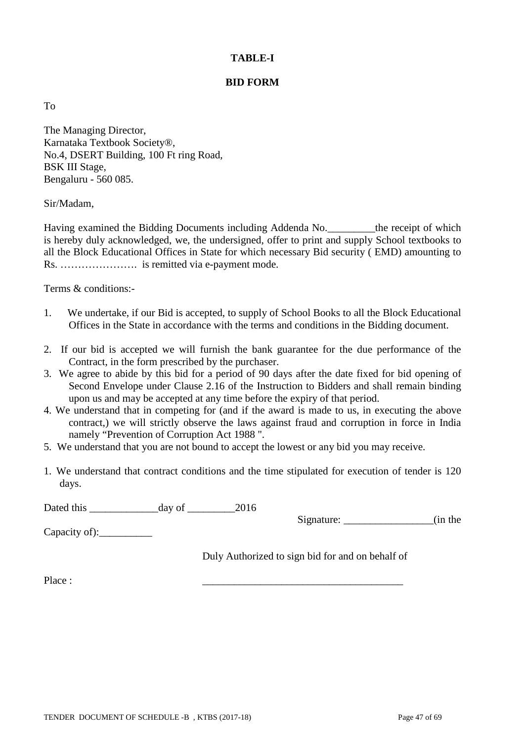## **TABLE-I**

## **BID FORM**

To

The Managing Director, Karnataka Textbook Society®, No.4, DSERT Building, 100 Ft ring Road, BSK III Stage, Bengaluru - 560 085.

Sir/Madam,

Having examined the Bidding Documents including Addenda No.\_\_\_\_\_\_\_\_\_the receipt of which is hereby duly acknowledged, we, the undersigned, offer to print and supply School textbooks to all the Block Educational Offices in State for which necessary Bid security ( EMD) amounting to Rs. …………………. is remitted via e-payment mode.

Terms & conditions:-

- 1. We undertake, if our Bid is accepted, to supply of School Books to all the Block Educational Offices in the State in accordance with the terms and conditions in the Bidding document.
- 2. If our bid is accepted we will furnish the bank guarantee for the due performance of the Contract, in the form prescribed by the purchaser.
- 3. We agree to abide by this bid for a period of 90 days after the date fixed for bid opening of Second Envelope under Clause 2.16 of the Instruction to Bidders and shall remain binding upon us and may be accepted at any time before the expiry of that period.
- 4. We understand that in competing for (and if the award is made to us, in executing the above contract,) we will strictly observe the laws against fraud and corruption in force in India namely "Prevention of Corruption Act 1988 ".
- 5. We understand that you are not bound to accept the lowest or any bid you may receive.
- 1. We understand that contract conditions and the time stipulated for execution of tender is 120 days.

Dated this day of 2016

Signature:  $\qquad \qquad$  (in the

Capacity of):

Duly Authorized to sign bid for and on behalf of

Place : \_\_\_\_\_\_\_\_\_\_\_\_\_\_\_\_\_\_\_\_\_\_\_\_\_\_\_\_\_\_\_\_\_\_\_\_\_\_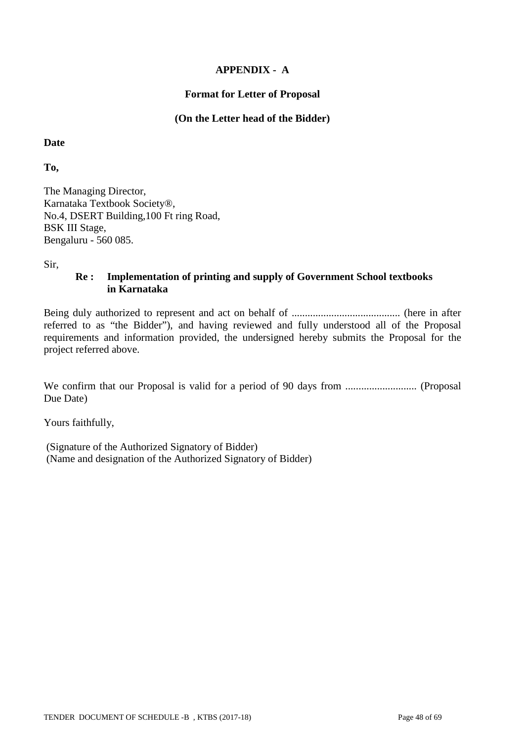## **APPENDIX - A**

#### **Format for Letter of Proposal**

#### **(On the Letter head of the Bidder)**

**Date**

**To,**

The Managing Director, Karnataka Textbook Society®, No.4, DSERT Building,100 Ft ring Road, BSK III Stage, Bengaluru - 560 085.

Sir,

#### **Re : Implementation of printing and supply of Government School textbooks in Karnataka**

Being duly authorized to represent and act on behalf of ......................................... (here in after referred to as "the Bidder"), and having reviewed and fully understood all of the Proposal requirements and information provided, the undersigned hereby submits the Proposal for the project referred above.

We confirm that our Proposal is valid for a period of 90 days from ........................... (Proposal Due Date)

Yours faithfully,

(Signature of the Authorized Signatory of Bidder) (Name and designation of the Authorized Signatory of Bidder)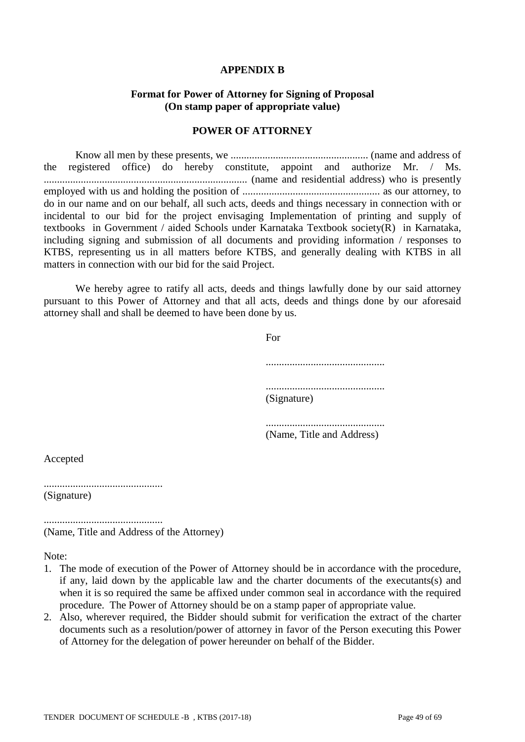#### **APPENDIX B**

#### **Format for Power of Attorney for Signing of Proposal (On stamp paper of appropriate value)**

#### **POWER OF ATTORNEY**

Know all men by these presents, we .................................................... (name and address of the registered office) do hereby constitute, appoint and authorize Mr. / Ms. ............................................................................. (name and residential address) who is presently employed with us and holding the position of .................................................... as our attorney, to do in our name and on our behalf, all such acts, deeds and things necessary in connection with or incidental to our bid for the project envisaging Implementation of printing and supply of textbooks in Government / aided Schools under Karnataka Textbook society(R) in Karnataka, including signing and submission of all documents and providing information / responses to KTBS, representing us in all matters before KTBS, and generally dealing with KTBS in all matters in connection with our bid for the said Project.

We hereby agree to ratify all acts, deeds and things lawfully done by our said attorney pursuant to this Power of Attorney and that all acts, deeds and things done by our aforesaid attorney shall and shall be deemed to have been done by us.

For

............................................. ............................................. (Signature)

............................................. (Name, Title and Address)

Accepted

............................................. (Signature)

............................................. (Name, Title and Address of the Attorney)

Note:

- 1. The mode of execution of the Power of Attorney should be in accordance with the procedure, if any, laid down by the applicable law and the charter documents of the executants(s) and when it is so required the same be affixed under common seal in accordance with the required procedure. The Power of Attorney should be on a stamp paper of appropriate value.
- 2. Also, wherever required, the Bidder should submit for verification the extract of the charter documents such as a resolution/power of attorney in favor of the Person executing this Power of Attorney for the delegation of power hereunder on behalf of the Bidder.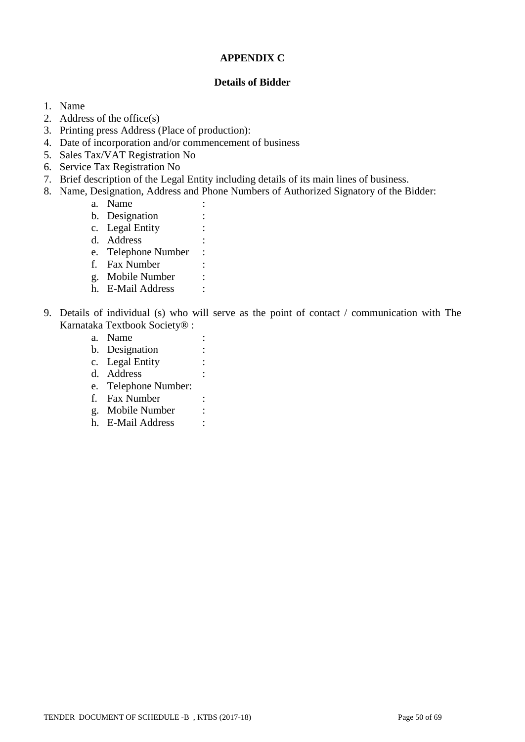#### **APPENDIX C**

#### **Details of Bidder**

- 1. Name
- 2. Address of the office(s)
- 3. Printing press Address (Place of production):
- 4. Date of incorporation and/or commencement of business
- 5. Sales Tax/VAT Registration No
- 6. Service Tax Registration No
- 7. Brief description of the Legal Entity including details of its main lines of business.
- 8. Name, Designation, Address and Phone Numbers of Authorized Signatory of the Bidder:
	- a. Name
	- b. Designation :
	- c. Legal Entity :
	- d. Address
	- e. Telephone Number :
	- f. Fax Number :
	- g. Mobile Number :
	- h. E-Mail Address :
- 9. Details of individual (s) who will serve as the point of contact / communication with The Karnataka Textbook Society® :
	- a. Name :
	- b. Designation :
	- c. Legal Entity :
	- d. Address :
	- e. Telephone Number:
	- f. Fax Number :
	- g. Mobile Number :
	- h. E-Mail Address :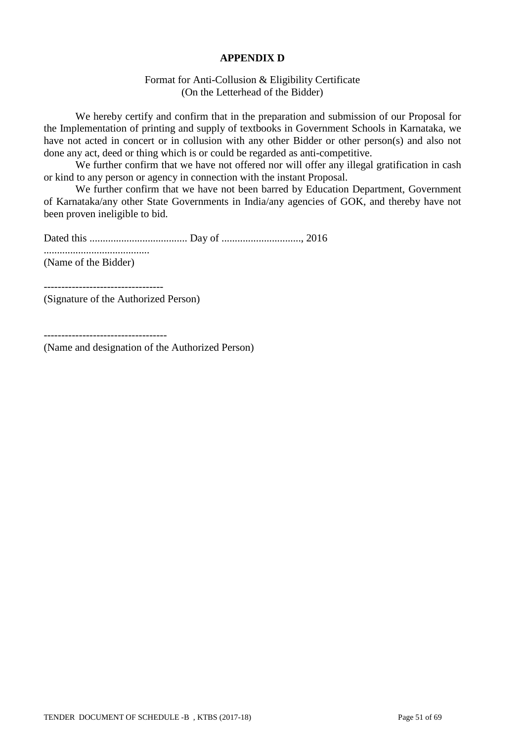#### **APPENDIX D**

#### Format for Anti-Collusion & Eligibility Certificate (On the Letterhead of the Bidder)

We hereby certify and confirm that in the preparation and submission of our Proposal for the Implementation of printing and supply of textbooks in Government Schools in Karnataka, we have not acted in concert or in collusion with any other Bidder or other person(s) and also not done any act, deed or thing which is or could be regarded as anti-competitive.

We further confirm that we have not offered nor will offer any illegal gratification in cash or kind to any person or agency in connection with the instant Proposal.

We further confirm that we have not been barred by Education Department, Government of Karnataka/any other State Governments in India/any agencies of GOK, and thereby have not been proven ineligible to bid.

Dated this ..................................... Day of .............................., 2016

........................................ (Name of the Bidder)

(Signature of the Authorized Person)

(Name and designation of the Authorized Person)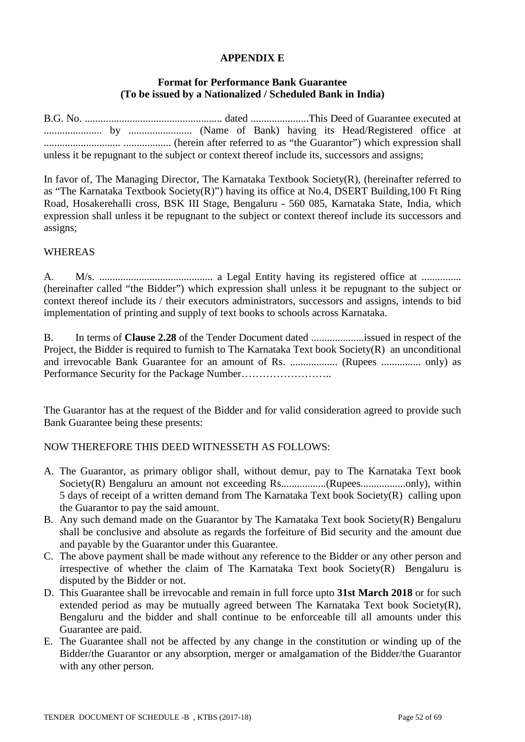## **APPENDIX E**

#### **Format for Performance Bank Guarantee (To be issued by a Nationalized / Scheduled Bank in India)**

|  |  |  |  | unless it be repugnant to the subject or context thereof include its, successors and assigns; |  |
|--|--|--|--|-----------------------------------------------------------------------------------------------|--|

In favor of, The Managing Director, The Karnataka Textbook Society(R), (hereinafter referred to as "The Karnataka Textbook Society(R)") having its office at No.4, DSERT Building,100 Ft Ring Road, Hosakerehalli cross, BSK III Stage, Bengaluru - 560 085, Karnataka State, India, which expression shall unless it be repugnant to the subject or context thereof include its successors and assigns;

#### WHEREAS

A. M/s. ........................................... a Legal Entity having its registered office at ............... (hereinafter called "the Bidder") which expression shall unless it be repugnant to the subject or context thereof include its / their executors administrators, successors and assigns, intends to bid implementation of printing and supply of text books to schools across Karnataka.

B. In terms of **Clause 2.28** of the Tender Document dated ....................issued in respect of the Project, the Bidder is required to furnish to The Karnataka Text book Society(R) an unconditional and irrevocable Bank Guarantee for an amount of Rs. .................. (Rupees ............... only) as Performance Security for the Package Number……………………..

The Guarantor has at the request of the Bidder and for valid consideration agreed to provide such Bank Guarantee being these presents:

#### NOW THEREFORE THIS DEED WITNESSETH AS FOLLOWS:

- A. The Guarantor, as primary obligor shall, without demur, pay to The Karnataka Text book Society(R) Bengaluru an amount not exceeding Rs..................(Rupees......................only), within 5 days of receipt of a written demand from The Karnataka Text book Society(R) calling upon the Guarantor to pay the said amount.
- B. Any such demand made on the Guarantor by The Karnataka Text book Society(R) Bengaluru shall be conclusive and absolute as regards the forfeiture of Bid security and the amount due and payable by the Guarantor under this Guarantee.
- C. The above payment shall be made without any reference to the Bidder or any other person and irrespective of whether the claim of The Karnataka Text book Society(R) Bengaluru is disputed by the Bidder or not.
- D. This Guarantee shall be irrevocable and remain in full force upto **31st March 2018** or for such extended period as may be mutually agreed between The Karnataka Text book Society(R), Bengaluru and the bidder and shall continue to be enforceable till all amounts under this Guarantee are paid.
- E. The Guarantee shall not be affected by any change in the constitution or winding up of the Bidder/the Guarantor or any absorption, merger or amalgamation of the Bidder/the Guarantor with any other person.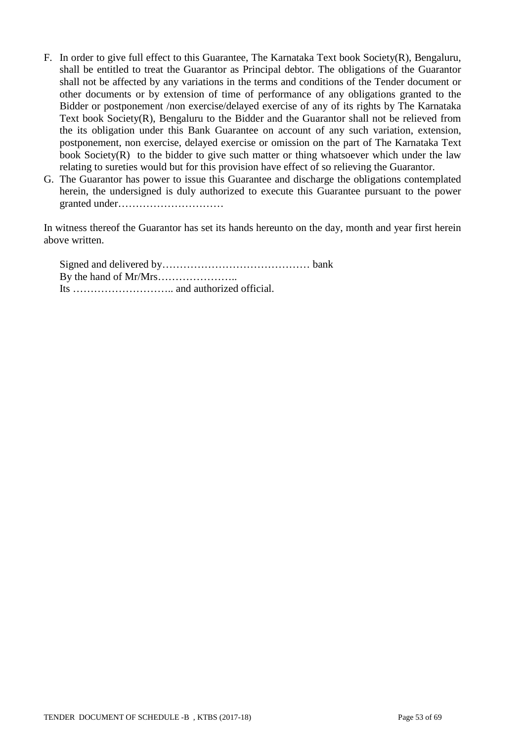- F. In order to give full effect to this Guarantee, The Karnataka Text book Society(R), Bengaluru, shall be entitled to treat the Guarantor as Principal debtor. The obligations of the Guarantor shall not be affected by any variations in the terms and conditions of the Tender document or other documents or by extension of time of performance of any obligations granted to the Bidder or postponement /non exercise/delayed exercise of any of its rights by The Karnataka Text book Society(R), Bengaluru to the Bidder and the Guarantor shall not be relieved from the its obligation under this Bank Guarantee on account of any such variation, extension, postponement, non exercise, delayed exercise or omission on the part of The Karnataka Text book Society(R) to the bidder to give such matter or thing whatsoever which under the law relating to sureties would but for this provision have effect of so relieving the Guarantor.
- G. The Guarantor has power to issue this Guarantee and discharge the obligations contemplated herein, the undersigned is duly authorized to execute this Guarantee pursuant to the power granted under…………………………

In witness thereof the Guarantor has set its hands hereunto on the day, month and year first herein above written.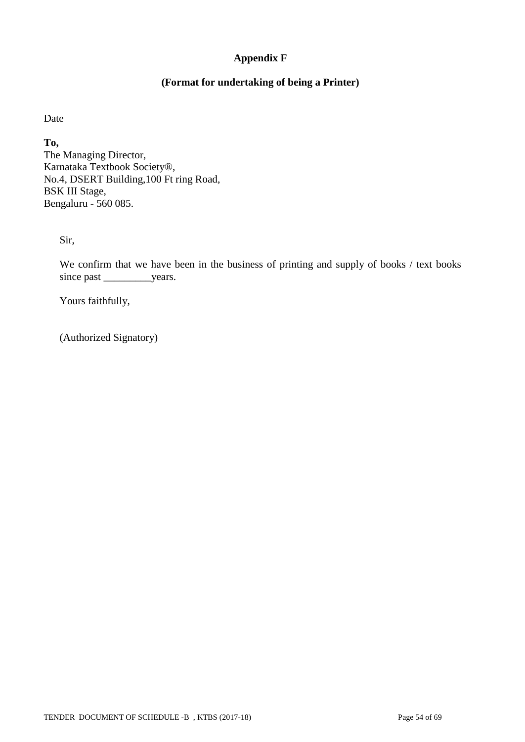## **Appendix F**

## **(Format for undertaking of being a Printer)**

Date

**To,** The Managing Director, Karnataka Textbook Society®, No.4, DSERT Building,100 Ft ring Road, BSK III Stage, Bengaluru - 560 085.

Sir,

We confirm that we have been in the business of printing and supply of books / text books since past \_\_\_\_\_\_\_\_\_\_\_\_years.

Yours faithfully,

(Authorized Signatory)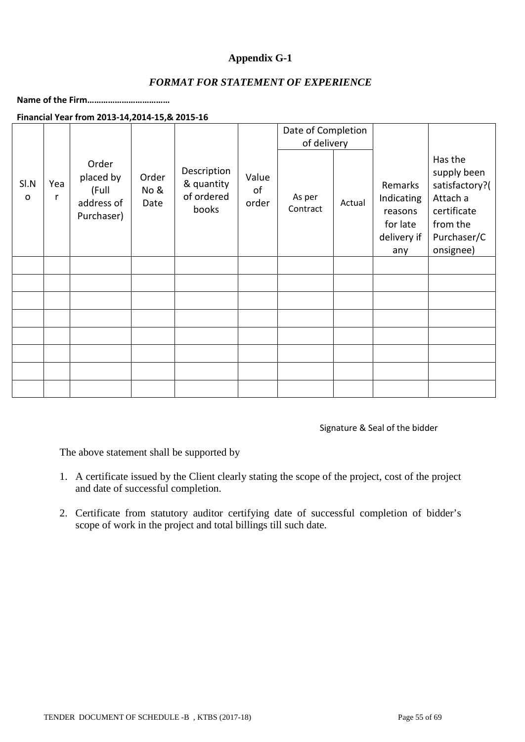## **Appendix G-1**

## *FORMAT FOR STATEMENT OF EXPERIENCE*

**Name of the Firm………………………………**

#### **Financial Year from 2013-14,2014-15,& 2015-16**

|                      |          |                                                         |                       |                                                  |                      | Date of Completion<br>of delivery |        |                                                                    |                                                                                                             |
|----------------------|----------|---------------------------------------------------------|-----------------------|--------------------------------------------------|----------------------|-----------------------------------|--------|--------------------------------------------------------------------|-------------------------------------------------------------------------------------------------------------|
| SI.N<br>$\mathsf{o}$ | Yea<br>r | Order<br>placed by<br>(Full<br>address of<br>Purchaser) | Order<br>No &<br>Date | Description<br>& quantity<br>of ordered<br>books | Value<br>оf<br>order | As per<br>Contract                | Actual | Remarks<br>Indicating<br>reasons<br>for late<br>delivery if<br>any | Has the<br>supply been<br>satisfactory?(<br>Attach a<br>certificate<br>from the<br>Purchaser/C<br>onsignee) |
|                      |          |                                                         |                       |                                                  |                      |                                   |        |                                                                    |                                                                                                             |
|                      |          |                                                         |                       |                                                  |                      |                                   |        |                                                                    |                                                                                                             |
|                      |          |                                                         |                       |                                                  |                      |                                   |        |                                                                    |                                                                                                             |
|                      |          |                                                         |                       |                                                  |                      |                                   |        |                                                                    |                                                                                                             |
|                      |          |                                                         |                       |                                                  |                      |                                   |        |                                                                    |                                                                                                             |
|                      |          |                                                         |                       |                                                  |                      |                                   |        |                                                                    |                                                                                                             |
|                      |          |                                                         |                       |                                                  |                      |                                   |        |                                                                    |                                                                                                             |
|                      |          |                                                         |                       |                                                  |                      |                                   |        |                                                                    |                                                                                                             |

Signature & Seal of the bidder

The above statement shall be supported by

- 1. A certificate issued by the Client clearly stating the scope of the project, cost of the project and date of successful completion.
- 2. Certificate from statutory auditor certifying date of successful completion of bidder's scope of work in the project and total billings till such date.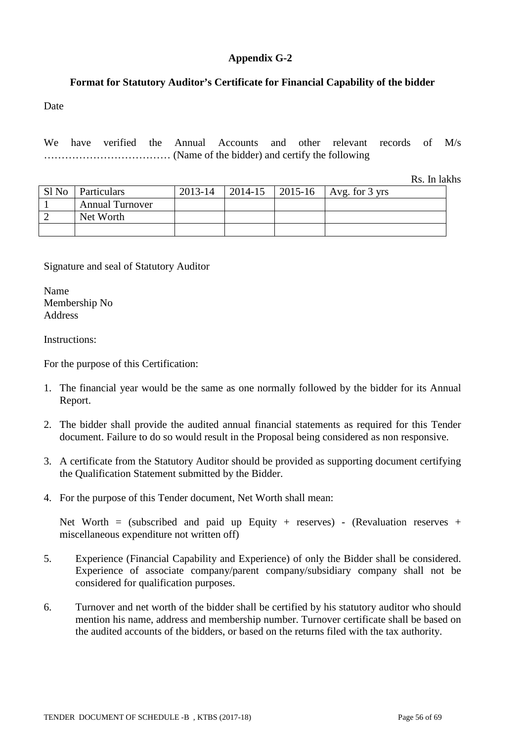## **Appendix G-2**

## **Format for Statutory Auditor's Certificate for Financial Capability of the bidder**

Date

We have verified the Annual Accounts and other relevant records of M/s ……………………………… (Name of the bidder) and certify the following

Rs. In lakhs

|       |                        |         |         | $\sim$                   |
|-------|------------------------|---------|---------|--------------------------|
| Sl No | Particulars            | 2013-14 | 2014-15 | 2015-16   Avg. for 3 yrs |
|       | <b>Annual Turnover</b> |         |         |                          |
|       | Net Worth              |         |         |                          |
|       |                        |         |         |                          |

#### Signature and seal of Statutory Auditor

Name Membership No Address

Instructions:

For the purpose of this Certification:

- 1. The financial year would be the same as one normally followed by the bidder for its Annual Report.
- 2. The bidder shall provide the audited annual financial statements as required for this Tender document. Failure to do so would result in the Proposal being considered as non responsive.
- 3. A certificate from the Statutory Auditor should be provided as supporting document certifying the Qualification Statement submitted by the Bidder.
- 4. For the purpose of this Tender document, Net Worth shall mean:

Net Worth = (subscribed and paid up Equity + reserves) - (Revaluation reserves + miscellaneous expenditure not written off)

- 5. Experience (Financial Capability and Experience) of only the Bidder shall be considered. Experience of associate company/parent company/subsidiary company shall not be considered for qualification purposes.
- 6. Turnover and net worth of the bidder shall be certified by his statutory auditor who should mention his name, address and membership number. Turnover certificate shall be based on the audited accounts of the bidders, or based on the returns filed with the tax authority.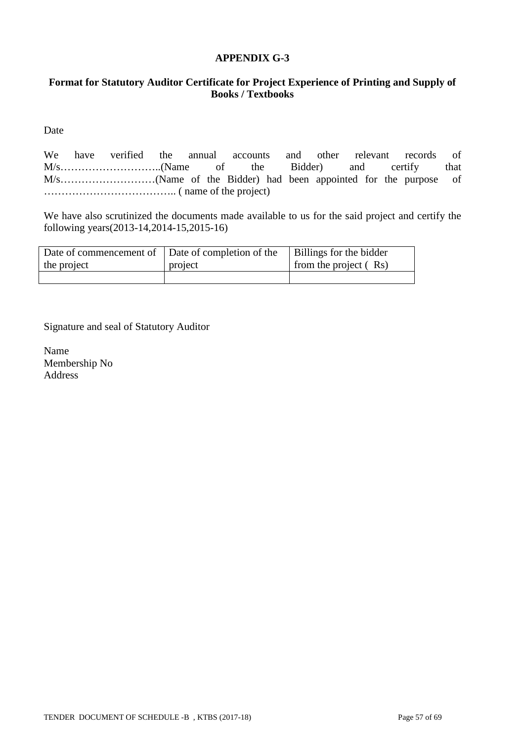#### **APPENDIX G-3**

## **Format for Statutory Auditor Certificate for Project Experience of Printing and Supply of Books / Textbooks**

Date

We have verified the annual accounts and other relevant records of M/s………………………..(Name of the Bidder) and certify that M/s………………………(Name of the Bidder) had been appointed for the purpose of ……………………………….. ( name of the project)

We have also scrutinized the documents made available to us for the said project and certify the following years(2013-14,2014-15,2015-16)

| Date of commencement of Date of completion of the |         | Billings for the bidder |
|---------------------------------------------------|---------|-------------------------|
| the project                                       | project | from the project $(Rs)$ |
|                                                   |         |                         |

Signature and seal of Statutory Auditor

Name Membership No Address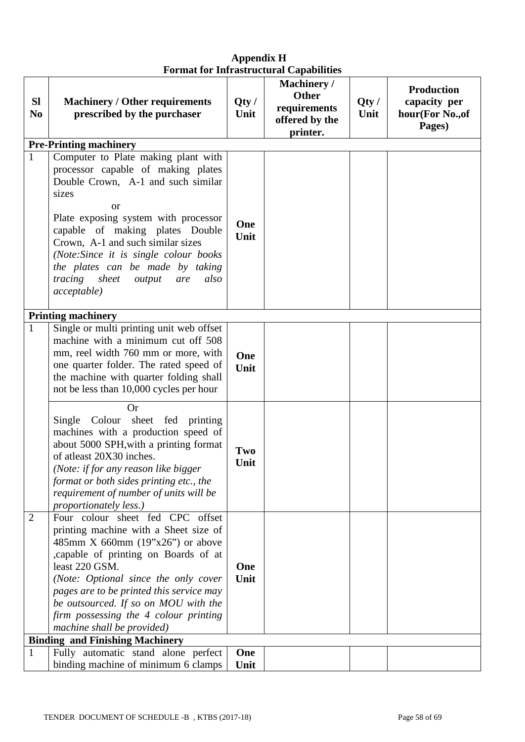| <b>Sl</b><br>N <sub>0</sub> | <b>Machinery / Other requirements</b><br>prescribed by the purchaser                                                                                                                                                                                                                                                                                                                                 | Qty/<br>Unit | <b>Machinery</b> /<br><b>Other</b><br>requirements<br>offered by the<br>printer. | Qty/<br>Unit | <b>Production</b><br>capacity per<br>hour(For No., of<br>Pages) |
|-----------------------------|------------------------------------------------------------------------------------------------------------------------------------------------------------------------------------------------------------------------------------------------------------------------------------------------------------------------------------------------------------------------------------------------------|--------------|----------------------------------------------------------------------------------|--------------|-----------------------------------------------------------------|
|                             | <b>Pre-Printing machinery</b>                                                                                                                                                                                                                                                                                                                                                                        |              |                                                                                  |              |                                                                 |
| $\mathbf{1}$                | Computer to Plate making plant with<br>processor capable of making plates<br>Double Crown, A-1 and such similar<br>sizes<br><b>or</b><br>Plate exposing system with processor<br>capable of making plates Double<br>Crown, A-1 and such similar sizes<br>(Note:Since it is single colour books)<br>the plates can be made by taking<br>tracing sheet<br>output<br>also<br>are<br><i>acceptable</i> ) | One<br>Unit  |                                                                                  |              |                                                                 |
| $\mathbf{1}$                | <b>Printing machinery</b><br>Single or multi printing unit web offset<br>machine with a minimum cut off 508<br>mm, reel width 760 mm or more, with<br>one quarter folder. The rated speed of<br>the machine with quarter folding shall<br>not be less than 10,000 cycles per hour                                                                                                                    | One<br>Unit  |                                                                                  |              |                                                                 |
|                             | Or<br>Single Colour sheet fed printing<br>machines with a production speed of<br>about 5000 SPH, with a printing format<br>of atleast 20X30 inches.<br>(Note: if for any reason like bigger<br>format or both sides printing etc., the<br>requirement of number of units will be<br>proportionately less.)                                                                                           | Two<br>Unit  |                                                                                  |              |                                                                 |
| $\overline{2}$              | Four colour sheet fed CPC offset<br>printing machine with a Sheet size of<br>485mm X 660mm $(19"x26")$ or above<br>capable of printing on Boards of at<br>least 220 GSM.<br>(Note: Optional since the only cover<br>pages are to be printed this service may<br>be outsourced. If so on MOU with the<br>firm possessing the 4 colour printing<br>machine shall be provided)                          | One<br>Unit  |                                                                                  |              |                                                                 |
| $\mathbf{1}$                | <b>Binding and Finishing Machinery</b><br>Fully automatic stand alone perfect                                                                                                                                                                                                                                                                                                                        | One          |                                                                                  |              |                                                                 |
|                             | binding machine of minimum 6 clamps                                                                                                                                                                                                                                                                                                                                                                  | Unit         |                                                                                  |              |                                                                 |

## **Appendix H Format for Infrastructural Capabilities**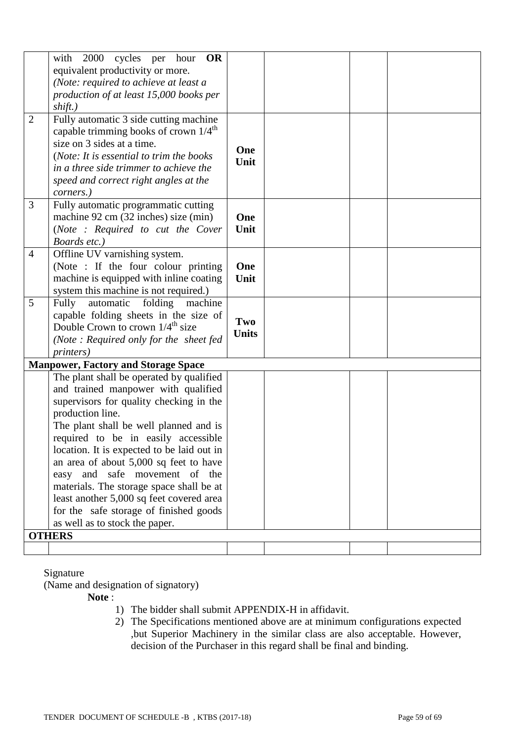|                | with 2000 cycles per hour<br><b>OR</b>            |              |  |  |
|----------------|---------------------------------------------------|--------------|--|--|
|                | equivalent productivity or more.                  |              |  |  |
|                | (Note: required to achieve at least a             |              |  |  |
|                |                                                   |              |  |  |
|                | production of at least 15,000 books per           |              |  |  |
|                | shift.)                                           |              |  |  |
| $\overline{2}$ | Fully automatic 3 side cutting machine            |              |  |  |
|                | capable trimming books of crown $1/4^{\text{th}}$ |              |  |  |
|                | size on 3 sides at a time.                        | One          |  |  |
|                | (Note: It is essential to trim the books          | Unit         |  |  |
|                | in a three side trimmer to achieve the            |              |  |  |
|                | speed and correct right angles at the             |              |  |  |
|                | corners.)                                         |              |  |  |
| 3              | Fully automatic programmatic cutting              |              |  |  |
|                | machine 92 cm (32 inches) size (min)              | One          |  |  |
|                | (Note : Required to cut the Cover                 | Unit         |  |  |
|                | Boards etc.)                                      |              |  |  |
| $\overline{4}$ | Offline UV varnishing system.                     |              |  |  |
|                | (Note : If the four colour printing               | One          |  |  |
|                | machine is equipped with inline coating           | Unit         |  |  |
|                | system this machine is not required.)             |              |  |  |
| 5              | Fully<br>automatic<br>folding<br>machine          |              |  |  |
|                | capable folding sheets in the size of             | Two          |  |  |
|                | Double Crown to crown $1/4^{\text{th}}$ size      |              |  |  |
|                | (Note: Required only for the sheet fed            | <b>Units</b> |  |  |
|                | <i>printers</i> )                                 |              |  |  |
|                | <b>Manpower, Factory and Storage Space</b>        |              |  |  |
|                | The plant shall be operated by qualified          |              |  |  |
|                | and trained manpower with qualified               |              |  |  |
|                | supervisors for quality checking in the           |              |  |  |
|                | production line.                                  |              |  |  |
|                | The plant shall be well planned and is            |              |  |  |
|                | required to be in easily accessible               |              |  |  |
|                | location. It is expected to be laid out in        |              |  |  |
|                | an area of about 5,000 sq feet to have            |              |  |  |
|                | easy and safe movement of the                     |              |  |  |
|                | materials. The storage space shall be at          |              |  |  |
|                | least another 5,000 sq feet covered area          |              |  |  |
|                | for the safe storage of finished goods            |              |  |  |
|                | as well as to stock the paper.                    |              |  |  |
|                | <b>OTHERS</b>                                     |              |  |  |
|                |                                                   |              |  |  |

#### Signature

(Name and designation of signatory)

**Note** :

- 1) The bidder shall submit APPENDIX-H in affidavit.
- 2) The Specifications mentioned above are at minimum configurations expected ,but Superior Machinery in the similar class are also acceptable. However, decision of the Purchaser in this regard shall be final and binding.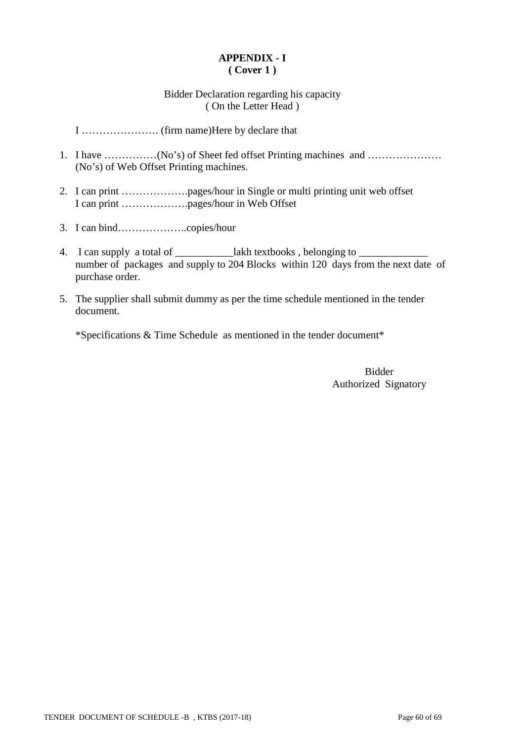## **APPENDIX - I ( Cover 1 )**

### Bidder Declaration regarding his capacity ( On the Letter Head )

I …………………. (firm name)Here by declare that

- 1. I have ……………(No's) of Sheet fed offset Printing machines and ………………… (No's) of Web Offset Printing machines.
- 2. I can print ……………….pages/hour in Single or multi printing unit web offset I can print ……………….pages/hour in Web Offset
- 3. I can bind………………..copies/hour
- 4. I can supply a total of \_\_\_\_\_\_\_\_\_\_\_\_\_lakh textbooks, belonging to \_ number of packages and supply to 204 Blocks within 120 days from the next date of purchase order.
- 5. The supplier shall submit dummy as per the time schedule mentioned in the tender document.

\*Specifications & Time Schedule as mentioned in the tender document\*

Bidder Authorized Signatory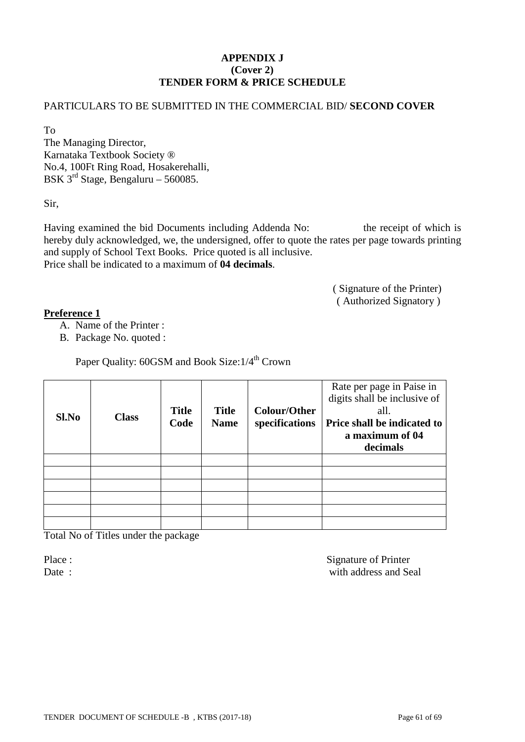## **APPENDIX J (Cover 2) TENDER FORM & PRICE SCHEDULE**

## PARTICULARS TO BE SUBMITTED IN THE COMMERCIAL BID/ **SECOND COVER**

To

The Managing Director, Karnataka Textbook Society ® No.4, 100Ft Ring Road, Hosakerehalli, BSK 3rd Stage, Bengaluru – 560085.

Sir,

Having examined the bid Documents including Addenda No: the receipt of which is hereby duly acknowledged, we, the undersigned, offer to quote the rates per page towards printing and supply of School Text Books. Price quoted is all inclusive. Price shall be indicated to a maximum of **04 decimals**.

> ( Signature of the Printer) ( Authorized Signatory )

#### **Preference 1**

- A. Name of the Printer :
- B. Package No. quoted :

Paper Quality: 60GSM and Book Size:1/4<sup>th</sup> Crown

| Sl.No | <b>Class</b> | <b>Title</b><br>Code | <b>Title</b><br><b>Name</b> | <b>Colour/Other</b><br>specifications | Rate per page in Paise in<br>digits shall be inclusive of<br>all.<br>Price shall be indicated to<br>a maximum of 04<br>decimals |
|-------|--------------|----------------------|-----------------------------|---------------------------------------|---------------------------------------------------------------------------------------------------------------------------------|
|       |              |                      |                             |                                       |                                                                                                                                 |
|       |              |                      |                             |                                       |                                                                                                                                 |
|       |              |                      |                             |                                       |                                                                                                                                 |
|       |              |                      |                             |                                       |                                                                                                                                 |
|       |              |                      |                             |                                       |                                                                                                                                 |
|       |              |                      |                             |                                       |                                                                                                                                 |

Total No of Titles under the package

Place : Signature of Printer Date : with address and Seal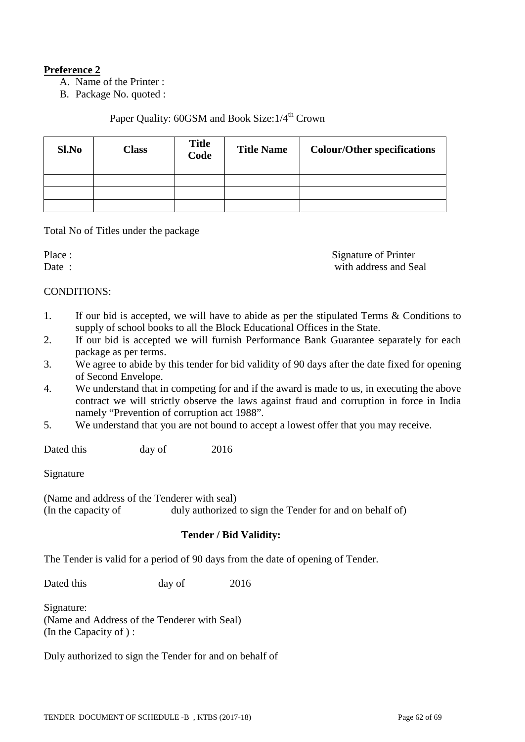## **Preference 2**

A. Name of the Printer :

B. Package No. quoted :

## Paper Quality:  $60$ GSM and Book Size: $1/4$ <sup>th</sup> Crown

| Sl.No | <b>Class</b> | <b>Title</b><br>Code | <b>Title Name</b> | <b>Colour/Other specifications</b> |
|-------|--------------|----------------------|-------------------|------------------------------------|
|       |              |                      |                   |                                    |
|       |              |                      |                   |                                    |
|       |              |                      |                   |                                    |
|       |              |                      |                   |                                    |

Total No of Titles under the package

Place :<br>
Date :<br>
Date :<br>  $\frac{1}{2}$  Signature of Printer<br>
with address and Se with address and Seal

#### CONDITIONS:

- 1. If our bid is accepted, we will have to abide as per the stipulated Terms & Conditions to supply of school books to all the Block Educational Offices in the State.
- 2. If our bid is accepted we will furnish Performance Bank Guarantee separately for each package as per terms.
- 3. We agree to abide by this tender for bid validity of 90 days after the date fixed for opening of Second Envelope.
- 4. We understand that in competing for and if the award is made to us, in executing the above contract we will strictly observe the laws against fraud and corruption in force in India namely "Prevention of corruption act 1988".
- 5. We understand that you are not bound to accept a lowest offer that you may receive.

Dated this day of 2016

Signature

(Name and address of the Tenderer with seal) (In the capacity of duly authorized to sign the Tender for and on behalf of)

## **Tender / Bid Validity:**

The Tender is valid for a period of 90 days from the date of opening of Tender.

Dated this day of 2016

Signature: (Name and Address of the Tenderer with Seal) (In the Capacity of ) :

Duly authorized to sign the Tender for and on behalf of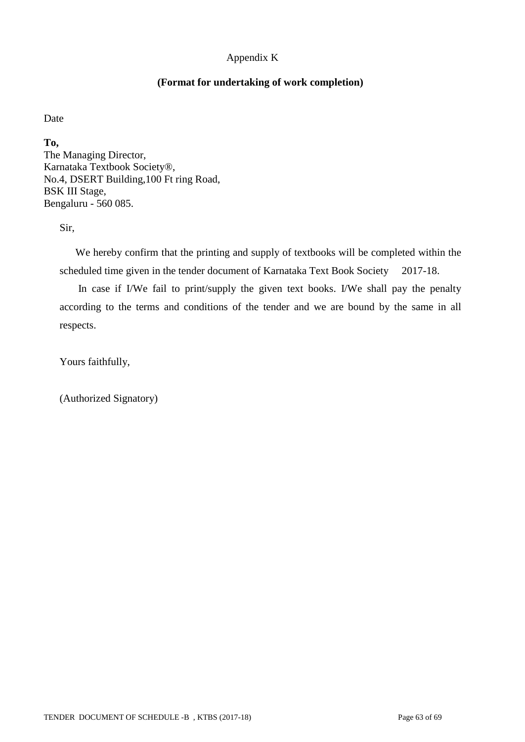## Appendix K

#### **(Format for undertaking of work completion)**

Date

**To,** The Managing Director, Karnataka Textbook Society®, No.4, DSERT Building,100 Ft ring Road, BSK III Stage, Bengaluru - 560 085.

Sir,

 We hereby confirm that the printing and supply of textbooks will be completed within the scheduled time given in the tender document of Karnataka Text Book Society 2017-18.

 In case if I/We fail to print/supply the given text books. I/We shall pay the penalty according to the terms and conditions of the tender and we are bound by the same in all respects.

Yours faithfully,

(Authorized Signatory)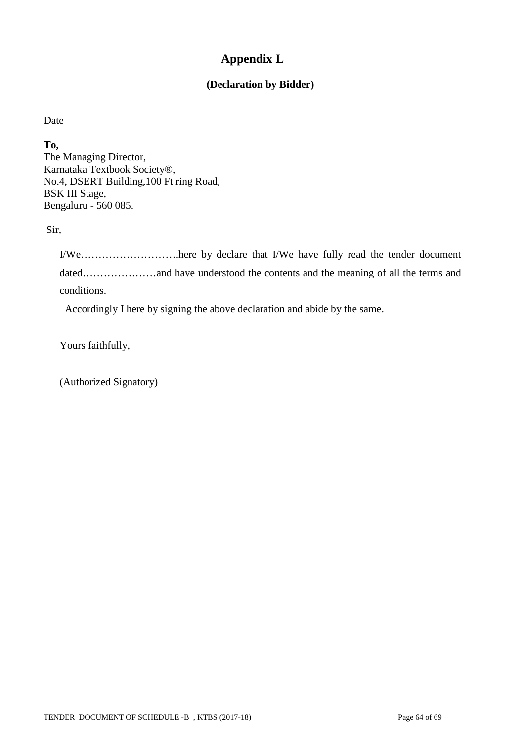## **Appendix L**

## **(Declaration by Bidder)**

Date

**To,**

The Managing Director, Karnataka Textbook Society®, No.4, DSERT Building,100 Ft ring Road, BSK III Stage, Bengaluru - 560 085.

Sir,

I/We……………………….here by declare that I/We have fully read the tender document dated…………………and have understood the contents and the meaning of all the terms and conditions.

Accordingly I here by signing the above declaration and abide by the same.

Yours faithfully,

(Authorized Signatory)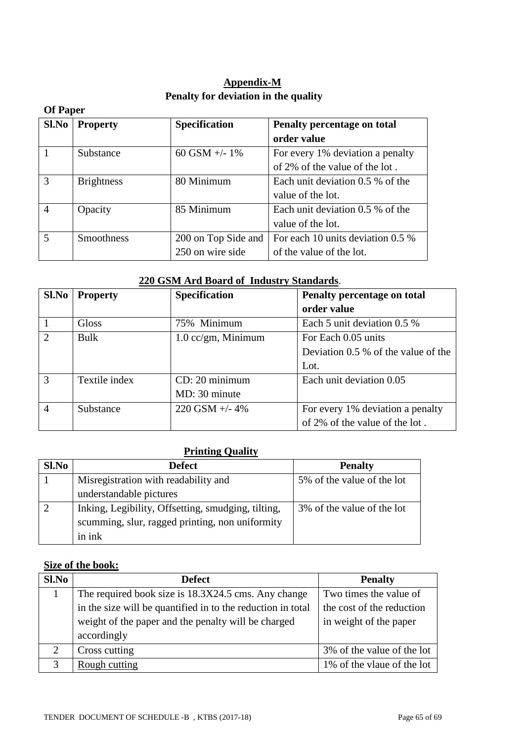## **Appendix-M Penalty for deviation in the quality**

|       | <b>Of Paper</b>   |                      |                                   |  |  |  |  |  |  |
|-------|-------------------|----------------------|-----------------------------------|--|--|--|--|--|--|
| Sl.No | <b>Property</b>   | <b>Specification</b> | Penalty percentage on total       |  |  |  |  |  |  |
|       |                   |                      | order value                       |  |  |  |  |  |  |
|       | Substance         | 60 GSM $+/- 1\%$     | For every 1% deviation a penalty  |  |  |  |  |  |  |
|       |                   |                      | of 2% of the value of the lot.    |  |  |  |  |  |  |
| 3     | <b>Brightness</b> | 80 Minimum           | Each unit deviation 0.5 % of the  |  |  |  |  |  |  |
|       |                   |                      | value of the lot.                 |  |  |  |  |  |  |
|       | Opacity           | 85 Minimum           | Each unit deviation 0.5 % of the  |  |  |  |  |  |  |
|       |                   |                      | value of the lot.                 |  |  |  |  |  |  |
| 5     | <b>Smoothness</b> | 200 on Top Side and  | For each 10 units deviation 0.5 % |  |  |  |  |  |  |
|       |                   | 250 on wire side     | of the value of the lot.          |  |  |  |  |  |  |

## **220 GSM Ard Board of Industry Standards**.

| Sl.No          | <b>Property</b> | <b>Specification</b>          | Penalty percentage on total         |  |
|----------------|-----------------|-------------------------------|-------------------------------------|--|
|                |                 |                               | order value                         |  |
|                | Gloss           | 75% Minimum                   | Each 5 unit deviation $0.5\%$       |  |
| $\overline{2}$ | <b>Bulk</b>     | $1.0 \text{ cc/gm}$ , Minimum | For Each 0.05 units                 |  |
|                |                 |                               | Deviation 0.5 % of the value of the |  |
|                |                 |                               | Lot.                                |  |
| 3              | Textile index   | CD: 20 minimum                | Each unit deviation 0.05            |  |
|                |                 | MD: 30 minute                 |                                     |  |
| $\overline{4}$ | Substance       | 220 GSM $+/- 4\%$             | For every 1% deviation a penalty    |  |
|                |                 |                               | of 2% of the value of the lot.      |  |

## **Printing Quality**

| Sl.No | <b>Defect</b>                                      | <b>Penalty</b>             |
|-------|----------------------------------------------------|----------------------------|
|       | Misregistration with readability and               | 5% of the value of the lot |
|       | understandable pictures                            |                            |
|       | Inking, Legibility, Offsetting, smudging, tilting, | 3% of the value of the lot |
|       | scumming, slur, ragged printing, non uniformity    |                            |
|       | in ink                                             |                            |

## **Size of the book:**

| S1.No | <b>Defect</b>                                               | <b>Penalty</b>             |
|-------|-------------------------------------------------------------|----------------------------|
|       | The required book size is 18.3X24.5 cms. Any change         | Two times the value of     |
|       | in the size will be quantified in to the reduction in total | the cost of the reduction  |
|       | weight of the paper and the penalty will be charged         | in weight of the paper     |
|       | accordingly                                                 |                            |
| 2     | Cross cutting                                               | 3% of the value of the lot |
| 3     | Rough cutting                                               | 1% of the vlaue of the lot |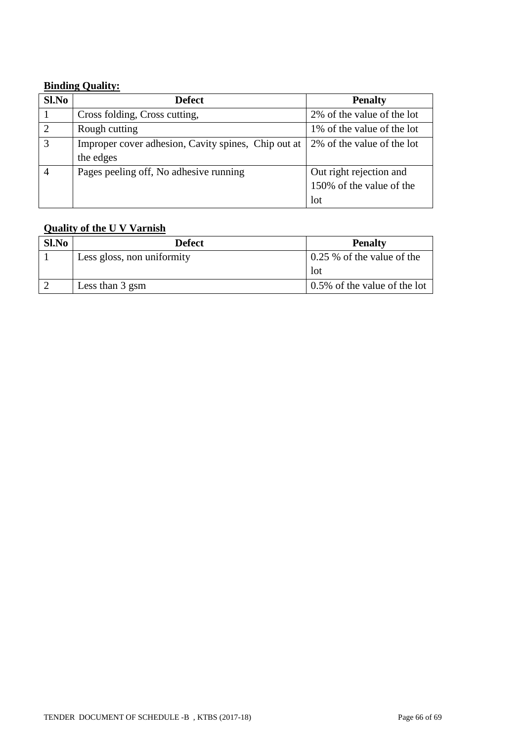## **Binding Quality:**

| Sl.No          | <b>Defect</b>                                       | <b>Penalty</b>              |  |
|----------------|-----------------------------------------------------|-----------------------------|--|
|                | Cross folding, Cross cutting,                       | 2% of the value of the lot  |  |
| $\overline{2}$ | Rough cutting                                       | 1\% of the value of the lot |  |
| 3              | Improper cover adhesion, Cavity spines, Chip out at | 2% of the value of the lot  |  |
|                | the edges                                           |                             |  |
|                | Pages peeling off, No adhesive running              | Out right rejection and     |  |
|                |                                                     | 150% of the value of the    |  |
|                |                                                     | lot                         |  |

# **Quality of the U V Varnish**

| Sl.No | <b>Defect</b>              | <b>Penalty</b>               |  |
|-------|----------------------------|------------------------------|--|
|       | Less gloss, non uniformity | 0.25 % of the value of the   |  |
|       |                            | lot                          |  |
|       | Less than 3 gsm            | 0.5% of the value of the lot |  |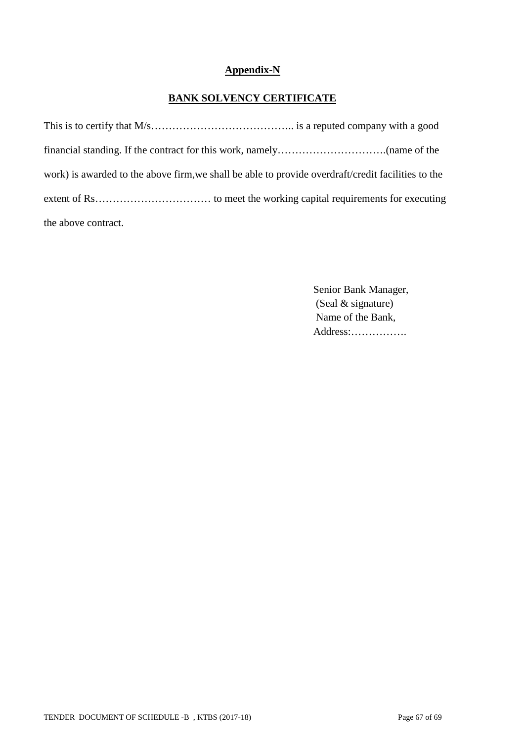## **Appendix-N**

## **BANK SOLVENCY CERTIFICATE**

| work) is awarded to the above firm, we shall be able to provide overdraft/credit facilities to the |
|----------------------------------------------------------------------------------------------------|
|                                                                                                    |
| the above contract.                                                                                |

 Senior Bank Manager, (Seal & signature) Name of the Bank, Address:…………….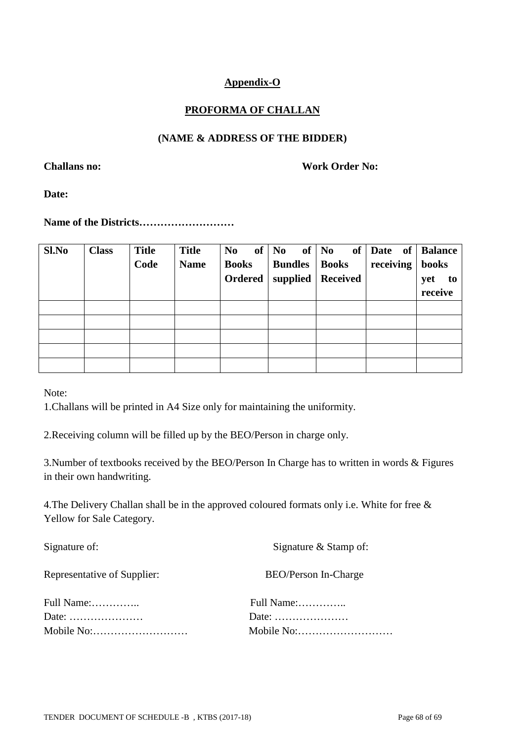## **Appendix-O**

## **PROFORMA OF CHALLAN**

## **(NAME & ADDRESS OF THE BIDDER)**

**Challans no: Work Order No:**

**Date:** 

**Name of the Districts………………………**

| Sl.No | <b>Class</b> | <b>Title</b> | <b>Title</b> | of<br>N <sub>0</sub> | N <sub>0</sub> | of <sub>1</sub><br>of $\vert$ No | Date of   Balance |           |
|-------|--------------|--------------|--------------|----------------------|----------------|----------------------------------|-------------------|-----------|
|       |              | Code         | <b>Name</b>  | <b>Books</b>         | <b>Bundles</b> | <b>Books</b>                     | receiving         | books     |
|       |              |              |              | Ordered              | supplied $ $   | <b>Received</b>                  |                   | yet<br>to |
|       |              |              |              |                      |                |                                  |                   | receive   |
|       |              |              |              |                      |                |                                  |                   |           |
|       |              |              |              |                      |                |                                  |                   |           |
|       |              |              |              |                      |                |                                  |                   |           |
|       |              |              |              |                      |                |                                  |                   |           |
|       |              |              |              |                      |                |                                  |                   |           |

Note:

1.Challans will be printed in A4 Size only for maintaining the uniformity.

2.Receiving column will be filled up by the BEO/Person in charge only.

3.Number of textbooks received by the BEO/Person In Charge has to written in words & Figures in their own handwriting.

4.The Delivery Challan shall be in the approved coloured formats only i.e. White for free & Yellow for Sale Category.

| Signature of:                                    | Signature & Stamp of:                            |  |  |
|--------------------------------------------------|--------------------------------------------------|--|--|
| Representative of Supplier:                      | BEO/Person In-Charge                             |  |  |
| Full Name:                                       | Full Name:                                       |  |  |
| Date: $\dots\dots\dots\dots\dots\dots\dots\dots$ | Date: $\dots\dots\dots\dots\dots\dots\dots\dots$ |  |  |
| Mobile No:                                       |                                                  |  |  |